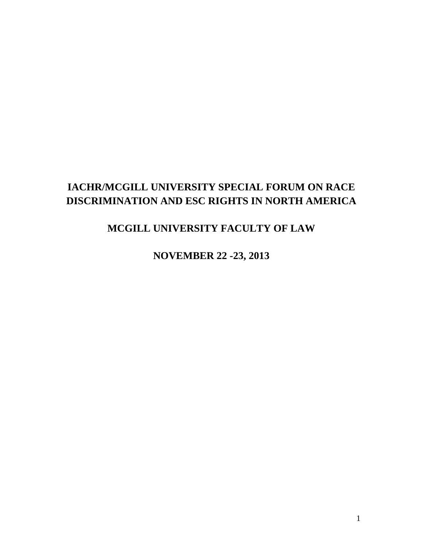### **IACHR/MCGILL UNIVERSITY SPECIAL FORUM ON RACE DISCRIMINATION AND ESC RIGHTS IN NORTH AMERICA**

### **MCGILL UNIVERSITY FACULTY OF LAW**

**NOVEMBER 22 -23, 2013**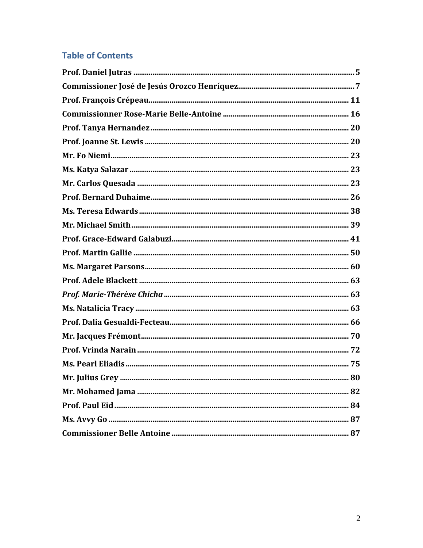### **Table of Contents**

| 80 |
|----|
|    |
|    |
|    |
|    |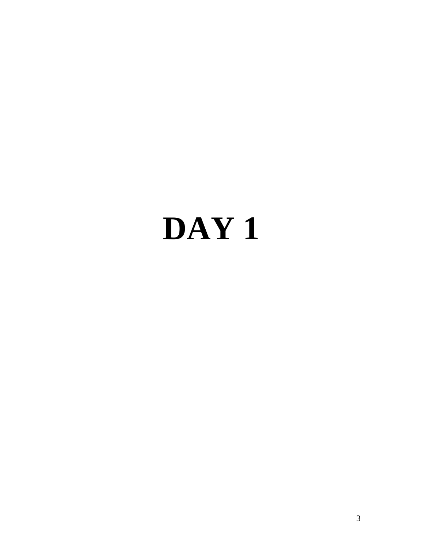# **DAY 1**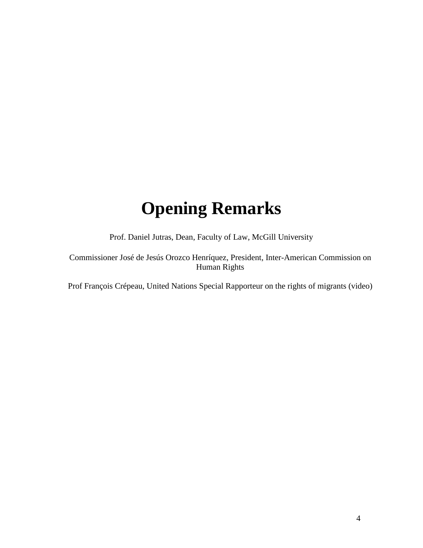## **Opening Remarks**

Prof. Daniel Jutras, Dean, Faculty of Law, McGill University

Commissioner José de Jesús Orozco Henríquez, President, Inter-American Commission on Human Rights

Prof François Crépeau, United Nations Special Rapporteur on the rights of migrants (video)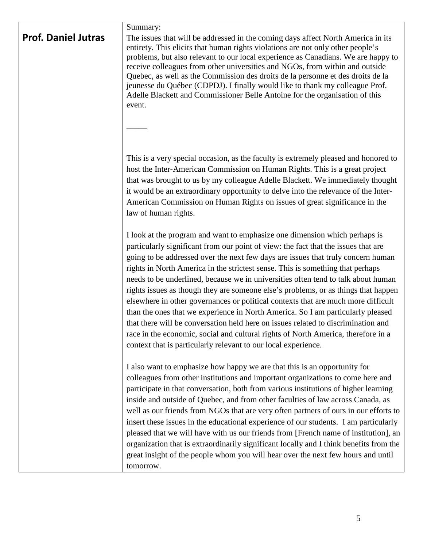| <b>Prof. Daniel Jutras</b> | Summary:<br>The issues that will be addressed in the coming days affect North America in its<br>entirety. This elicits that human rights violations are not only other people's<br>problems, but also relevant to our local experience as Canadians. We are happy to<br>receive colleagues from other universities and NGOs, from within and outside<br>Quebec, as well as the Commission des droits de la personne et des droits de la<br>jeunesse du Québec (CDPDJ). I finally would like to thank my colleague Prof.<br>Adelle Blackett and Commissioner Belle Antoine for the organisation of this<br>event.                                                                                                                                                                                                                                                                                                                      |
|----------------------------|---------------------------------------------------------------------------------------------------------------------------------------------------------------------------------------------------------------------------------------------------------------------------------------------------------------------------------------------------------------------------------------------------------------------------------------------------------------------------------------------------------------------------------------------------------------------------------------------------------------------------------------------------------------------------------------------------------------------------------------------------------------------------------------------------------------------------------------------------------------------------------------------------------------------------------------|
|                            |                                                                                                                                                                                                                                                                                                                                                                                                                                                                                                                                                                                                                                                                                                                                                                                                                                                                                                                                       |
|                            | This is a very special occasion, as the faculty is extremely pleased and honored to<br>host the Inter-American Commission on Human Rights. This is a great project<br>that was brought to us by my colleague Adelle Blackett. We immediately thought<br>it would be an extraordinary opportunity to delve into the relevance of the Inter-<br>American Commission on Human Rights on issues of great significance in the<br>law of human rights.                                                                                                                                                                                                                                                                                                                                                                                                                                                                                      |
|                            | I look at the program and want to emphasize one dimension which perhaps is<br>particularly significant from our point of view: the fact that the issues that are<br>going to be addressed over the next few days are issues that truly concern human<br>rights in North America in the strictest sense. This is something that perhaps<br>needs to be underlined, because we in universities often tend to talk about human<br>rights issues as though they are someone else's problems, or as things that happen<br>elsewhere in other governances or political contexts that are much more difficult<br>than the ones that we experience in North America. So I am particularly pleased<br>that there will be conversation held here on issues related to discrimination and<br>race in the economic, social and cultural rights of North America, therefore in a<br>context that is particularly relevant to our local experience. |
|                            | I also want to emphasize how happy we are that this is an opportunity for<br>colleagues from other institutions and important organizations to come here and<br>participate in that conversation, both from various institutions of higher learning<br>inside and outside of Quebec, and from other faculties of law across Canada, as<br>well as our friends from NGOs that are very often partners of ours in our efforts to<br>insert these issues in the educational experience of our students. I am particularly<br>pleased that we will have with us our friends from [French name of institution], an<br>organization that is extraordinarily significant locally and I think benefits from the<br>great insight of the people whom you will hear over the next few hours and until<br>tomorrow.                                                                                                                              |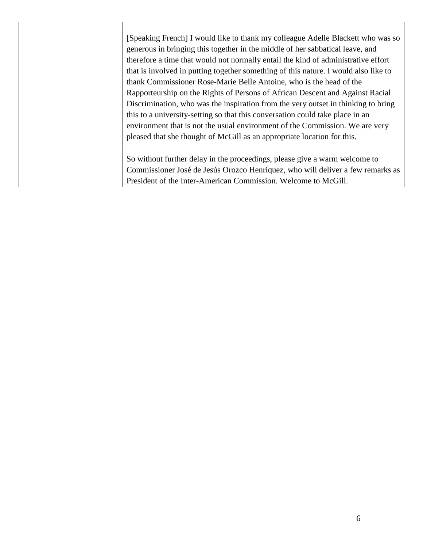[Speaking French] I would like to thank my colleague Adelle Blackett who was so generous in bringing this together in the middle of her sabbatical leave, and therefore a time that would not normally entail the kind of administrative effort that is involved in putting together something of this nature. I would also like to thank Commissioner Rose-Marie Belle Antoine, who is the head of the Rapporteurship on the Rights of Persons of African Descent and Against Racial Discrimination, who was the inspiration from the very outset in thinking to bring this to a university-setting so that this conversation could take place in an environment that is not the usual environment of the Commission. We are very pleased that she thought of McGill as an appropriate location for this. So without further delay in the proceedings, please give a warm welcome to Commissioner José de Jesús Orozco Henríquez, who will deliver a few remarks as President of the Inter-American Commission. Welcome to McGill.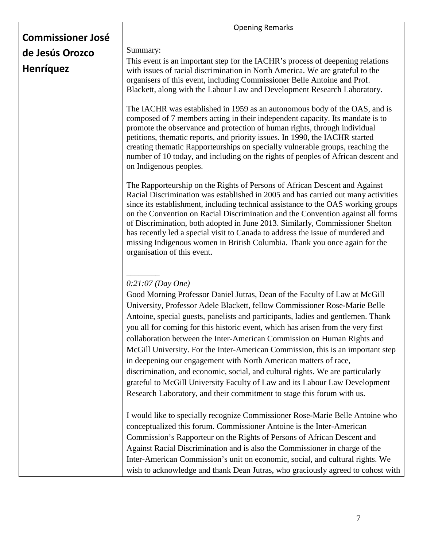|                          | <b>Opening Remarks</b>                                                                                                                                                                                                                                                                                                                                                                                                                                                                                                                                                                                                                                                                                                                                                                                                               |
|--------------------------|--------------------------------------------------------------------------------------------------------------------------------------------------------------------------------------------------------------------------------------------------------------------------------------------------------------------------------------------------------------------------------------------------------------------------------------------------------------------------------------------------------------------------------------------------------------------------------------------------------------------------------------------------------------------------------------------------------------------------------------------------------------------------------------------------------------------------------------|
| <b>Commissioner José</b> |                                                                                                                                                                                                                                                                                                                                                                                                                                                                                                                                                                                                                                                                                                                                                                                                                                      |
| de Jesús Orozco          | Summary:                                                                                                                                                                                                                                                                                                                                                                                                                                                                                                                                                                                                                                                                                                                                                                                                                             |
| <b>Henríquez</b>         | This event is an important step for the IACHR's process of deepening relations<br>with issues of racial discrimination in North America. We are grateful to the<br>organisers of this event, including Commissioner Belle Antoine and Prof.<br>Blackett, along with the Labour Law and Development Research Laboratory.                                                                                                                                                                                                                                                                                                                                                                                                                                                                                                              |
|                          | The IACHR was established in 1959 as an autonomous body of the OAS, and is<br>composed of 7 members acting in their independent capacity. Its mandate is to<br>promote the observance and protection of human rights, through individual<br>petitions, thematic reports, and priority issues. In 1990, the IACHR started<br>creating thematic Rapporteurships on specially vulnerable groups, reaching the<br>number of 10 today, and including on the rights of peoples of African descent and<br>on Indigenous peoples.                                                                                                                                                                                                                                                                                                            |
|                          | The Rapporteurship on the Rights of Persons of African Descent and Against<br>Racial Discrimination was established in 2005 and has carried out many activities<br>since its establishment, including technical assistance to the OAS working groups<br>on the Convention on Racial Discrimination and the Convention against all forms<br>of Discrimination, both adopted in June 2013. Similarly, Commissioner Shelton<br>has recently led a special visit to Canada to address the issue of murdered and<br>missing Indigenous women in British Columbia. Thank you once again for the<br>organisation of this event.                                                                                                                                                                                                             |
|                          | $0:21:07$ (Day One)<br>Good Morning Professor Daniel Jutras, Dean of the Faculty of Law at McGill<br>University, Professor Adele Blackett, fellow Commissioner Rose-Marie Belle<br>Antoine, special guests, panelists and participants, ladies and gentlemen. Thank<br>you all for coming for this historic event, which has arisen from the very first<br>collaboration between the Inter-American Commission on Human Rights and<br>McGill University. For the Inter-American Commission, this is an important step<br>in deepening our engagement with North American matters of race,<br>discrimination, and economic, social, and cultural rights. We are particularly<br>grateful to McGill University Faculty of Law and its Labour Law Development<br>Research Laboratory, and their commitment to stage this forum with us. |
|                          | I would like to specially recognize Commissioner Rose-Marie Belle Antoine who<br>conceptualized this forum. Commissioner Antoine is the Inter-American<br>Commission's Rapporteur on the Rights of Persons of African Descent and<br>Against Racial Discrimination and is also the Commissioner in charge of the<br>Inter-American Commission's unit on economic, social, and cultural rights. We<br>wish to acknowledge and thank Dean Jutras, who graciously agreed to cohost with                                                                                                                                                                                                                                                                                                                                                 |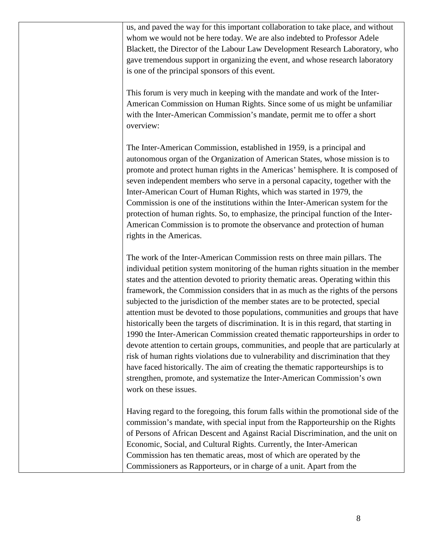us, and paved the way for this important collaboration to take place, and without whom we would not be here today. We are also indebted to Professor Adele Blackett, the Director of the Labour Law Development Research Laboratory, who gave tremendous support in organizing the event, and whose research laboratory is one of the principal sponsors of this event.

This forum is very much in keeping with the mandate and work of the Inter-American Commission on Human Rights. Since some of us might be unfamiliar with the Inter-American Commission's mandate, permit me to offer a short overview:

The Inter-American Commission, established in 1959, is a principal and autonomous organ of the Organization of American States, whose mission is to promote and protect human rights in the Americas' hemisphere. It is composed of seven independent members who serve in a personal capacity, together with the Inter-American Court of Human Rights, which was started in 1979, the Commission is one of the institutions within the Inter-American system for the protection of human rights. So, to emphasize, the principal function of the Inter-American Commission is to promote the observance and protection of human rights in the Americas.

The work of the Inter-American Commission rests on three main pillars. The individual petition system monitoring of the human rights situation in the member states and the attention devoted to priority thematic areas. Operating within this framework, the Commission considers that in as much as the rights of the persons subjected to the jurisdiction of the member states are to be protected, special attention must be devoted to those populations, communities and groups that have historically been the targets of discrimination. It is in this regard, that starting in 1990 the Inter-American Commission created thematic rapporteurships in order to devote attention to certain groups, communities, and people that are particularly at risk of human rights violations due to vulnerability and discrimination that they have faced historically. The aim of creating the thematic rapporteurships is to strengthen, promote, and systematize the Inter-American Commission's own work on these issues.

Having regard to the foregoing, this forum falls within the promotional side of the commission's mandate, with special input from the Rapporteurship on the Rights of Persons of African Descent and Against Racial Discrimination, and the unit on Economic, Social, and Cultural Rights. Currently, the Inter-American Commission has ten thematic areas, most of which are operated by the Commissioners as Rapporteurs, or in charge of a unit. Apart from the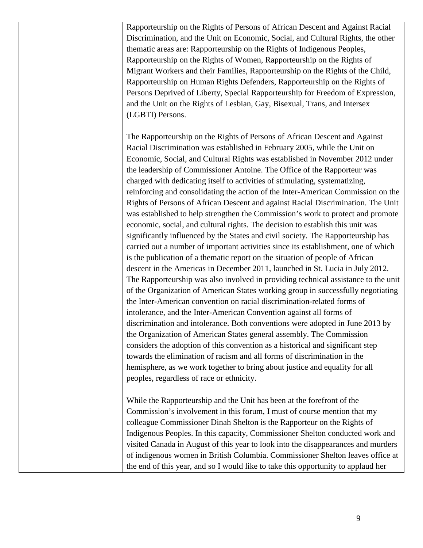Rapporteurship on the Rights of Persons of African Descent and Against Racial Discrimination, and the Unit on Economic, Social, and Cultural Rights, the other thematic areas are: Rapporteurship on the Rights of Indigenous Peoples, Rapporteurship on the Rights of Women, Rapporteurship on the Rights of Migrant Workers and their Families, Rapporteurship on the Rights of the Child, Rapporteurship on Human Rights Defenders, Rapporteurship on the Rights of Persons Deprived of Liberty, Special Rapporteurship for Freedom of Expression, and the Unit on the Rights of Lesbian, Gay, Bisexual, Trans, and Intersex (LGBTI) Persons.

The Rapporteurship on the Rights of Persons of African Descent and Against Racial Discrimination was established in February 2005, while the Unit on Economic, Social, and Cultural Rights was established in November 2012 under the leadership of Commissioner Antoine. The Office of the Rapporteur was charged with dedicating itself to activities of stimulating, systematizing, reinforcing and consolidating the action of the Inter-American Commission on the Rights of Persons of African Descent and against Racial Discrimination. The Unit was established to help strengthen the Commission's work to protect and promote economic, social, and cultural rights. The decision to establish this unit was significantly influenced by the States and civil society. The Rapporteurship has carried out a number of important activities since its establishment, one of which is the publication of a thematic report on the situation of people of African descent in the Americas in December 2011, launched in St. Lucia in July 2012. The Rapporteurship was also involved in providing technical assistance to the unit of the Organization of American States working group in successfully negotiating the Inter-American convention on racial discrimination-related forms of intolerance, and the Inter-American Convention against all forms of discrimination and intolerance. Both conventions were adopted in June 2013 by the Organization of American States general assembly. The Commission considers the adoption of this convention as a historical and significant step towards the elimination of racism and all forms of discrimination in the hemisphere, as we work together to bring about justice and equality for all peoples, regardless of race or ethnicity.

While the Rapporteurship and the Unit has been at the forefront of the Commission's involvement in this forum, I must of course mention that my colleague Commissioner Dinah Shelton is the Rapporteur on the Rights of Indigenous Peoples. In this capacity, Commissioner Shelton conducted work and visited Canada in August of this year to look into the disappearances and murders of indigenous women in British Columbia. Commissioner Shelton leaves office at the end of this year, and so I would like to take this opportunity to applaud her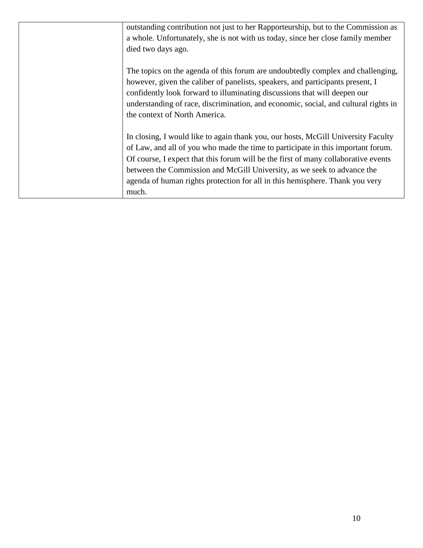| outstanding contribution not just to her Rapporteurship, but to the Commission as<br>a whole. Unfortunately, she is not with us today, since her close family member                                                                                                                                                                                                                                                            |
|---------------------------------------------------------------------------------------------------------------------------------------------------------------------------------------------------------------------------------------------------------------------------------------------------------------------------------------------------------------------------------------------------------------------------------|
| died two days ago.                                                                                                                                                                                                                                                                                                                                                                                                              |
| The topics on the agenda of this forum are undoubtedly complex and challenging,<br>however, given the caliber of panelists, speakers, and participants present, I<br>confidently look forward to illuminating discussions that will deepen our<br>understanding of race, discrimination, and economic, social, and cultural rights in<br>the context of North America.                                                          |
| In closing, I would like to again thank you, our hosts, McGill University Faculty<br>of Law, and all of you who made the time to participate in this important forum.<br>Of course, I expect that this forum will be the first of many collaborative events<br>between the Commission and McGill University, as we seek to advance the<br>agenda of human rights protection for all in this hemisphere. Thank you very<br>much. |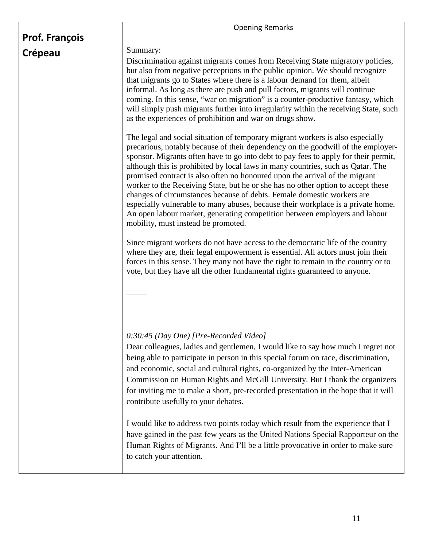| <b>Prof. François</b> | <b>Opening Remarks</b>                                                                                                                                                                                                                                                                                                                                                                                                                                                                                                                                                                                                                                                                                                                                                                                                                                                                                                                                                                                                                                                                                                                      |
|-----------------------|---------------------------------------------------------------------------------------------------------------------------------------------------------------------------------------------------------------------------------------------------------------------------------------------------------------------------------------------------------------------------------------------------------------------------------------------------------------------------------------------------------------------------------------------------------------------------------------------------------------------------------------------------------------------------------------------------------------------------------------------------------------------------------------------------------------------------------------------------------------------------------------------------------------------------------------------------------------------------------------------------------------------------------------------------------------------------------------------------------------------------------------------|
| Crépeau               | Summary:<br>Discrimination against migrants comes from Receiving State migratory policies,<br>but also from negative perceptions in the public opinion. We should recognize<br>that migrants go to States where there is a labour demand for them, albeit<br>informal. As long as there are push and pull factors, migrants will continue<br>coming. In this sense, "war on migration" is a counter-productive fantasy, which<br>will simply push migrants further into irregularity within the receiving State, such<br>as the experiences of prohibition and war on drugs show.                                                                                                                                                                                                                                                                                                                                                                                                                                                                                                                                                           |
|                       | The legal and social situation of temporary migrant workers is also especially<br>precarious, notably because of their dependency on the goodwill of the employer-<br>sponsor. Migrants often have to go into debt to pay fees to apply for their permit,<br>although this is prohibited by local laws in many countries, such as Qatar. The<br>promised contract is also often no honoured upon the arrival of the migrant<br>worker to the Receiving State, but he or she has no other option to accept these<br>changes of circumstances because of debts. Female domestic workers are<br>especially vulnerable to many abuses, because their workplace is a private home.<br>An open labour market, generating competition between employers and labour<br>mobility, must instead be promoted.<br>Since migrant workers do not have access to the democratic life of the country<br>where they are, their legal empowerment is essential. All actors must join their<br>forces in this sense. They many not have the right to remain in the country or to<br>vote, but they have all the other fundamental rights guaranteed to anyone. |
|                       | 0:30:45 (Day One) [Pre-Recorded Video]<br>Dear colleagues, ladies and gentlemen, I would like to say how much I regret not<br>being able to participate in person in this special forum on race, discrimination,<br>and economic, social and cultural rights, co-organized by the Inter-American<br>Commission on Human Rights and McGill University. But I thank the organizers<br>for inviting me to make a short, pre-recorded presentation in the hope that it will<br>contribute usefully to your debates.<br>I would like to address two points today which result from the experience that I<br>have gained in the past few years as the United Nations Special Rapporteur on the<br>Human Rights of Migrants. And I'll be a little provocative in order to make sure<br>to catch your attention.                                                                                                                                                                                                                                                                                                                                    |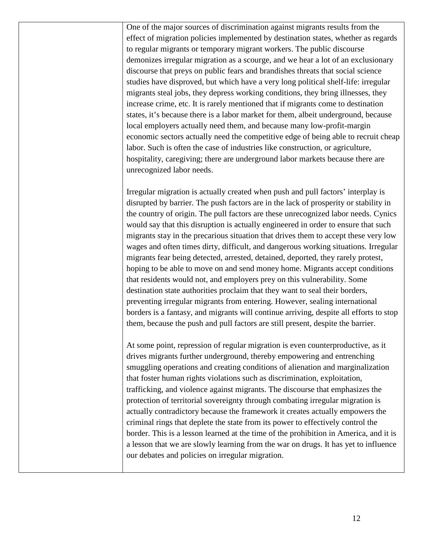One of the major sources of discrimination against migrants results from the effect of migration policies implemented by destination states, whether as regards to regular migrants or temporary migrant workers. The public discourse demonizes irregular migration as a scourge, and we hear a lot of an exclusionary discourse that preys on public fears and brandishes threats that social science studies have disproved, but which have a very long political shelf-life: irregular migrants steal jobs, they depress working conditions, they bring illnesses, they increase crime, etc. It is rarely mentioned that if migrants come to destination states, it's because there is a labor market for them, albeit underground, because local employers actually need them, and because many low-profit-margin economic sectors actually need the competitive edge of being able to recruit cheap labor. Such is often the case of industries like construction, or agriculture, hospitality, caregiving; there are underground labor markets because there are unrecognized labor needs.

Irregular migration is actually created when push and pull factors' interplay is disrupted by barrier. The push factors are in the lack of prosperity or stability in the country of origin. The pull factors are these unrecognized labor needs. Cynics would say that this disruption is actually engineered in order to ensure that such migrants stay in the precarious situation that drives them to accept these very low wages and often times dirty, difficult, and dangerous working situations. Irregular migrants fear being detected, arrested, detained, deported, they rarely protest, hoping to be able to move on and send money home. Migrants accept conditions that residents would not, and employers prey on this vulnerability. Some destination state authorities proclaim that they want to seal their borders, preventing irregular migrants from entering. However, sealing international borders is a fantasy, and migrants will continue arriving, despite all efforts to stop them, because the push and pull factors are still present, despite the barrier.

At some point, repression of regular migration is even counterproductive, as it drives migrants further underground, thereby empowering and entrenching smuggling operations and creating conditions of alienation and marginalization that foster human rights violations such as discrimination, exploitation, trafficking, and violence against migrants. The discourse that emphasizes the protection of territorial sovereignty through combating irregular migration is actually contradictory because the framework it creates actually empowers the criminal rings that deplete the state from its power to effectively control the border. This is a lesson learned at the time of the prohibition in America, and it is a lesson that we are slowly learning from the war on drugs. It has yet to influence our debates and policies on irregular migration.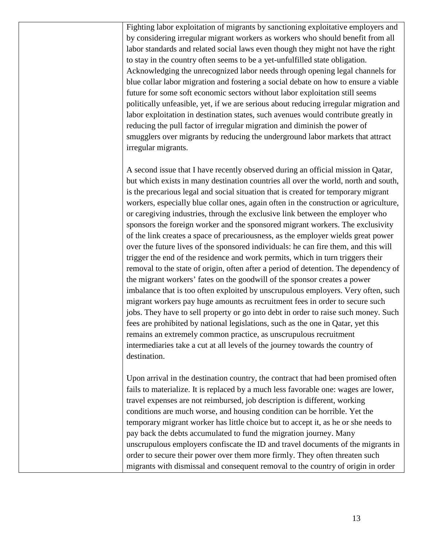Fighting labor exploitation of migrants by sanctioning exploitative employers and by considering irregular migrant workers as workers who should benefit from all labor standards and related social laws even though they might not have the right to stay in the country often seems to be a yet-unfulfilled state obligation. Acknowledging the unrecognized labor needs through opening legal channels for blue collar labor migration and fostering a social debate on how to ensure a viable future for some soft economic sectors without labor exploitation still seems politically unfeasible, yet, if we are serious about reducing irregular migration and labor exploitation in destination states, such avenues would contribute greatly in reducing the pull factor of irregular migration and diminish the power of smugglers over migrants by reducing the underground labor markets that attract irregular migrants.

A second issue that I have recently observed during an official mission in Qatar, but which exists in many destination countries all over the world, north and south, is the precarious legal and social situation that is created for temporary migrant workers, especially blue collar ones, again often in the construction or agriculture, or caregiving industries, through the exclusive link between the employer who sponsors the foreign worker and the sponsored migrant workers. The exclusivity of the link creates a space of precariousness, as the employer wields great power over the future lives of the sponsored individuals: he can fire them, and this will trigger the end of the residence and work permits, which in turn triggers their removal to the state of origin, often after a period of detention. The dependency of the migrant workers' fates on the goodwill of the sponsor creates a power imbalance that is too often exploited by unscrupulous employers. Very often, such migrant workers pay huge amounts as recruitment fees in order to secure such jobs. They have to sell property or go into debt in order to raise such money. Such fees are prohibited by national legislations, such as the one in Qatar, yet this remains an extremely common practice, as unscrupulous recruitment intermediaries take a cut at all levels of the journey towards the country of destination.

Upon arrival in the destination country, the contract that had been promised often fails to materialize. It is replaced by a much less favorable one: wages are lower, travel expenses are not reimbursed, job description is different, working conditions are much worse, and housing condition can be horrible. Yet the temporary migrant worker has little choice but to accept it, as he or she needs to pay back the debts accumulated to fund the migration journey. Many unscrupulous employers confiscate the ID and travel documents of the migrants in order to secure their power over them more firmly. They often threaten such migrants with dismissal and consequent removal to the country of origin in order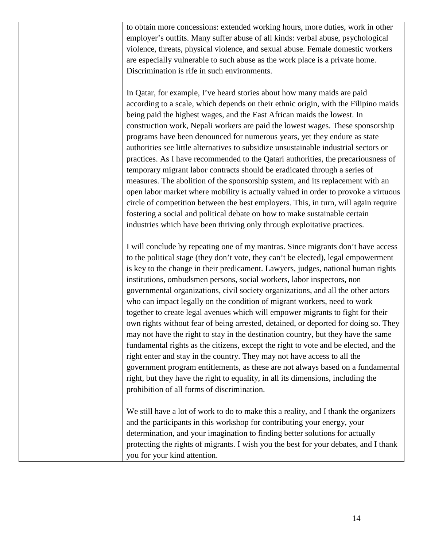to obtain more concessions: extended working hours, more duties, work in other employer's outfits. Many suffer abuse of all kinds: verbal abuse, psychological violence, threats, physical violence, and sexual abuse. Female domestic workers are especially vulnerable to such abuse as the work place is a private home. Discrimination is rife in such environments.

In Qatar, for example, I've heard stories about how many maids are paid according to a scale, which depends on their ethnic origin, with the Filipino maids being paid the highest wages, and the East African maids the lowest. In construction work, Nepali workers are paid the lowest wages. These sponsorship programs have been denounced for numerous years, yet they endure as state authorities see little alternatives to subsidize unsustainable industrial sectors or practices. As I have recommended to the Qatari authorities, the precariousness of temporary migrant labor contracts should be eradicated through a series of measures. The abolition of the sponsorship system, and its replacement with an open labor market where mobility is actually valued in order to provoke a virtuous circle of competition between the best employers. This, in turn, will again require fostering a social and political debate on how to make sustainable certain industries which have been thriving only through exploitative practices.

I will conclude by repeating one of my mantras. Since migrants don't have access to the political stage (they don't vote, they can't be elected), legal empowerment is key to the change in their predicament. Lawyers, judges, national human rights institutions, ombudsmen persons, social workers, labor inspectors, non governmental organizations, civil society organizations, and all the other actors who can impact legally on the condition of migrant workers, need to work together to create legal avenues which will empower migrants to fight for their own rights without fear of being arrested, detained, or deported for doing so. They may not have the right to stay in the destination country, but they have the same fundamental rights as the citizens, except the right to vote and be elected, and the right enter and stay in the country. They may not have access to all the government program entitlements, as these are not always based on a fundamental right, but they have the right to equality, in all its dimensions, including the prohibition of all forms of discrimination.

We still have a lot of work to do to make this a reality, and I thank the organizers and the participants in this workshop for contributing your energy, your determination, and your imagination to finding better solutions for actually protecting the rights of migrants. I wish you the best for your debates, and I thank you for your kind attention.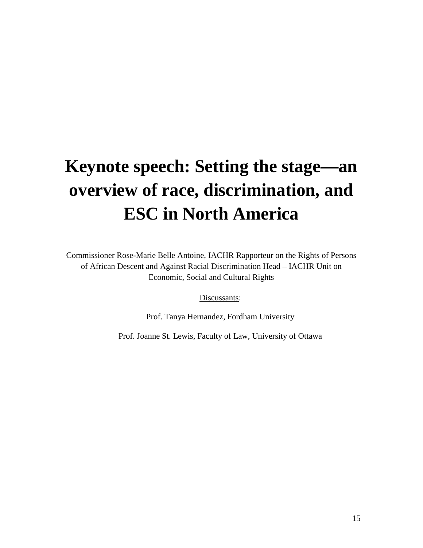# **Keynote speech: Setting the stage—an overview of race, discrimination, and ESC in North America**

Commissioner Rose-Marie Belle Antoine, IACHR Rapporteur on the Rights of Persons of African Descent and Against Racial Discrimination Head – IACHR Unit on Economic, Social and Cultural Rights

Discussants:

Prof. Tanya Hernandez, Fordham University

Prof. Joanne St. Lewis, Faculty of Law, University of Ottawa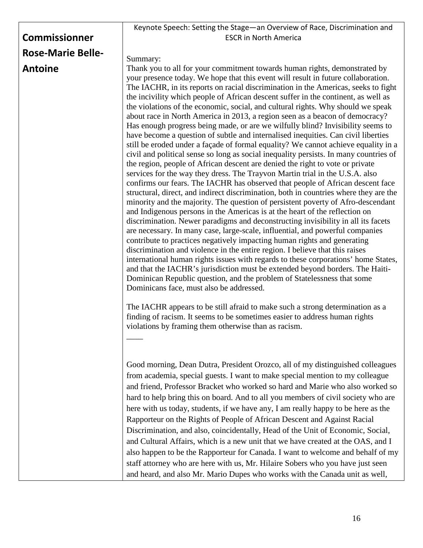|                          | Keynote Speech: Setting the Stage-an Overview of Race, Discrimination and                                                                                                                                                                                                                                                                                                                                                                                                                                                                                                                                                                                                                                                                                                                                                                                                                                                                                                                                                                                                                                                                                                                                                                                                                                                                                                                                                                                                                                                                                                                                                                                                                                                                                                                                                                                                                                                                                                                                             |
|--------------------------|-----------------------------------------------------------------------------------------------------------------------------------------------------------------------------------------------------------------------------------------------------------------------------------------------------------------------------------------------------------------------------------------------------------------------------------------------------------------------------------------------------------------------------------------------------------------------------------------------------------------------------------------------------------------------------------------------------------------------------------------------------------------------------------------------------------------------------------------------------------------------------------------------------------------------------------------------------------------------------------------------------------------------------------------------------------------------------------------------------------------------------------------------------------------------------------------------------------------------------------------------------------------------------------------------------------------------------------------------------------------------------------------------------------------------------------------------------------------------------------------------------------------------------------------------------------------------------------------------------------------------------------------------------------------------------------------------------------------------------------------------------------------------------------------------------------------------------------------------------------------------------------------------------------------------------------------------------------------------------------------------------------------------|
| <b>Commissionner</b>     | <b>ESCR in North America</b>                                                                                                                                                                                                                                                                                                                                                                                                                                                                                                                                                                                                                                                                                                                                                                                                                                                                                                                                                                                                                                                                                                                                                                                                                                                                                                                                                                                                                                                                                                                                                                                                                                                                                                                                                                                                                                                                                                                                                                                          |
| <b>Rose-Marie Belle-</b> |                                                                                                                                                                                                                                                                                                                                                                                                                                                                                                                                                                                                                                                                                                                                                                                                                                                                                                                                                                                                                                                                                                                                                                                                                                                                                                                                                                                                                                                                                                                                                                                                                                                                                                                                                                                                                                                                                                                                                                                                                       |
|                          | Summary:                                                                                                                                                                                                                                                                                                                                                                                                                                                                                                                                                                                                                                                                                                                                                                                                                                                                                                                                                                                                                                                                                                                                                                                                                                                                                                                                                                                                                                                                                                                                                                                                                                                                                                                                                                                                                                                                                                                                                                                                              |
| <b>Antoine</b>           | Thank you to all for your commitment towards human rights, demonstrated by<br>your presence today. We hope that this event will result in future collaboration.<br>The IACHR, in its reports on racial discrimination in the Americas, seeks to fight<br>the incivility which people of African descent suffer in the continent, as well as<br>the violations of the economic, social, and cultural rights. Why should we speak<br>about race in North America in 2013, a region seen as a beacon of democracy?<br>Has enough progress being made, or are we wilfully blind? Invisibility seems to<br>have become a question of subtle and internalised inequities. Can civil liberties<br>still be eroded under a façade of formal equality? We cannot achieve equality in a<br>civil and political sense so long as social inequality persists. In many countries of<br>the region, people of African descent are denied the right to vote or private<br>services for the way they dress. The Trayvon Martin trial in the U.S.A. also<br>confirms our fears. The IACHR has observed that people of African descent face<br>structural, direct, and indirect discrimination, both in countries where they are the<br>minority and the majority. The question of persistent poverty of Afro-descendant<br>and Indigenous persons in the Americas is at the heart of the reflection on<br>discrimination. Newer paradigms and deconstructing invisibility in all its facets<br>are necessary. In many case, large-scale, influential, and powerful companies<br>contribute to practices negatively impacting human rights and generating<br>discrimination and violence in the entire region. I believe that this raises<br>international human rights issues with regards to these corporations' home States,<br>and that the IACHR's jurisdiction must be extended beyond borders. The Haiti-<br>Dominican Republic question, and the problem of Statelessness that some<br>Dominicans face, must also be addressed. |
|                          | The IACHR appears to be still afraid to make such a strong determination as a<br>finding of racism. It seems to be sometimes easier to address human rights<br>violations by framing them otherwise than as racism.                                                                                                                                                                                                                                                                                                                                                                                                                                                                                                                                                                                                                                                                                                                                                                                                                                                                                                                                                                                                                                                                                                                                                                                                                                                                                                                                                                                                                                                                                                                                                                                                                                                                                                                                                                                                   |
|                          | Good morning, Dean Dutra, President Orozco, all of my distinguished colleagues<br>from academia, special guests. I want to make special mention to my colleague<br>and friend, Professor Bracket who worked so hard and Marie who also worked so<br>hard to help bring this on board. And to all you members of civil society who are<br>here with us today, students, if we have any, I am really happy to be here as the<br>Rapporteur on the Rights of People of African Descent and Against Racial<br>Discrimination, and also, coincidentally, Head of the Unit of Economic, Social,<br>and Cultural Affairs, which is a new unit that we have created at the OAS, and I<br>also happen to be the Rapporteur for Canada. I want to welcome and behalf of my<br>staff attorney who are here with us, Mr. Hilaire Sobers who you have just seen<br>and heard, and also Mr. Mario Dupes who works with the Canada unit as well,                                                                                                                                                                                                                                                                                                                                                                                                                                                                                                                                                                                                                                                                                                                                                                                                                                                                                                                                                                                                                                                                                     |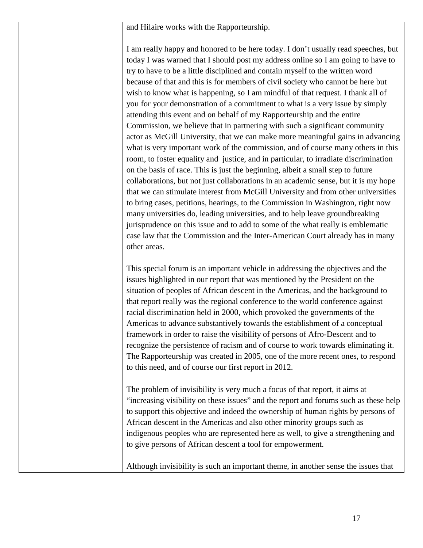and Hilaire works with the Rapporteurship.

I am really happy and honored to be here today. I don't usually read speeches, but today I was warned that I should post my address online so I am going to have to try to have to be a little disciplined and contain myself to the written word because of that and this is for members of civil society who cannot be here but wish to know what is happening, so I am mindful of that request. I thank all of you for your demonstration of a commitment to what is a very issue by simply attending this event and on behalf of my Rapporteurship and the entire Commission, we believe that in partnering with such a significant community actor as McGill University, that we can make more meaningful gains in advancing what is very important work of the commission, and of course many others in this room, to foster equality and justice, and in particular, to irradiate discrimination on the basis of race. This is just the beginning, albeit a small step to future collaborations, but not just collaborations in an academic sense, but it is my hope that we can stimulate interest from McGill University and from other universities to bring cases, petitions, hearings, to the Commission in Washington, right now many universities do, leading universities, and to help leave groundbreaking jurisprudence on this issue and to add to some of the what really is emblematic case law that the Commission and the Inter-American Court already has in many other areas.

This special forum is an important vehicle in addressing the objectives and the issues highlighted in our report that was mentioned by the President on the situation of peoples of African descent in the Americas, and the background to that report really was the regional conference to the world conference against racial discrimination held in 2000, which provoked the governments of the Americas to advance substantively towards the establishment of a conceptual framework in order to raise the visibility of persons of Afro-Descent and to recognize the persistence of racism and of course to work towards eliminating it. The Rapporteurship was created in 2005, one of the more recent ones, to respond to this need, and of course our first report in 2012.

The problem of invisibility is very much a focus of that report, it aims at "increasing visibility on these issues" and the report and forums such as these help to support this objective and indeed the ownership of human rights by persons of African descent in the Americas and also other minority groups such as indigenous peoples who are represented here as well, to give a strengthening and to give persons of African descent a tool for empowerment.

Although invisibility is such an important theme, in another sense the issues that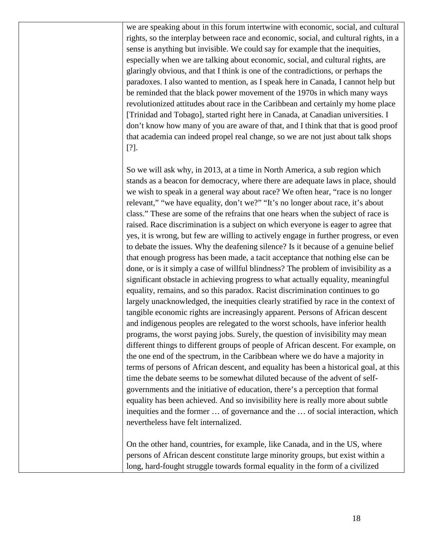we are speaking about in this forum intertwine with economic, social, and cultural rights, so the interplay between race and economic, social, and cultural rights, in a sense is anything but invisible. We could say for example that the inequities, especially when we are talking about economic, social, and cultural rights, are glaringly obvious, and that I think is one of the contradictions, or perhaps the paradoxes. I also wanted to mention, as I speak here in Canada, I cannot help but be reminded that the black power movement of the 1970s in which many ways revolutionized attitudes about race in the Caribbean and certainly my home place [Trinidad and Tobago], started right here in Canada, at Canadian universities. I don't know how many of you are aware of that, and I think that that is good proof that academia can indeed propel real change, so we are not just about talk shops [?].

So we will ask why, in 2013, at a time in North America, a sub region which stands as a beacon for democracy, where there are adequate laws in place, should we wish to speak in a general way about race? We often hear, "race is no longer relevant," "we have equality, don't we?" "It's no longer about race, it's about class." These are some of the refrains that one hears when the subject of race is raised. Race discrimination is a subject on which everyone is eager to agree that yes, it is wrong, but few are willing to actively engage in further progress, or even to debate the issues. Why the deafening silence? Is it because of a genuine belief that enough progress has been made, a tacit acceptance that nothing else can be done, or is it simply a case of willful blindness? The problem of invisibility as a significant obstacle in achieving progress to what actually equality, meaningful equality, remains, and so this paradox. Racist discrimination continues to go largely unacknowledged, the inequities clearly stratified by race in the context of tangible economic rights are increasingly apparent. Persons of African descent and indigenous peoples are relegated to the worst schools, have inferior health programs, the worst paying jobs. Surely, the question of invisibility may mean different things to different groups of people of African descent. For example, on the one end of the spectrum, in the Caribbean where we do have a majority in terms of persons of African descent, and equality has been a historical goal, at this time the debate seems to be somewhat diluted because of the advent of selfgovernments and the initiative of education, there's a perception that formal equality has been achieved. And so invisibility here is really more about subtle inequities and the former … of governance and the … of social interaction, which nevertheless have felt internalized.

On the other hand, countries, for example, like Canada, and in the US, where persons of African descent constitute large minority groups, but exist within a long, hard-fought struggle towards formal equality in the form of a civilized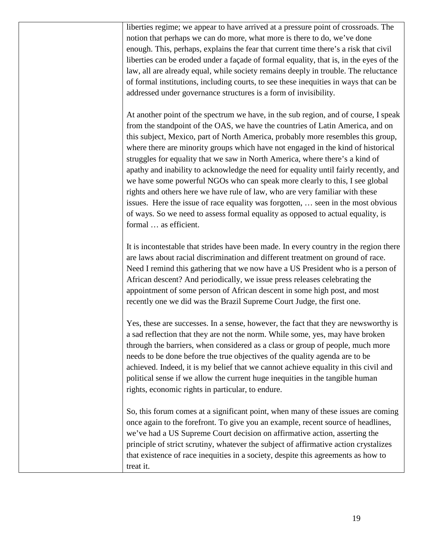liberties regime; we appear to have arrived at a pressure point of crossroads. The notion that perhaps we can do more, what more is there to do, we've done enough. This, perhaps, explains the fear that current time there's a risk that civil liberties can be eroded under a façade of formal equality, that is, in the eyes of the law, all are already equal, while society remains deeply in trouble. The reluctance of formal institutions, including courts, to see these inequities in ways that can be addressed under governance structures is a form of invisibility.

At another point of the spectrum we have, in the sub region, and of course, I speak from the standpoint of the OAS, we have the countries of Latin America, and on this subject, Mexico, part of North America, probably more resembles this group, where there are minority groups which have not engaged in the kind of historical struggles for equality that we saw in North America, where there's a kind of apathy and inability to acknowledge the need for equality until fairly recently, and we have some powerful NGOs who can speak more clearly to this, I see global rights and others here we have rule of law, who are very familiar with these issues. Here the issue of race equality was forgotten, … seen in the most obvious of ways. So we need to assess formal equality as opposed to actual equality, is formal … as efficient.

It is incontestable that strides have been made. In every country in the region there are laws about racial discrimination and different treatment on ground of race. Need I remind this gathering that we now have a US President who is a person of African descent? And periodically, we issue press releases celebrating the appointment of some person of African descent in some high post, and most recently one we did was the Brazil Supreme Court Judge, the first one.

Yes, these are successes. In a sense, however, the fact that they are newsworthy is a sad reflection that they are not the norm. While some, yes, may have broken through the barriers, when considered as a class or group of people, much more needs to be done before the true objectives of the quality agenda are to be achieved. Indeed, it is my belief that we cannot achieve equality in this civil and political sense if we allow the current huge inequities in the tangible human rights, economic rights in particular, to endure.

So, this forum comes at a significant point, when many of these issues are coming once again to the forefront. To give you an example, recent source of headlines, we've had a US Supreme Court decision on affirmative action, asserting the principle of strict scrutiny, whatever the subject of affirmative action crystalizes that existence of race inequities in a society, despite this agreements as how to treat it.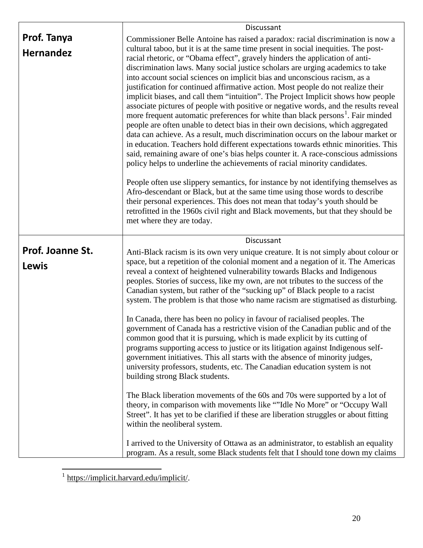|                           | Discussant                                                                                                                                                                                                                                                                                                                                                                                                                                                                                                                                                                                                                                                                                                                                                                                                                                                                                                                                                                                                                                                                                                                                                                                                                                                                                                                                                                                                                                                                   |
|---------------------------|------------------------------------------------------------------------------------------------------------------------------------------------------------------------------------------------------------------------------------------------------------------------------------------------------------------------------------------------------------------------------------------------------------------------------------------------------------------------------------------------------------------------------------------------------------------------------------------------------------------------------------------------------------------------------------------------------------------------------------------------------------------------------------------------------------------------------------------------------------------------------------------------------------------------------------------------------------------------------------------------------------------------------------------------------------------------------------------------------------------------------------------------------------------------------------------------------------------------------------------------------------------------------------------------------------------------------------------------------------------------------------------------------------------------------------------------------------------------------|
| Prof. Tanya               | Commissioner Belle Antoine has raised a paradox: racial discrimination is now a                                                                                                                                                                                                                                                                                                                                                                                                                                                                                                                                                                                                                                                                                                                                                                                                                                                                                                                                                                                                                                                                                                                                                                                                                                                                                                                                                                                              |
| <b>Hernandez</b>          | cultural taboo, but it is at the same time present in social inequities. The post-<br>racial rhetoric, or "Obama effect", gravely hinders the application of anti-<br>discrimination laws. Many social justice scholars are urging academics to take<br>into account social sciences on implicit bias and unconscious racism, as a<br>justification for continued affirmative action. Most people do not realize their<br>implicit biases, and call them "intuition". The Project Implicit shows how people<br>associate pictures of people with positive or negative words, and the results reveal<br>more frequent automatic preferences for white than black persons <sup>1</sup> . Fair minded<br>people are often unable to detect bias in their own decisions, which aggregated<br>data can achieve. As a result, much discrimination occurs on the labour market or<br>in education. Teachers hold different expectations towards ethnic minorities. This<br>said, remaining aware of one's bias helps counter it. A race-conscious admissions<br>policy helps to underline the achievements of racial minority candidates.<br>People often use slippery semantics, for instance by not identifying themselves as<br>Afro-descendant or Black, but at the same time using those words to describe<br>their personal experiences. This does not mean that today's youth should be<br>retrofitted in the 1960s civil right and Black movements, but that they should be |
|                           | met where they are today.                                                                                                                                                                                                                                                                                                                                                                                                                                                                                                                                                                                                                                                                                                                                                                                                                                                                                                                                                                                                                                                                                                                                                                                                                                                                                                                                                                                                                                                    |
|                           | Discussant                                                                                                                                                                                                                                                                                                                                                                                                                                                                                                                                                                                                                                                                                                                                                                                                                                                                                                                                                                                                                                                                                                                                                                                                                                                                                                                                                                                                                                                                   |
| Prof. Joanne St.<br>Lewis | Anti-Black racism is its own very unique creature. It is not simply about colour or<br>space, but a repetition of the colonial moment and a negation of it. The Americas<br>reveal a context of heightened vulnerability towards Blacks and Indigenous<br>peoples. Stories of success, like my own, are not tributes to the success of the<br>Canadian system, but rather of the "sucking up" of Black people to a racist<br>system. The problem is that those who name racism are stigmatised as disturbing.                                                                                                                                                                                                                                                                                                                                                                                                                                                                                                                                                                                                                                                                                                                                                                                                                                                                                                                                                                |
|                           | In Canada, there has been no policy in favour of racialised peoples. The<br>government of Canada has a restrictive vision of the Canadian public and of the<br>common good that it is pursuing, which is made explicit by its cutting of<br>programs supporting access to justice or its litigation against Indigenous self-<br>government initiatives. This all starts with the absence of minority judges,<br>university professors, students, etc. The Canadian education system is not<br>building strong Black students.                                                                                                                                                                                                                                                                                                                                                                                                                                                                                                                                                                                                                                                                                                                                                                                                                                                                                                                                                |
|                           | The Black liberation movements of the 60s and 70s were supported by a lot of<br>theory, in comparison with movements like ""Idle No More" or "Occupy Wall<br>Street". It has yet to be clarified if these are liberation struggles or about fitting<br>within the neoliberal system.                                                                                                                                                                                                                                                                                                                                                                                                                                                                                                                                                                                                                                                                                                                                                                                                                                                                                                                                                                                                                                                                                                                                                                                         |
|                           | I arrived to the University of Ottawa as an administrator, to establish an equality<br>program. As a result, some Black students felt that I should tone down my claims                                                                                                                                                                                                                                                                                                                                                                                                                                                                                                                                                                                                                                                                                                                                                                                                                                                                                                                                                                                                                                                                                                                                                                                                                                                                                                      |

<span id="page-19-0"></span><sup>&</sup>lt;sup>1</sup> [https://implicit.harvard.edu/implicit/.](https://implicit.harvard.edu/implicit/)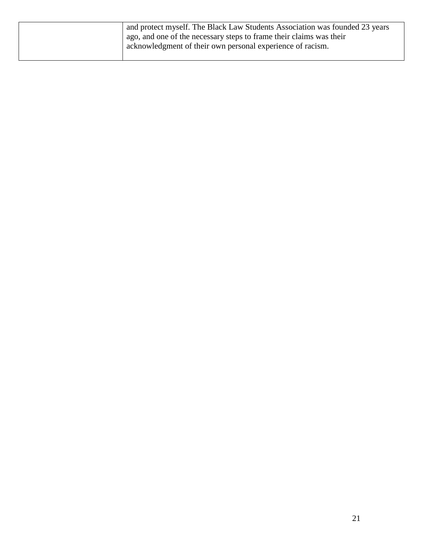| and protect myself. The Black Law Students Association was founded 23 years<br>ago, and one of the necessary steps to frame their claims was their<br>acknowledgment of their own personal experience of racism. |
|------------------------------------------------------------------------------------------------------------------------------------------------------------------------------------------------------------------|
|                                                                                                                                                                                                                  |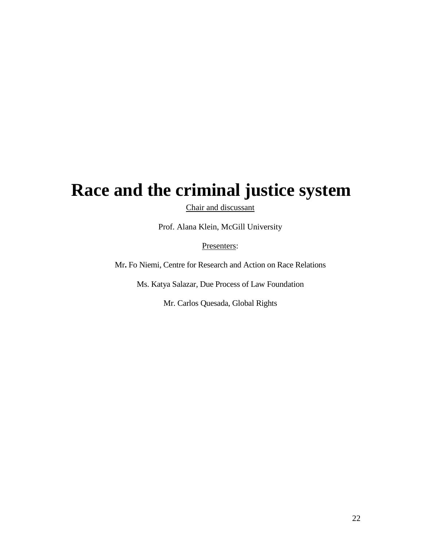### **Race and the criminal justice system**

Chair and discussant

Prof. Alana Klein, McGill University

Presenters:

Mr**.** Fo Niemi, Centre for Research and Action on Race Relations

Ms. Katya Salazar, Due Process of Law Foundation

Mr. Carlos Quesada, Global Rights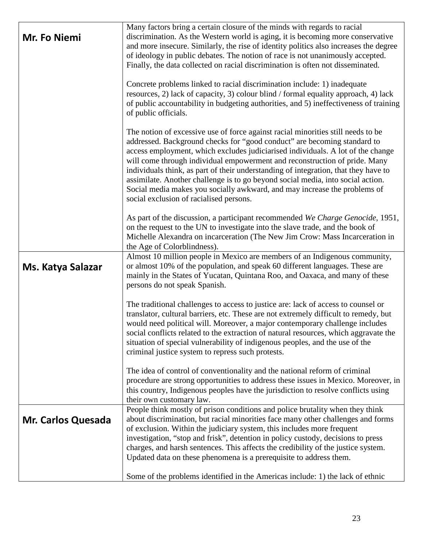| Mr. Fo Niemi              | Many factors bring a certain closure of the minds with regards to racial<br>discrimination. As the Western world is aging, it is becoming more conservative<br>and more insecure. Similarly, the rise of identity politics also increases the degree<br>of ideology in public debates. The notion of race is not unanimously accepted.<br>Finally, the data collected on racial discrimination is often not disseminated.                                                                                                                                                                                                       |
|---------------------------|---------------------------------------------------------------------------------------------------------------------------------------------------------------------------------------------------------------------------------------------------------------------------------------------------------------------------------------------------------------------------------------------------------------------------------------------------------------------------------------------------------------------------------------------------------------------------------------------------------------------------------|
|                           | Concrete problems linked to racial discrimination include: 1) inadequate<br>resources, 2) lack of capacity, 3) colour blind / formal equality approach, 4) lack<br>of public accountability in budgeting authorities, and 5) ineffectiveness of training<br>of public officials.                                                                                                                                                                                                                                                                                                                                                |
|                           | The notion of excessive use of force against racial minorities still needs to be<br>addressed. Background checks for "good conduct" are becoming standard to<br>access employment, which excludes judiciarised individuals. A lot of the change<br>will come through individual empowerment and reconstruction of pride. Many<br>individuals think, as part of their understanding of integration, that they have to<br>assimilate. Another challenge is to go beyond social media, into social action.<br>Social media makes you socially awkward, and may increase the problems of<br>social exclusion of racialised persons. |
|                           | As part of the discussion, a participant recommended We Charge Genocide, 1951,<br>on the request to the UN to investigate into the slave trade, and the book of<br>Michelle Alexandra on incarceration (The New Jim Crow: Mass Incarceration in<br>the Age of Colorblindness).                                                                                                                                                                                                                                                                                                                                                  |
| Ms. Katya Salazar         | Almost 10 million people in Mexico are members of an Indigenous community,<br>or almost 10% of the population, and speak 60 different languages. These are<br>mainly in the States of Yucatan, Quintana Roo, and Oaxaca, and many of these<br>persons do not speak Spanish.                                                                                                                                                                                                                                                                                                                                                     |
|                           | The traditional challenges to access to justice are: lack of access to counsel or<br>translator, cultural barriers, etc. These are not extremely difficult to remedy, but<br>would need political will. Moreover, a major contemporary challenge includes<br>social conflicts related to the extraction of natural resources, which aggravate the<br>situation of special vulnerability of indigenous peoples, and the use of the<br>criminal justice system to repress such protests.                                                                                                                                          |
|                           | The idea of control of conventionality and the national reform of criminal<br>procedure are strong opportunities to address these issues in Mexico. Moreover, in<br>this country, Indigenous peoples have the jurisdiction to resolve conflicts using<br>their own customary law.                                                                                                                                                                                                                                                                                                                                               |
| <b>Mr. Carlos Quesada</b> | People think mostly of prison conditions and police brutality when they think<br>about discrimination, but racial minorities face many other challenges and forms<br>of exclusion. Within the judiciary system, this includes more frequent<br>investigation, "stop and frisk", detention in policy custody, decisions to press<br>charges, and harsh sentences. This affects the credibility of the justice system.<br>Updated data on these phenomena is a prerequisite to address them.                                                                                                                                      |
|                           | Some of the problems identified in the Americas include: 1) the lack of ethnic                                                                                                                                                                                                                                                                                                                                                                                                                                                                                                                                                  |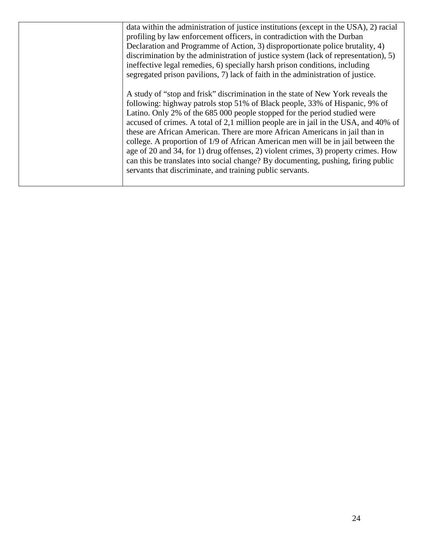| data within the administration of justice institutions (except in the USA), 2) racial<br>profiling by law enforcement officers, in contradiction with the Durban<br>Declaration and Programme of Action, 3) disproportionate police brutality, 4)                                                                        |
|--------------------------------------------------------------------------------------------------------------------------------------------------------------------------------------------------------------------------------------------------------------------------------------------------------------------------|
| discrimination by the administration of justice system (lack of representation), 5)<br>ineffective legal remedies, 6) specially harsh prison conditions, including                                                                                                                                                       |
| segregated prison pavilions, 7) lack of faith in the administration of justice.                                                                                                                                                                                                                                          |
| A study of "stop and frisk" discrimination in the state of New York reveals the<br>following: highway patrols stop 51% of Black people, 33% of Hispanic, 9% of                                                                                                                                                           |
| Latino. Only 2% of the 685 000 people stopped for the period studied were<br>accused of crimes. A total of 2,1 million people are in jail in the USA, and 40% of<br>these are African American. There are more African Americans in jail than in                                                                         |
| college. A proportion of 1/9 of African American men will be in jail between the<br>age of 20 and 34, for 1) drug offenses, 2) violent crimes, 3) property crimes. How<br>can this be translates into social change? By documenting, pushing, firing public<br>servants that discriminate, and training public servants. |
|                                                                                                                                                                                                                                                                                                                          |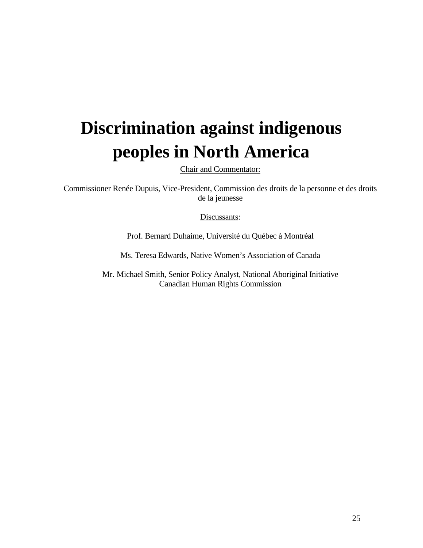# **Discrimination against indigenous peoples in North America**

Chair and Commentator:

Commissioner Renée Dupuis, Vice-President, Commission des droits de la personne et des droits de la jeunesse

Discussants:

Prof. Bernard Duhaime, Université du Québec à Montréal

Ms. Teresa Edwards, Native Women's Association of Canada

Mr. Michael Smith, Senior Policy Analyst, National Aboriginal Initiative Canadian Human Rights Commission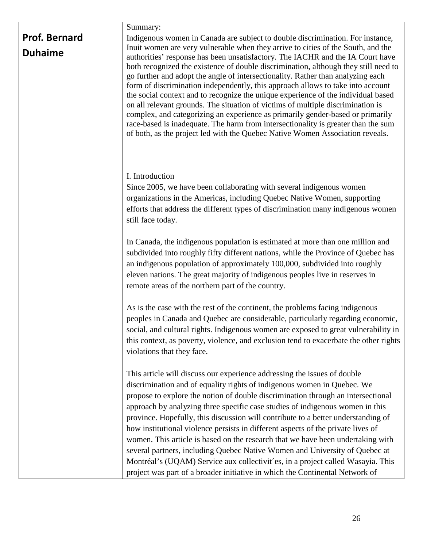#### Summary:

| <b>Prof. Bernard</b> |
|----------------------|
| <b>Duhaime</b>       |

Indigenous women in Canada are subject to double discrimination. For instance, Inuit women are very vulnerable when they arrive to cities of the South, and the authorities' response has been unsatisfactory. The IACHR and the IA Court have both recognized the existence of double discrimination, although they still need to go further and adopt the angle of intersectionality. Rather than analyzing each form of discrimination independently, this approach allows to take into account the social context and to recognize the unique experience of the individual based on all relevant grounds. The situation of victims of multiple discrimination is complex, and categorizing an experience as primarily gender-based or primarily race-based is inadequate. The harm from intersectionality is greater than the sum of both, as the project led with the Quebec Native Women Association reveals.

#### I. Introduction

Since 2005, we have been collaborating with several indigenous women organizations in the Americas, including Quebec Native Women, supporting efforts that address the different types of discrimination many indigenous women still face today.

In Canada, the indigenous population is estimated at more than one million and subdivided into roughly fifty different nations, while the Province of Quebec has an indigenous population of approximately 100,000, subdivided into roughly eleven nations. The great majority of indigenous peoples live in reserves in remote areas of the northern part of the country.

As is the case with the rest of the continent, the problems facing indigenous peoples in Canada and Quebec are considerable, particularly regarding economic, social, and cultural rights. Indigenous women are exposed to great vulnerability in this context, as poverty, violence, and exclusion tend to exacerbate the other rights violations that they face.

This article will discuss our experience addressing the issues of double discrimination and of equality rights of indigenous women in Quebec. We propose to explore the notion of double discrimination through an intersectional approach by analyzing three specific case studies of indigenous women in this province. Hopefully, this discussion will contribute to a better understanding of how institutional violence persists in different aspects of the private lives of women. This article is based on the research that we have been undertaking with several partners, including Quebec Native Women and University of Quebec at Montréal's (UQAM) Service aux collectivit´es, in a project called Wasayia. This project was part of a broader initiative in which the Continental Network of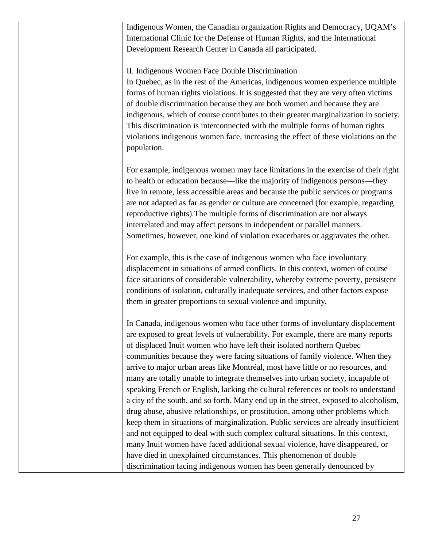Indigenous Women, the Canadian organization Rights and Democracy, UQAM's International Clinic for the Defense of Human Rights, and the International Development Research Center in Canada all participated.

II. Indigenous Women Face Double Discrimination

In Quebec, as in the rest of the Americas, indigenous women experience multiple forms of human rights violations. It is suggested that they are very often victims of double discrimination because they are both women and because they are indigenous, which of course contributes to their greater marginalization in society. This discrimination is interconnected with the multiple forms of human rights violations indigenous women face, increasing the effect of these violations on the population.

For example, indigenous women may face limitations in the exercise of their right to health or education because—like the majority of indigenous persons—they live in remote, less accessible areas and because the public services or programs are not adapted as far as gender or culture are concerned (for example, regarding reproductive rights).The multiple forms of discrimination are not always interrelated and may affect persons in independent or parallel manners. Sometimes, however, one kind of violation exacerbates or aggravates the other.

For example, this is the case of indigenous women who face involuntary displacement in situations of armed conflicts. In this context, women of course face situations of considerable vulnerability, whereby extreme poverty, persistent conditions of isolation, culturally inadequate services, and other factors expose them in greater proportions to sexual violence and impunity.

In Canada, indigenous women who face other forms of involuntary displacement are exposed to great levels of vulnerability. For example, there are many reports of displaced Inuit women who have left their isolated northern Quebec communities because they were facing situations of family violence. When they arrive to major urban areas like Montréal, most have little or no resources, and many are totally unable to integrate themselves into urban society, incapable of speaking French or English, lacking the cultural references or tools to understand a city of the south, and so forth. Many end up in the street, exposed to alcoholism, drug abuse, abusive relationships, or prostitution, among other problems which keep them in situations of marginalization. Public services are already insufficient and not equipped to deal with such complex cultural situations. In this context, many Inuit women have faced additional sexual violence, have disappeared, or have died in unexplained circumstances. This phenomenon of double discrimination facing indigenous women has been generally denounced by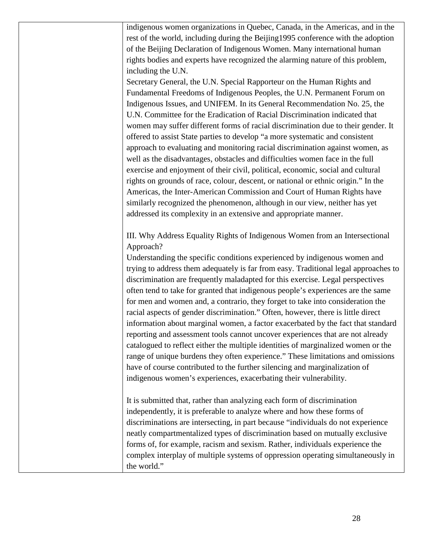indigenous women organizations in Quebec, Canada, in the Americas, and in the rest of the world, including during the Beijing1995 conference with the adoption of the Beijing Declaration of Indigenous Women. Many international human rights bodies and experts have recognized the alarming nature of this problem, including the U.N.

Secretary General, the U.N. Special Rapporteur on the Human Rights and Fundamental Freedoms of Indigenous Peoples, the U.N. Permanent Forum on Indigenous Issues, and UNIFEM. In its General Recommendation No. 25, the U.N. Committee for the Eradication of Racial Discrimination indicated that women may suffer different forms of racial discrimination due to their gender. It offered to assist State parties to develop "a more systematic and consistent approach to evaluating and monitoring racial discrimination against women, as well as the disadvantages, obstacles and difficulties women face in the full exercise and enjoyment of their civil, political, economic, social and cultural rights on grounds of race, colour, descent, or national or ethnic origin." In the Americas, the Inter-American Commission and Court of Human Rights have similarly recognized the phenomenon, although in our view, neither has yet addressed its complexity in an extensive and appropriate manner.

III. Why Address Equality Rights of Indigenous Women from an Intersectional Approach?

Understanding the specific conditions experienced by indigenous women and trying to address them adequately is far from easy. Traditional legal approaches to discrimination are frequently maladapted for this exercise. Legal perspectives often tend to take for granted that indigenous people's experiences are the same for men and women and, a contrario, they forget to take into consideration the racial aspects of gender discrimination." Often, however, there is little direct information about marginal women, a factor exacerbated by the fact that standard reporting and assessment tools cannot uncover experiences that are not already catalogued to reflect either the multiple identities of marginalized women or the range of unique burdens they often experience." These limitations and omissions have of course contributed to the further silencing and marginalization of indigenous women's experiences, exacerbating their vulnerability.

It is submitted that, rather than analyzing each form of discrimination independently, it is preferable to analyze where and how these forms of discriminations are intersecting, in part because "individuals do not experience neatly compartmentalized types of discrimination based on mutually exclusive forms of, for example, racism and sexism. Rather, individuals experience the complex interplay of multiple systems of oppression operating simultaneously in the world."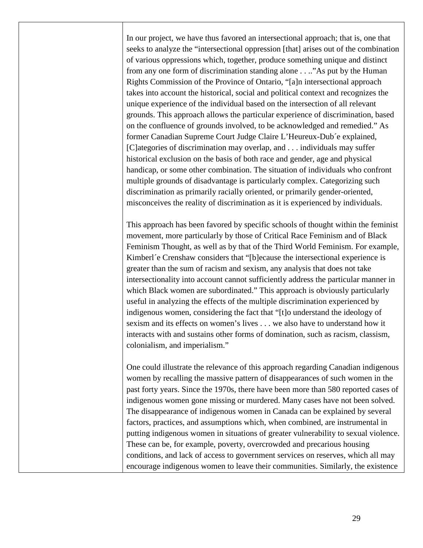In our project, we have thus favored an intersectional approach; that is, one that seeks to analyze the "intersectional oppression [that] arises out of the combination of various oppressions which, together, produce something unique and distinct from any one form of discrimination standing alone . . .."As put by the Human Rights Commission of the Province of Ontario, "[a]n intersectional approach takes into account the historical, social and political context and recognizes the unique experience of the individual based on the intersection of all relevant grounds. This approach allows the particular experience of discrimination, based on the confluence of grounds involved, to be acknowledged and remedied." As former Canadian Supreme Court Judge Claire L'Heureux-Dub´e explained, [C]ategories of discrimination may overlap, and . . . individuals may suffer historical exclusion on the basis of both race and gender, age and physical handicap, or some other combination. The situation of individuals who confront multiple grounds of disadvantage is particularly complex. Categorizing such discrimination as primarily racially oriented, or primarily gender-oriented, misconceives the reality of discrimination as it is experienced by individuals.

This approach has been favored by specific schools of thought within the feminist movement, more particularly by those of Critical Race Feminism and of Black Feminism Thought, as well as by that of the Third World Feminism. For example, Kimberl´e Crenshaw considers that "[b]ecause the intersectional experience is greater than the sum of racism and sexism, any analysis that does not take intersectionality into account cannot sufficiently address the particular manner in which Black women are subordinated." This approach is obviously particularly useful in analyzing the effects of the multiple discrimination experienced by indigenous women, considering the fact that "[t]o understand the ideology of sexism and its effects on women's lives . . . we also have to understand how it interacts with and sustains other forms of domination, such as racism, classism, colonialism, and imperialism."

One could illustrate the relevance of this approach regarding Canadian indigenous women by recalling the massive pattern of disappearances of such women in the past forty years. Since the 1970s, there have been more than 580 reported cases of indigenous women gone missing or murdered. Many cases have not been solved. The disappearance of indigenous women in Canada can be explained by several factors, practices, and assumptions which, when combined, are instrumental in putting indigenous women in situations of greater vulnerability to sexual violence. These can be, for example, poverty, overcrowded and precarious housing conditions, and lack of access to government services on reserves, which all may encourage indigenous women to leave their communities. Similarly, the existence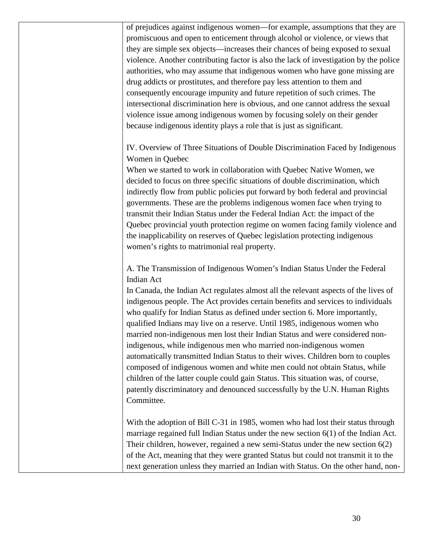of prejudices against indigenous women—for example, assumptions that they are promiscuous and open to enticement through alcohol or violence, or views that they are simple sex objects—increases their chances of being exposed to sexual violence. Another contributing factor is also the lack of investigation by the police authorities, who may assume that indigenous women who have gone missing are drug addicts or prostitutes, and therefore pay less attention to them and consequently encourage impunity and future repetition of such crimes. The intersectional discrimination here is obvious, and one cannot address the sexual violence issue among indigenous women by focusing solely on their gender because indigenous identity plays a role that is just as significant.

IV. Overview of Three Situations of Double Discrimination Faced by Indigenous Women in Quebec

When we started to work in collaboration with Quebec Native Women, we decided to focus on three specific situations of double discrimination, which indirectly flow from public policies put forward by both federal and provincial governments. These are the problems indigenous women face when trying to transmit their Indian Status under the Federal Indian Act: the impact of the Quebec provincial youth protection regime on women facing family violence and the inapplicability on reserves of Quebec legislation protecting indigenous women's rights to matrimonial real property.

A. The Transmission of Indigenous Women's Indian Status Under the Federal Indian Act

In Canada, the Indian Act regulates almost all the relevant aspects of the lives of indigenous people. The Act provides certain benefits and services to individuals who qualify for Indian Status as defined under section 6. More importantly, qualified Indians may live on a reserve. Until 1985, indigenous women who married non-indigenous men lost their Indian Status and were considered nonindigenous, while indigenous men who married non-indigenous women automatically transmitted Indian Status to their wives. Children born to couples composed of indigenous women and white men could not obtain Status, while children of the latter couple could gain Status. This situation was, of course, patently discriminatory and denounced successfully by the U.N. Human Rights Committee.

With the adoption of Bill C-31 in 1985, women who had lost their status through marriage regained full Indian Status under the new section 6(1) of the Indian Act. Their children, however, regained a new semi-Status under the new section 6(2) of the Act, meaning that they were granted Status but could not transmit it to the next generation unless they married an Indian with Status. On the other hand, non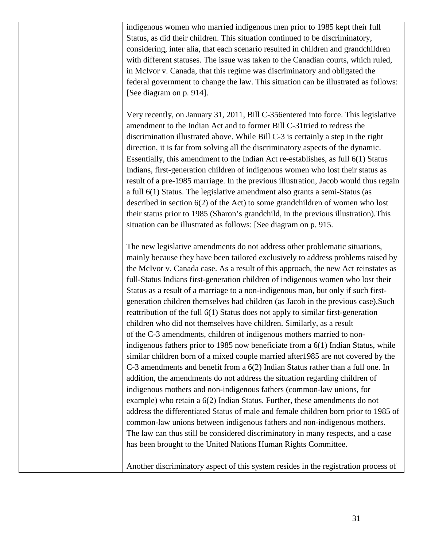indigenous women who married indigenous men prior to 1985 kept their full Status, as did their children. This situation continued to be discriminatory, considering, inter alia, that each scenario resulted in children and grandchildren with different statuses. The issue was taken to the Canadian courts, which ruled, in McIvor v. Canada, that this regime was discriminatory and obligated the federal government to change the law. This situation can be illustrated as follows: [See diagram on p. 914].

Very recently, on January 31, 2011, Bill C-356entered into force. This legislative amendment to the Indian Act and to former Bill C-31tried to redress the discrimination illustrated above. While Bill C-3 is certainly a step in the right direction, it is far from solving all the discriminatory aspects of the dynamic. Essentially, this amendment to the Indian Act re-establishes, as full 6(1) Status Indians, first-generation children of indigenous women who lost their status as result of a pre-1985 marriage. In the previous illustration, Jacob would thus regain a full 6(1) Status. The legislative amendment also grants a semi-Status (as described in section 6(2) of the Act) to some grandchildren of women who lost their status prior to 1985 (Sharon's grandchild, in the previous illustration).This situation can be illustrated as follows: [See diagram on p. 915.

The new legislative amendments do not address other problematic situations, mainly because they have been tailored exclusively to address problems raised by the McIvor v. Canada case. As a result of this approach, the new Act reinstates as full-Status Indians first-generation children of indigenous women who lost their Status as a result of a marriage to a non-indigenous man, but only if such firstgeneration children themselves had children (as Jacob in the previous case).Such reattribution of the full 6(1) Status does not apply to similar first-generation children who did not themselves have children. Similarly, as a result of the C-3 amendments, children of indigenous mothers married to nonindigenous fathers prior to 1985 now beneficiate from a 6(1) Indian Status, while similar children born of a mixed couple married after1985 are not covered by the C-3 amendments and benefit from a 6(2) Indian Status rather than a full one. In addition, the amendments do not address the situation regarding children of indigenous mothers and non-indigenous fathers (common-law unions, for example) who retain a 6(2) Indian Status. Further, these amendments do not address the differentiated Status of male and female children born prior to 1985 of common-law unions between indigenous fathers and non-indigenous mothers. The law can thus still be considered discriminatory in many respects, and a case has been brought to the United Nations Human Rights Committee.

Another discriminatory aspect of this system resides in the registration process of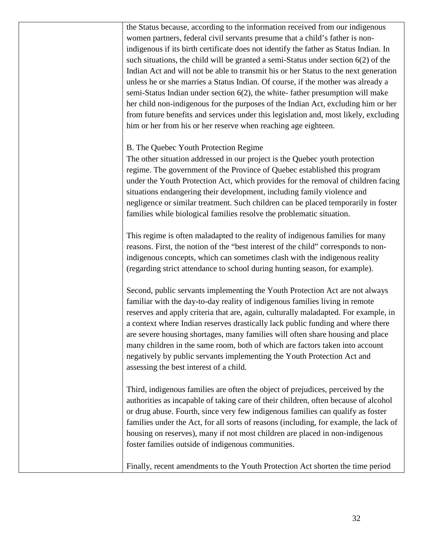the Status because, according to the information received from our indigenous women partners, federal civil servants presume that a child's father is nonindigenous if its birth certificate does not identify the father as Status Indian. In such situations, the child will be granted a semi-Status under section 6(2) of the Indian Act and will not be able to transmit his or her Status to the next generation unless he or she marries a Status Indian. Of course, if the mother was already a semi-Status Indian under section 6(2), the white- father presumption will make her child non-indigenous for the purposes of the Indian Act, excluding him or her from future benefits and services under this legislation and, most likely, excluding him or her from his or her reserve when reaching age eighteen.

### B. The Quebec Youth Protection Regime

The other situation addressed in our project is the Quebec youth protection regime. The government of the Province of Quebec established this program under the Youth Protection Act, which provides for the removal of children facing situations endangering their development, including family violence and negligence or similar treatment. Such children can be placed temporarily in foster families while biological families resolve the problematic situation.

This regime is often maladapted to the reality of indigenous families for many reasons. First, the notion of the "best interest of the child" corresponds to nonindigenous concepts, which can sometimes clash with the indigenous reality (regarding strict attendance to school during hunting season, for example).

Second, public servants implementing the Youth Protection Act are not always familiar with the day-to-day reality of indigenous families living in remote reserves and apply criteria that are, again, culturally maladapted. For example, in a context where Indian reserves drastically lack public funding and where there are severe housing shortages, many families will often share housing and place many children in the same room, both of which are factors taken into account negatively by public servants implementing the Youth Protection Act and assessing the best interest of a child.

Third, indigenous families are often the object of prejudices, perceived by the authorities as incapable of taking care of their children, often because of alcohol or drug abuse. Fourth, since very few indigenous families can qualify as foster families under the Act, for all sorts of reasons (including, for example, the lack of housing on reserves), many if not most children are placed in non-indigenous foster families outside of indigenous communities.

Finally, recent amendments to the Youth Protection Act shorten the time period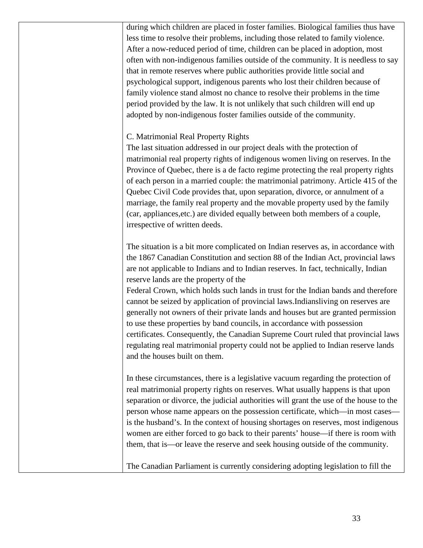during which children are placed in foster families. Biological families thus have less time to resolve their problems, including those related to family violence. After a now-reduced period of time, children can be placed in adoption, most often with non-indigenous families outside of the community. It is needless to say that in remote reserves where public authorities provide little social and psychological support, indigenous parents who lost their children because of family violence stand almost no chance to resolve their problems in the time period provided by the law. It is not unlikely that such children will end up adopted by non-indigenous foster families outside of the community.

### C. Matrimonial Real Property Rights

The last situation addressed in our project deals with the protection of matrimonial real property rights of indigenous women living on reserves. In the Province of Quebec, there is a de facto regime protecting the real property rights of each person in a married couple: the matrimonial patrimony. Article 415 of the Quebec Civil Code provides that, upon separation, divorce, or annulment of a marriage, the family real property and the movable property used by the family (car, appliances,etc.) are divided equally between both members of a couple, irrespective of written deeds.

The situation is a bit more complicated on Indian reserves as, in accordance with the 1867 Canadian Constitution and section 88 of the Indian Act, provincial laws are not applicable to Indians and to Indian reserves. In fact, technically, Indian reserve lands are the property of the

Federal Crown, which holds such lands in trust for the Indian bands and therefore cannot be seized by application of provincial laws.Indiansliving on reserves are generally not owners of their private lands and houses but are granted permission to use these properties by band councils, in accordance with possession certificates. Consequently, the Canadian Supreme Court ruled that provincial laws regulating real matrimonial property could not be applied to Indian reserve lands and the houses built on them.

In these circumstances, there is a legislative vacuum regarding the protection of real matrimonial property rights on reserves. What usually happens is that upon separation or divorce, the judicial authorities will grant the use of the house to the person whose name appears on the possession certificate, which—in most cases is the husband's. In the context of housing shortages on reserves, most indigenous women are either forced to go back to their parents' house—if there is room with them, that is—or leave the reserve and seek housing outside of the community.

The Canadian Parliament is currently considering adopting legislation to fill the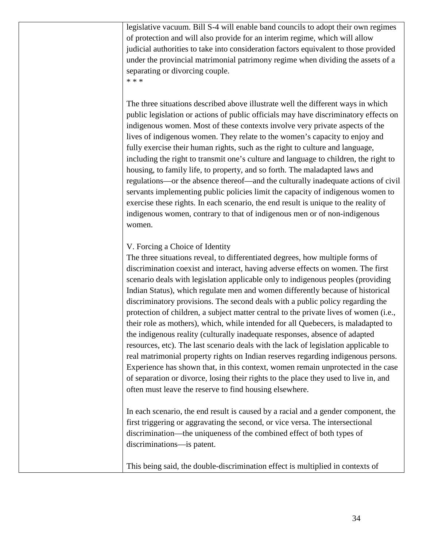legislative vacuum. Bill S-4 will enable band councils to adopt their own regimes of protection and will also provide for an interim regime, which will allow judicial authorities to take into consideration factors equivalent to those provided under the provincial matrimonial patrimony regime when dividing the assets of a separating or divorcing couple.

\* \* \*

The three situations described above illustrate well the different ways in which public legislation or actions of public officials may have discriminatory effects on indigenous women. Most of these contexts involve very private aspects of the lives of indigenous women. They relate to the women's capacity to enjoy and fully exercise their human rights, such as the right to culture and language, including the right to transmit one's culture and language to children, the right to housing, to family life, to property, and so forth. The maladapted laws and regulations—or the absence thereof—and the culturally inadequate actions of civil servants implementing public policies limit the capacity of indigenous women to exercise these rights. In each scenario, the end result is unique to the reality of indigenous women, contrary to that of indigenous men or of non-indigenous women.

#### V. Forcing a Choice of Identity

The three situations reveal, to differentiated degrees, how multiple forms of discrimination coexist and interact, having adverse effects on women. The first scenario deals with legislation applicable only to indigenous peoples (providing Indian Status), which regulate men and women differently because of historical discriminatory provisions. The second deals with a public policy regarding the protection of children, a subject matter central to the private lives of women (i.e., their role as mothers), which, while intended for all Quebecers, is maladapted to the indigenous reality (culturally inadequate responses, absence of adapted resources, etc). The last scenario deals with the lack of legislation applicable to real matrimonial property rights on Indian reserves regarding indigenous persons. Experience has shown that, in this context, women remain unprotected in the case of separation or divorce, losing their rights to the place they used to live in, and often must leave the reserve to find housing elsewhere.

In each scenario, the end result is caused by a racial and a gender component, the first triggering or aggravating the second, or vice versa. The intersectional discrimination—the uniqueness of the combined effect of both types of discriminations—is patent.

This being said, the double-discrimination effect is multiplied in contexts of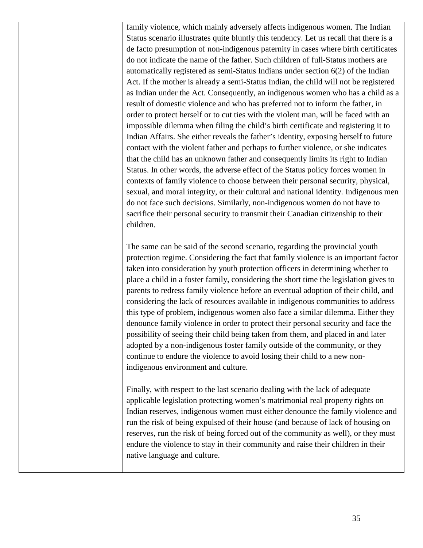family violence, which mainly adversely affects indigenous women. The Indian Status scenario illustrates quite bluntly this tendency. Let us recall that there is a de facto presumption of non-indigenous paternity in cases where birth certificates do not indicate the name of the father. Such children of full-Status mothers are automatically registered as semi-Status Indians under section 6(2) of the Indian Act. If the mother is already a semi-Status Indian, the child will not be registered as Indian under the Act. Consequently, an indigenous women who has a child as a result of domestic violence and who has preferred not to inform the father, in order to protect herself or to cut ties with the violent man, will be faced with an impossible dilemma when filing the child's birth certificate and registering it to Indian Affairs. She either reveals the father's identity, exposing herself to future contact with the violent father and perhaps to further violence, or she indicates that the child has an unknown father and consequently limits its right to Indian Status. In other words, the adverse effect of the Status policy forces women in contexts of family violence to choose between their personal security, physical, sexual, and moral integrity, or their cultural and national identity. Indigenous men do not face such decisions. Similarly, non-indigenous women do not have to sacrifice their personal security to transmit their Canadian citizenship to their children.

The same can be said of the second scenario, regarding the provincial youth protection regime. Considering the fact that family violence is an important factor taken into consideration by youth protection officers in determining whether to place a child in a foster family, considering the short time the legislation gives to parents to redress family violence before an eventual adoption of their child, and considering the lack of resources available in indigenous communities to address this type of problem, indigenous women also face a similar dilemma. Either they denounce family violence in order to protect their personal security and face the possibility of seeing their child being taken from them, and placed in and later adopted by a non-indigenous foster family outside of the community, or they continue to endure the violence to avoid losing their child to a new nonindigenous environment and culture.

Finally, with respect to the last scenario dealing with the lack of adequate applicable legislation protecting women's matrimonial real property rights on Indian reserves, indigenous women must either denounce the family violence and run the risk of being expulsed of their house (and because of lack of housing on reserves, run the risk of being forced out of the community as well), or they must endure the violence to stay in their community and raise their children in their native language and culture.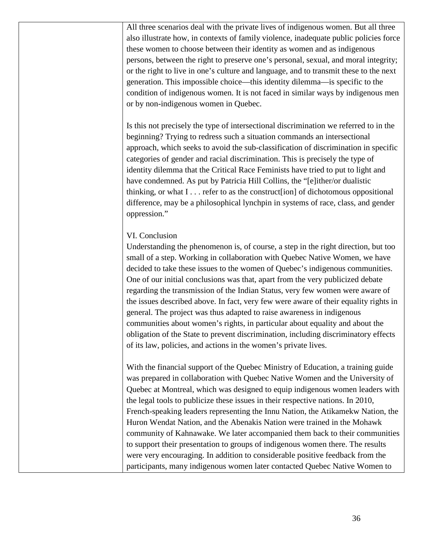All three scenarios deal with the private lives of indigenous women. But all three also illustrate how, in contexts of family violence, inadequate public policies force these women to choose between their identity as women and as indigenous persons, between the right to preserve one's personal, sexual, and moral integrity; or the right to live in one's culture and language, and to transmit these to the next generation. This impossible choice—this identity dilemma—is specific to the condition of indigenous women. It is not faced in similar ways by indigenous men or by non-indigenous women in Quebec.

Is this not precisely the type of intersectional discrimination we referred to in the beginning? Trying to redress such a situation commands an intersectional approach, which seeks to avoid the sub-classification of discrimination in specific categories of gender and racial discrimination. This is precisely the type of identity dilemma that the Critical Race Feminists have tried to put to light and have condemned. As put by Patricia Hill Collins, the "[e]ither/or dualistic thinking, or what I . . . refer to as the construct[ion] of dichotomous oppositional difference, may be a philosophical lynchpin in systems of race, class, and gender oppression."

### VI. Conclusion

Understanding the phenomenon is, of course, a step in the right direction, but too small of a step. Working in collaboration with Quebec Native Women, we have decided to take these issues to the women of Quebec's indigenous communities. One of our initial conclusions was that, apart from the very publicized debate regarding the transmission of the Indian Status, very few women were aware of the issues described above. In fact, very few were aware of their equality rights in general. The project was thus adapted to raise awareness in indigenous communities about women's rights, in particular about equality and about the obligation of the State to prevent discrimination, including discriminatory effects of its law, policies, and actions in the women's private lives.

With the financial support of the Quebec Ministry of Education, a training guide was prepared in collaboration with Quebec Native Women and the University of Quebec at Montreal, which was designed to equip indigenous women leaders with the legal tools to publicize these issues in their respective nations. In 2010, French-speaking leaders representing the Innu Nation, the Atikamekw Nation, the Huron Wendat Nation, and the Abenakis Nation were trained in the Mohawk community of Kahnawake. We later accompanied them back to their communities to support their presentation to groups of indigenous women there. The results were very encouraging. In addition to considerable positive feedback from the participants, many indigenous women later contacted Quebec Native Women to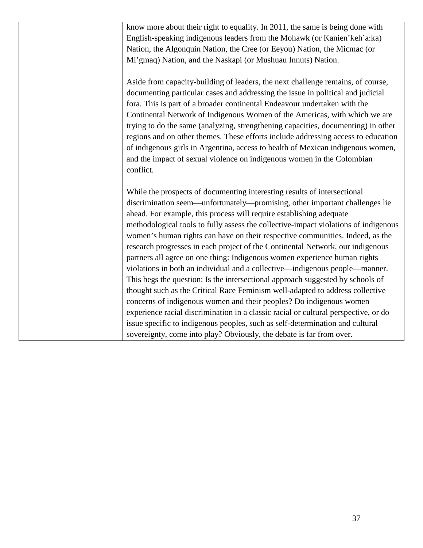| know more about their right to equality. In 2011, the same is being done with       |
|-------------------------------------------------------------------------------------|
| English-speaking indigenous leaders from the Mohawk (or Kanien'keh'a:ka)            |
| Nation, the Algonquin Nation, the Cree (or Eeyou) Nation, the Micmac (or            |
| Mi'gmaq) Nation, and the Naskapi (or Mushuau Innuts) Nation.                        |
|                                                                                     |
| Aside from capacity-building of leaders, the next challenge remains, of course,     |
| documenting particular cases and addressing the issue in political and judicial     |
| fora. This is part of a broader continental Endeavour undertaken with the           |
| Continental Network of Indigenous Women of the Americas, with which we are          |
| trying to do the same (analyzing, strengthening capacities, documenting) in other   |
| regions and on other themes. These efforts include addressing access to education   |
| of indigenous girls in Argentina, access to health of Mexican indigenous women,     |
| and the impact of sexual violence on indigenous women in the Colombian              |
| conflict.                                                                           |
|                                                                                     |
| While the prospects of documenting interesting results of intersectional            |
| discrimination seem—unfortunately—promising, other important challenges lie         |
| ahead. For example, this process will require establishing adequate                 |
| methodological tools to fully assess the collective-impact violations of indigenous |
| women's human rights can have on their respective communities. Indeed, as the       |
| research progresses in each project of the Continental Network, our indigenous      |
| partners all agree on one thing: Indigenous women experience human rights           |
| violations in both an individual and a collective-indigenous people-manner.         |
| This begs the question: Is the intersectional approach suggested by schools of      |
| thought such as the Critical Race Feminism well-adapted to address collective       |
| concerns of indigenous women and their peoples? Do indigenous women                 |
| experience racial discrimination in a classic racial or cultural perspective, or do |
| issue specific to indigenous peoples, such as self-determination and cultural       |
| sovereignty, come into play? Obviously, the debate is far from over.                |
|                                                                                     |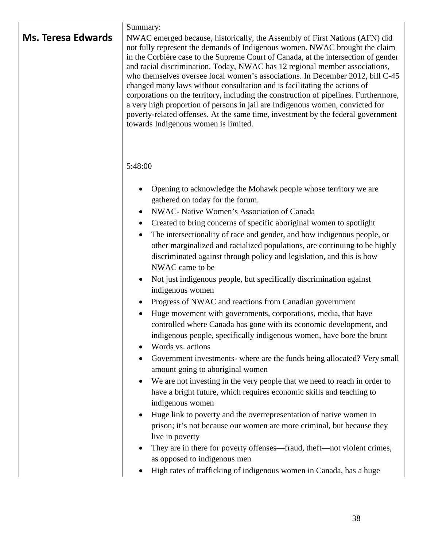| Summary:<br>NWAC emerged because, historically, the Assembly of First Nations (AFN) did<br>not fully represent the demands of Indigenous women. NWAC brought the claim<br>in the Corbière case to the Supreme Court of Canada, at the intersection of gender<br>and racial discrimination. Today, NWAC has 12 regional member associations,<br>who themselves oversee local women's associations. In December 2012, bill C-45<br>changed many laws without consultation and is facilitating the actions of<br>corporations on the territory, including the construction of pipelines. Furthermore,<br>a very high proportion of persons in jail are Indigenous women, convicted for<br>poverty-related offenses. At the same time, investment by the federal government<br>towards Indigenous women is limited.                                                                                                                                                                                                                                                                                                                                                                                                                                                                                                                                                                                                               |
|-------------------------------------------------------------------------------------------------------------------------------------------------------------------------------------------------------------------------------------------------------------------------------------------------------------------------------------------------------------------------------------------------------------------------------------------------------------------------------------------------------------------------------------------------------------------------------------------------------------------------------------------------------------------------------------------------------------------------------------------------------------------------------------------------------------------------------------------------------------------------------------------------------------------------------------------------------------------------------------------------------------------------------------------------------------------------------------------------------------------------------------------------------------------------------------------------------------------------------------------------------------------------------------------------------------------------------------------------------------------------------------------------------------------------------|
| 5:48:00                                                                                                                                                                                                                                                                                                                                                                                                                                                                                                                                                                                                                                                                                                                                                                                                                                                                                                                                                                                                                                                                                                                                                                                                                                                                                                                                                                                                                       |
| Opening to acknowledge the Mohawk people whose territory we are<br>gathered on today for the forum.<br>NWAC- Native Women's Association of Canada<br>Created to bring concerns of specific aboriginal women to spotlight<br>$\bullet$<br>The intersectionality of race and gender, and how indigenous people, or<br>other marginalized and racialized populations, are continuing to be highly<br>discriminated against through policy and legislation, and this is how<br>NWAC came to be<br>Not just indigenous people, but specifically discrimination against<br>indigenous women<br>Progress of NWAC and reactions from Canadian government<br>Huge movement with governments, corporations, media, that have<br>controlled where Canada has gone with its economic development, and<br>indigenous people, specifically indigenous women, have bore the brunt<br>Words vs. actions<br>Government investments- where are the funds being allocated? Very small<br>amount going to aboriginal women<br>We are not investing in the very people that we need to reach in order to<br>have a bright future, which requires economic skills and teaching to<br>indigenous women<br>Huge link to poverty and the overrepresentation of native women in<br>prison; it's not because our women are more criminal, but because they<br>live in poverty<br>They are in there for poverty offenses—fraud, theft—not violent crimes, |
| as opposed to indigenous men<br>High rates of trafficking of indigenous women in Canada, has a huge                                                                                                                                                                                                                                                                                                                                                                                                                                                                                                                                                                                                                                                                                                                                                                                                                                                                                                                                                                                                                                                                                                                                                                                                                                                                                                                           |
|                                                                                                                                                                                                                                                                                                                                                                                                                                                                                                                                                                                                                                                                                                                                                                                                                                                                                                                                                                                                                                                                                                                                                                                                                                                                                                                                                                                                                               |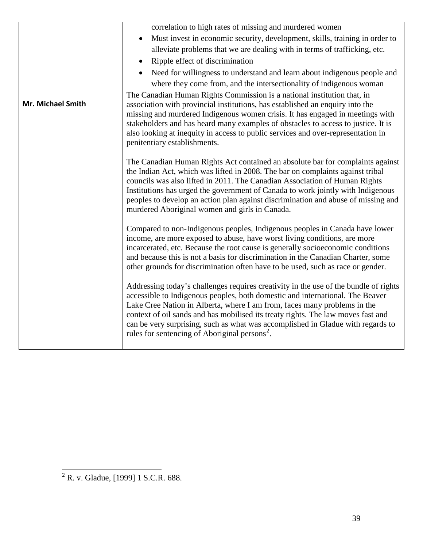|                   | correlation to high rates of missing and murdered women                                                                                                                                                                                                                                                                                                                                                                                                                               |
|-------------------|---------------------------------------------------------------------------------------------------------------------------------------------------------------------------------------------------------------------------------------------------------------------------------------------------------------------------------------------------------------------------------------------------------------------------------------------------------------------------------------|
|                   | Must invest in economic security, development, skills, training in order to                                                                                                                                                                                                                                                                                                                                                                                                           |
|                   | alleviate problems that we are dealing with in terms of trafficking, etc.                                                                                                                                                                                                                                                                                                                                                                                                             |
|                   | Ripple effect of discrimination<br>$\bullet$                                                                                                                                                                                                                                                                                                                                                                                                                                          |
|                   | Need for willingness to understand and learn about indigenous people and                                                                                                                                                                                                                                                                                                                                                                                                              |
|                   | where they come from, and the intersectionality of indigenous woman                                                                                                                                                                                                                                                                                                                                                                                                                   |
| Mr. Michael Smith | The Canadian Human Rights Commission is a national institution that, in<br>association with provincial institutions, has established an enquiry into the<br>missing and murdered Indigenous women crisis. It has engaged in meetings with<br>stakeholders and has heard many examples of obstacles to access to justice. It is<br>also looking at inequity in access to public services and over-representation in<br>penitentiary establishments.                                    |
|                   | The Canadian Human Rights Act contained an absolute bar for complaints against<br>the Indian Act, which was lifted in 2008. The bar on complaints against tribal<br>councils was also lifted in 2011. The Canadian Association of Human Rights<br>Institutions has urged the government of Canada to work jointly with Indigenous<br>peoples to develop an action plan against discrimination and abuse of missing and<br>murdered Aboriginal women and girls in Canada.              |
|                   | Compared to non-Indigenous peoples, Indigenous peoples in Canada have lower<br>income, are more exposed to abuse, have worst living conditions, are more<br>incarcerated, etc. Because the root cause is generally socioeconomic conditions<br>and because this is not a basis for discrimination in the Canadian Charter, some<br>other grounds for discrimination often have to be used, such as race or gender.                                                                    |
|                   | Addressing today's challenges requires creativity in the use of the bundle of rights<br>accessible to Indigenous peoples, both domestic and international. The Beaver<br>Lake Cree Nation in Alberta, where I am from, faces many problems in the<br>context of oil sands and has mobilised its treaty rights. The law moves fast and<br>can be very surprising, such as what was accomplished in Gladue with regards to<br>rules for sentencing of Aboriginal persons <sup>2</sup> . |
|                   |                                                                                                                                                                                                                                                                                                                                                                                                                                                                                       |

<span id="page-38-0"></span> $\sqrt[2]{2}$  R. v. Gladue, [1999] 1 S.C.R. 688.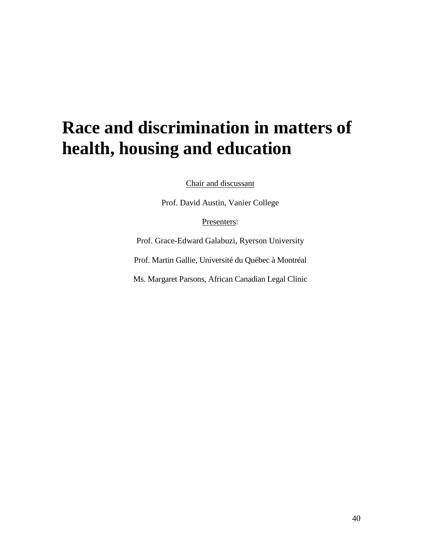# **Race and discrimination in matters of health, housing and education**

Chair and discussant

Prof. David Austin, Vanier College

Presenters:

Prof. Grace-Edward Galabuzi, Ryerson University

Prof. Martin Gallie, Université du Québec à Montréal

Ms. Margaret Parsons, African Canadian Legal Clinic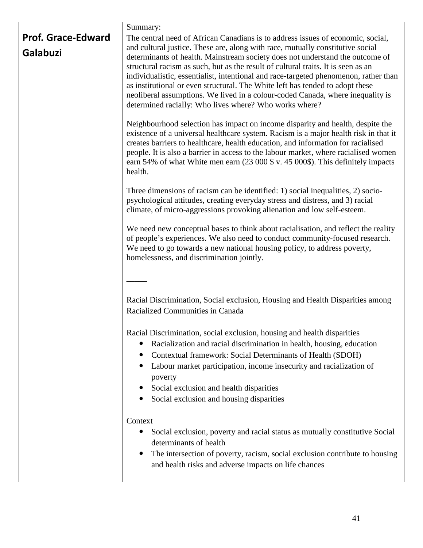|                                       | Summary:                                                                                                                                                                                                                                                                                                                                                                                                                                                                                                                                                                                                                                                     |
|---------------------------------------|--------------------------------------------------------------------------------------------------------------------------------------------------------------------------------------------------------------------------------------------------------------------------------------------------------------------------------------------------------------------------------------------------------------------------------------------------------------------------------------------------------------------------------------------------------------------------------------------------------------------------------------------------------------|
| <b>Prof. Grace-Edward</b><br>Galabuzi | The central need of African Canadians is to address issues of economic, social,<br>and cultural justice. These are, along with race, mutually constitutive social<br>determinants of health. Mainstream society does not understand the outcome of<br>structural racism as such, but as the result of cultural traits. It is seen as an<br>individualistic, essentialist, intentional and race-targeted phenomenon, rather than<br>as institutional or even structural. The White left has tended to adopt these<br>neoliberal assumptions. We lived in a colour-coded Canada, where inequality is<br>determined racially: Who lives where? Who works where? |
|                                       | Neighbourhood selection has impact on income disparity and health, despite the<br>existence of a universal healthcare system. Racism is a major health risk in that it<br>creates barriers to healthcare, health education, and information for racialised<br>people. It is also a barrier in access to the labour market, where racialised women<br>earn 54% of what White men earn (23 000 \$ v. 45 000\$). This definitely impacts<br>health.                                                                                                                                                                                                             |
|                                       | Three dimensions of racism can be identified: 1) social inequalities, 2) socio-<br>psychological attitudes, creating everyday stress and distress, and 3) racial<br>climate, of micro-aggressions provoking alienation and low self-esteem.                                                                                                                                                                                                                                                                                                                                                                                                                  |
|                                       | We need new conceptual bases to think about racialisation, and reflect the reality<br>of people's experiences. We also need to conduct community-focused research.<br>We need to go towards a new national housing policy, to address poverty,<br>homelessness, and discrimination jointly.                                                                                                                                                                                                                                                                                                                                                                  |
|                                       |                                                                                                                                                                                                                                                                                                                                                                                                                                                                                                                                                                                                                                                              |
|                                       | Racial Discrimination, Social exclusion, Housing and Health Disparities among<br>Racialized Communities in Canada                                                                                                                                                                                                                                                                                                                                                                                                                                                                                                                                            |
|                                       | Racial Discrimination, social exclusion, housing and health disparities<br>Racialization and racial discrimination in health, housing, education<br>Contextual framework: Social Determinants of Health (SDOH)<br>Labour market participation, income insecurity and racialization of<br>poverty<br>Social exclusion and health disparities<br>Social exclusion and housing disparities                                                                                                                                                                                                                                                                      |
|                                       | Context<br>Social exclusion, poverty and racial status as mutually constitutive Social<br>determinants of health<br>The intersection of poverty, racism, social exclusion contribute to housing<br>and health risks and adverse impacts on life chances                                                                                                                                                                                                                                                                                                                                                                                                      |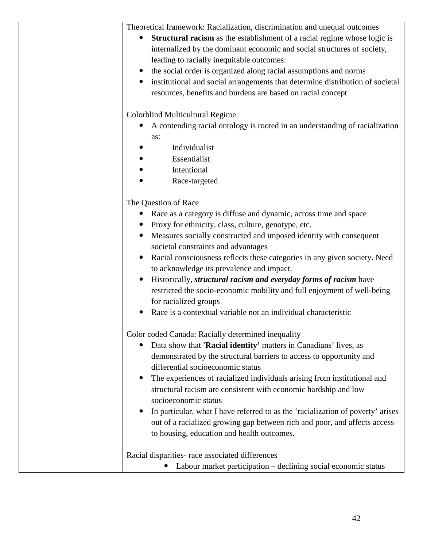| Theoretical framework: Racialization, discrimination and unequal outcomes<br>Structural racism as the establishment of a racial regime whose logic is<br>$\bullet$<br>internalized by the dominant economic and social structures of society,<br>leading to racially inequitable outcomes:<br>the social order is organized along racial assumptions and norms<br>institutional and social arrangements that determine distribution of societal<br>resources, benefits and burdens are based on racial concept |
|----------------------------------------------------------------------------------------------------------------------------------------------------------------------------------------------------------------------------------------------------------------------------------------------------------------------------------------------------------------------------------------------------------------------------------------------------------------------------------------------------------------|
| Colorblind Multicultural Regime                                                                                                                                                                                                                                                                                                                                                                                                                                                                                |
| A contending racial ontology is rooted in an understanding of racialization                                                                                                                                                                                                                                                                                                                                                                                                                                    |
| as:                                                                                                                                                                                                                                                                                                                                                                                                                                                                                                            |
| Individualist                                                                                                                                                                                                                                                                                                                                                                                                                                                                                                  |
| Essentialist                                                                                                                                                                                                                                                                                                                                                                                                                                                                                                   |
| Intentional                                                                                                                                                                                                                                                                                                                                                                                                                                                                                                    |
| Race-targeted                                                                                                                                                                                                                                                                                                                                                                                                                                                                                                  |
| The Question of Race                                                                                                                                                                                                                                                                                                                                                                                                                                                                                           |
| Race as a category is diffuse and dynamic, across time and space                                                                                                                                                                                                                                                                                                                                                                                                                                               |
| Proxy for ethnicity, class, culture, genotype, etc.<br>$\bullet$                                                                                                                                                                                                                                                                                                                                                                                                                                               |
| Measures socially constructed and imposed identity with consequent<br>$\bullet$                                                                                                                                                                                                                                                                                                                                                                                                                                |
| societal constraints and advantages                                                                                                                                                                                                                                                                                                                                                                                                                                                                            |
| Racial consciousness reflects these categories in any given society. Need<br>$\bullet$                                                                                                                                                                                                                                                                                                                                                                                                                         |
| to acknowledge its prevalence and impact.                                                                                                                                                                                                                                                                                                                                                                                                                                                                      |
| Historically, structural racism and everyday forms of racism have                                                                                                                                                                                                                                                                                                                                                                                                                                              |
| restricted the socio-economic mobility and full enjoyment of well-being                                                                                                                                                                                                                                                                                                                                                                                                                                        |
| for racialized groups                                                                                                                                                                                                                                                                                                                                                                                                                                                                                          |
| Race is a contextual variable not an individual characteristic                                                                                                                                                                                                                                                                                                                                                                                                                                                 |
| Color coded Canada: Racially determined inequality                                                                                                                                                                                                                                                                                                                                                                                                                                                             |
| Data show that 'Racial identity' matters in Canadians' lives, as<br>$\bullet$                                                                                                                                                                                                                                                                                                                                                                                                                                  |
| demonstrated by the structural barriers to access to opportunity and<br>differential socioeconomic status                                                                                                                                                                                                                                                                                                                                                                                                      |
| The experiences of racialized individuals arising from institutional and<br>$\bullet$                                                                                                                                                                                                                                                                                                                                                                                                                          |
| structural racism are consistent with economic hardship and low                                                                                                                                                                                                                                                                                                                                                                                                                                                |
| socioeconomic status                                                                                                                                                                                                                                                                                                                                                                                                                                                                                           |
| In particular, what I have referred to as the 'racialization of poverty' arises<br>$\bullet$                                                                                                                                                                                                                                                                                                                                                                                                                   |
| out of a racialized growing gap between rich and poor, and affects access                                                                                                                                                                                                                                                                                                                                                                                                                                      |
| to housing, education and health outcomes.                                                                                                                                                                                                                                                                                                                                                                                                                                                                     |
| Racial disparities- race associated differences                                                                                                                                                                                                                                                                                                                                                                                                                                                                |
| Labour market participation – declining social economic status                                                                                                                                                                                                                                                                                                                                                                                                                                                 |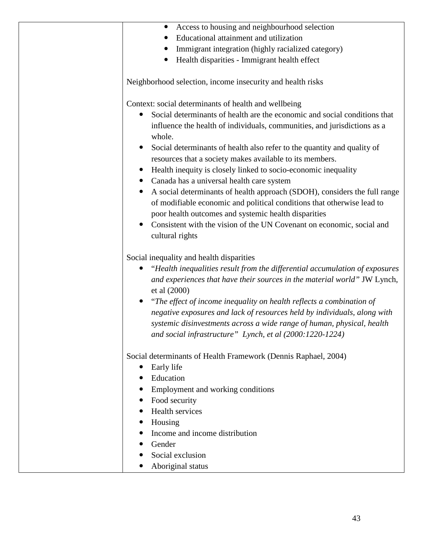| Access to housing and neighbourhood selection                                            |
|------------------------------------------------------------------------------------------|
| Educational attainment and utilization                                                   |
| Immigrant integration (highly racialized category)                                       |
| Health disparities - Immigrant health effect                                             |
| Neighborhood selection, income insecurity and health risks                               |
| Context: social determinants of health and wellbeing                                     |
| Social determinants of health are the economic and social conditions that                |
| influence the health of individuals, communities, and jurisdictions as a<br>whole.       |
| Social determinants of health also refer to the quantity and quality of                  |
| resources that a society makes available to its members.                                 |
| Health inequity is closely linked to socio-economic inequality                           |
| Canada has a universal health care system                                                |
| A social determinants of health approach (SDOH), considers the full range                |
| of modifiable economic and political conditions that otherwise lead to                   |
| poor health outcomes and systemic health disparities                                     |
| Consistent with the vision of the UN Covenant on economic, social and                    |
| cultural rights                                                                          |
| Social inequality and health disparities                                                 |
| "Health inequalities result from the differential accumulation of exposures              |
| and experiences that have their sources in the material world" JW Lynch,<br>et al (2000) |
| "The effect of income inequality on health reflects a combination of                     |
| negative exposures and lack of resources held by individuals, along with                 |
| systemic disinvestments across a wide range of human, physical, health                   |
| and social infrastructure" Lynch, et al (2000:1220-1224)                                 |
| Social determinants of Health Framework (Dennis Raphael, 2004)                           |
| Early life<br>$\bullet$                                                                  |
| Education                                                                                |
| Employment and working conditions                                                        |
| Food security                                                                            |
| Health services                                                                          |
| Housing                                                                                  |
| Income and income distribution                                                           |
| Gender                                                                                   |
| Social exclusion                                                                         |
| Aboriginal status                                                                        |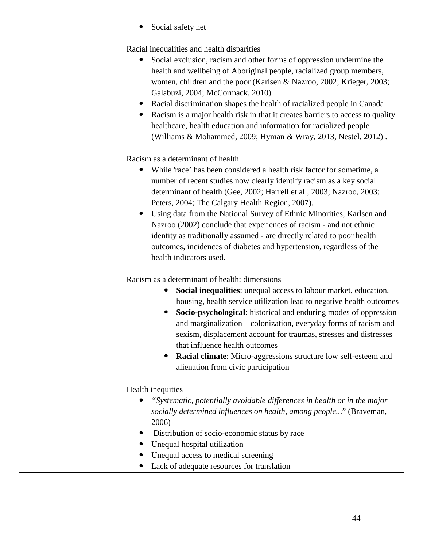| Social safety net<br>$\bullet$                                                                                                                                                                                                                                                                                                                                                                                                                                                                                                                                                                                                                           |
|----------------------------------------------------------------------------------------------------------------------------------------------------------------------------------------------------------------------------------------------------------------------------------------------------------------------------------------------------------------------------------------------------------------------------------------------------------------------------------------------------------------------------------------------------------------------------------------------------------------------------------------------------------|
| Racial inequalities and health disparities<br>Social exclusion, racism and other forms of oppression undermine the<br>health and wellbeing of Aboriginal people, racialized group members,<br>women, children and the poor (Karlsen & Nazroo, 2002; Krieger, 2003;<br>Galabuzi, 2004; McCormack, 2010)<br>Racial discrimination shapes the health of racialized people in Canada<br>Racism is a major health risk in that it creates barriers to access to quality<br>healthcare, health education and information for racialized people<br>(Williams & Mohammed, 2009; Hyman & Wray, 2013, Nestel, 2012).                                               |
| Racism as a determinant of health<br>While 'race' has been considered a health risk factor for sometime, a<br>number of recent studies now clearly identify racism as a key social<br>determinant of health (Gee, 2002; Harrell et al., 2003; Nazroo, 2003;<br>Peters, 2004; The Calgary Health Region, 2007).<br>Using data from the National Survey of Ethnic Minorities, Karlsen and<br>$\bullet$<br>Nazroo (2002) conclude that experiences of racism - and not ethnic<br>identity as traditionally assumed - are directly related to poor health<br>outcomes, incidences of diabetes and hypertension, regardless of the<br>health indicators used. |
| Racism as a determinant of health: dimensions<br>Social inequalities: unequal access to labour market, education,<br>$\bullet$<br>housing, health service utilization lead to negative health outcomes<br>Socio-psychological: historical and enduring modes of oppression<br>$\bullet$<br>and marginalization – colonization, everyday forms of racism and<br>sexism, displacement account for traumas, stresses and distresses<br>that influence health outcomes<br>Racial climate: Micro-aggressions structure low self-esteem and<br>$\bullet$<br>alienation from civic participation                                                                |
| Health inequities<br>"Systematic, potentially avoidable differences in health or in the major<br>socially determined influences on health, among people" (Braveman,<br>2006)<br>Distribution of socio-economic status by race<br>Unequal hospital utilization<br>Unequal access to medical screening<br>Lack of adequate resources for translation                                                                                                                                                                                                                                                                                                       |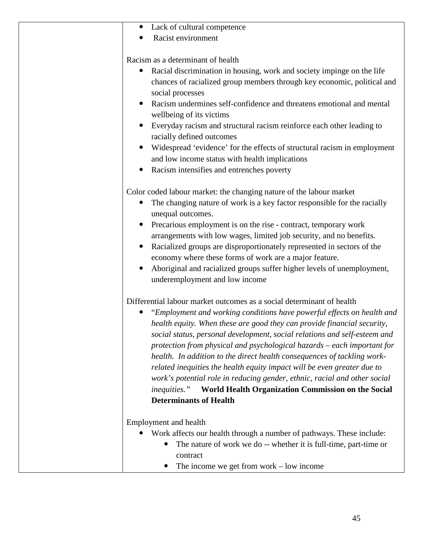| Lack of cultural competence                                                           |
|---------------------------------------------------------------------------------------|
| Racist environment                                                                    |
|                                                                                       |
| Racism as a determinant of health                                                     |
| Racial discrimination in housing, work and society impinge on the life<br>$\bullet$   |
| chances of racialized group members through key economic, political and               |
| social processes                                                                      |
| Racism undermines self-confidence and threatens emotional and mental                  |
| wellbeing of its victims                                                              |
| Everyday racism and structural racism reinforce each other leading to                 |
| racially defined outcomes                                                             |
| Widespread 'evidence' for the effects of structural racism in employment              |
|                                                                                       |
| and low income status with health implications                                        |
| Racism intensifies and entrenches poverty                                             |
| Color coded labour market: the changing nature of the labour market                   |
| The changing nature of work is a key factor responsible for the racially<br>$\bullet$ |
| unequal outcomes.                                                                     |
| Precarious employment is on the rise - contract, temporary work                       |
| arrangements with low wages, limited job security, and no benefits.                   |
|                                                                                       |
| Racialized groups are disproportionately represented in sectors of the                |
| economy where these forms of work are a major feature.                                |
| Aboriginal and racialized groups suffer higher levels of unemployment,                |
| underemployment and low income                                                        |
| Differential labour market outcomes as a social determinant of health                 |
| "Employment and working conditions have powerful effects on health and                |
| health equity. When these are good they can provide financial security,               |
| social status, personal development, social relations and self-esteem and             |
| protection from physical and psychological hazards – each important for               |
| health. In addition to the direct health consequences of tackling work-               |
|                                                                                       |
| related inequities the health equity impact will be even greater due to               |
| work's potential role in reducing gender, ethnic, racial and other social             |
| World Health Organization Commission on the Social<br><i>inequities.</i> "            |
| <b>Determinants of Health</b>                                                         |
| Employment and health                                                                 |
| Work affects our health through a number of pathways. These include:                  |
|                                                                                       |
| The nature of work we do -- whether it is full-time, part-time or                     |
| contract                                                                              |
| The income we get from work $-$ low income                                            |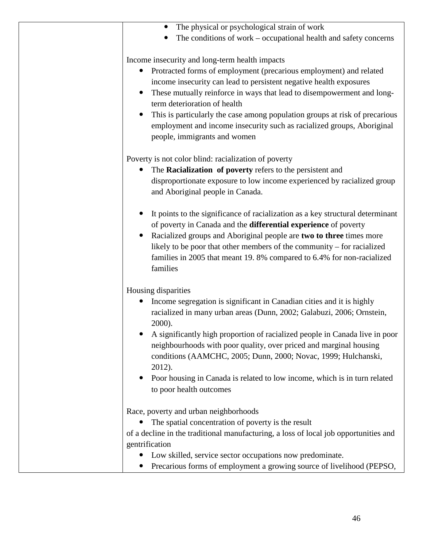| The physical or psychological strain of work<br>$\bullet$                            |
|--------------------------------------------------------------------------------------|
| The conditions of work – occupational health and safety concerns                     |
|                                                                                      |
| Income insecurity and long-term health impacts                                       |
| Protracted forms of employment (precarious employment) and related                   |
| income insecurity can lead to persistent negative health exposures                   |
|                                                                                      |
| These mutually reinforce in ways that lead to disempowerment and long-               |
| term deterioration of health                                                         |
| This is particularly the case among population groups at risk of precarious          |
| employment and income insecurity such as racialized groups, Aboriginal               |
| people, immigrants and women                                                         |
|                                                                                      |
| Poverty is not color blind: racialization of poverty                                 |
| The Racialization of poverty refers to the persistent and                            |
| disproportionate exposure to low income experienced by racialized group              |
| and Aboriginal people in Canada.                                                     |
|                                                                                      |
| It points to the significance of racialization as a key structural determinant       |
| of poverty in Canada and the differential experience of poverty                      |
| $\bullet$                                                                            |
| Racialized groups and Aboriginal people are two to three times more                  |
| likely to be poor that other members of the community – for racialized               |
| families in 2005 that meant 19.8% compared to 6.4% for non-racialized                |
| families                                                                             |
|                                                                                      |
| Housing disparities                                                                  |
| Income segregation is significant in Canadian cities and it is highly                |
| racialized in many urban areas (Dunn, 2002; Galabuzi, 2006; Ornstein,                |
| 2000).                                                                               |
| A significantly high proportion of racialized people in Canada live in poor          |
| neighbourhoods with poor quality, over priced and marginal housing                   |
| conditions (AAMCHC, 2005; Dunn, 2000; Novac, 1999; Hulchanski,                       |
| 2012).                                                                               |
| Poor housing in Canada is related to low income, which is in turn related            |
| to poor health outcomes                                                              |
|                                                                                      |
|                                                                                      |
| Race, poverty and urban neighborhoods                                                |
| The spatial concentration of poverty is the result<br>$\bullet$                      |
| of a decline in the traditional manufacturing, a loss of local job opportunities and |
| gentrification                                                                       |
| Low skilled, service sector occupations now predominate.<br>$\bullet$                |
| Precarious forms of employment a growing source of livelihood (PEPSO,                |
|                                                                                      |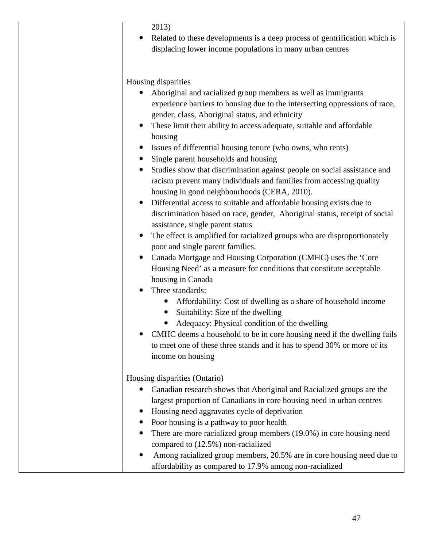| Related to these developments is a deep process of gentrification which is |
|----------------------------------------------------------------------------|
| displacing lower income populations in many urban centres                  |

Housing disparities

- Aboriginal and racialized group members as well as immigrants experience barriers to housing due to the intersecting oppressions of race, gender, class, Aboriginal status, and ethnicity
- These limit their ability to access adequate, suitable and affordable housing
- Issues of differential housing tenure (who owns, who rents)
- Single parent households and housing
- Studies show that discrimination against people on social assistance and racism prevent many individuals and families from accessing quality housing in good neighbourhoods (CERA, 2010).
- Differential access to suitable and affordable housing exists due to discrimination based on race, gender, Aboriginal status, receipt of social assistance, single parent status
- The effect is amplified for racialized groups who are disproportionately poor and single parent families.
- Canada Mortgage and Housing Corporation (CMHC) uses the 'Core Housing Need' as a measure for conditions that constitute acceptable housing in Canada
- Three standards:
	- Affordability: Cost of dwelling as a share of household income
	- Suitability: Size of the dwelling
	- Adequacy: Physical condition of the dwelling
- CMHC deems a household to be in core housing need if the dwelling fails to meet one of these three stands and it has to spend 30% or more of its income on housing

Housing disparities (Ontario)

- Canadian research shows that Aboriginal and Racialized groups are the largest proportion of Canadians in core housing need in urban centres
- Housing need aggravates cycle of deprivation
- Poor housing is a pathway to poor health
- There are more racialized group members (19.0%) in core housing need compared to (12.5%) non-racialized
- Among racialized group members, 20.5% are in core housing need due to affordability as compared to 17.9% among non-racialized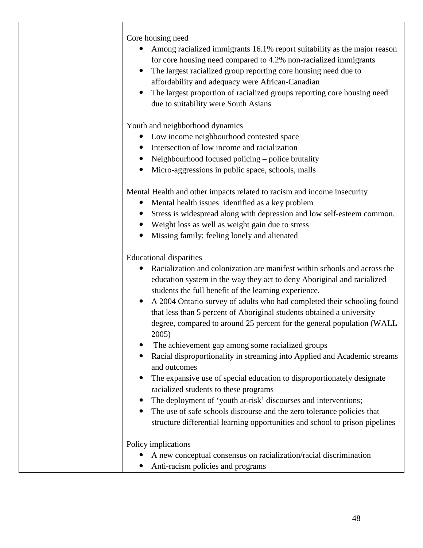Core housing need

- Among racialized immigrants 16.1% report suitability as the major reason for core housing need compared to 4.2% non-racialized immigrants
- The largest racialized group reporting core housing need due to affordability and adequacy were African-Canadian
- The largest proportion of racialized groups reporting core housing need due to suitability were South Asians

Youth and neighborhood dynamics

- Low income neighbourhood contested space
- Intersection of low income and racialization
- Neighbourhood focused policing police brutality
- Micro-aggressions in public space, schools, malls

Mental Health and other impacts related to racism and income insecurity

- Mental health issues identified as a key problem
- Stress is widespread along with depression and low self-esteem common.
- Weight loss as well as weight gain due to stress
- Missing family; feeling lonely and alienated

Educational disparities

| Racialization and colonization are manifest within schools and across the                                       |
|-----------------------------------------------------------------------------------------------------------------|
| education system in the way they act to deny Aboriginal and racialized                                          |
| students the full benefit of the learning experience.                                                           |
| A 2004 Ontario survey of adults who had completed their schooling found<br>$\bullet$                            |
| that less than 5 percent of Aboriginal students obtained a university                                           |
| degree, compared to around 25 percent for the general population (WALL)<br>2005)                                |
| The achievement gap among some racialized groups                                                                |
| Racial disproportionality in streaming into Applied and Academic streams<br>and outcomes                        |
| The expansive use of special education to disproportionately designate<br>racialized students to these programs |
| The deployment of 'youth at-risk' discourses and interventions;<br>$\bullet$                                    |
| The use of safe schools discourse and the zero tolerance policies that                                          |
| structure differential learning opportunities and school to prison pipelines                                    |
| Policy implications                                                                                             |
| A new conceptual consensus on racialization/racial discrimination                                               |
| Anti-racism policies and programs                                                                               |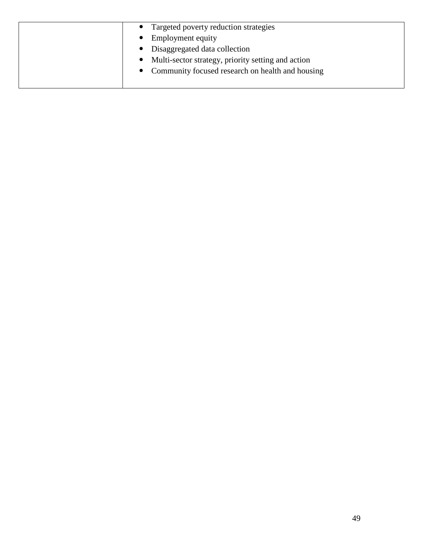| Targeted poverty reduction strategies                           |
|-----------------------------------------------------------------|
| Employment equity                                               |
| Disaggregated data collection<br>$\bullet$                      |
| Multi-sector strategy, priority setting and action<br>$\bullet$ |
| • Community focused research on health and housing              |
|                                                                 |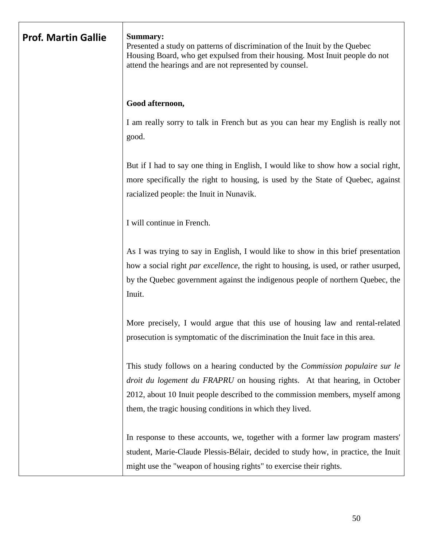| <b>Prof. Martin Gallie</b> | Summary:<br>Presented a study on patterns of discrimination of the Inuit by the Quebec<br>Housing Board, who get expulsed from their housing. Most Inuit people do not<br>attend the hearings and are not represented by counsel.                                                                                     |
|----------------------------|-----------------------------------------------------------------------------------------------------------------------------------------------------------------------------------------------------------------------------------------------------------------------------------------------------------------------|
|                            | Good afternoon,                                                                                                                                                                                                                                                                                                       |
|                            | I am really sorry to talk in French but as you can hear my English is really not<br>good.                                                                                                                                                                                                                             |
|                            | But if I had to say one thing in English, I would like to show how a social right,<br>more specifically the right to housing, is used by the State of Quebec, against<br>racialized people: the Inuit in Nunavik.                                                                                                     |
|                            | I will continue in French.                                                                                                                                                                                                                                                                                            |
|                            | As I was trying to say in English, I would like to show in this brief presentation<br>how a social right par excellence, the right to housing, is used, or rather usurped,<br>by the Quebec government against the indigenous people of northern Quebec, the<br>Inuit.                                                |
|                            | More precisely, I would argue that this use of housing law and rental-related<br>prosecution is symptomatic of the discrimination the Inuit face in this area.                                                                                                                                                        |
|                            | This study follows on a hearing conducted by the <i>Commission populaire sur le</i><br><i>droit du logement du FRAPRU</i> on housing rights. At that hearing, in October<br>2012, about 10 Inuit people described to the commission members, myself among<br>them, the tragic housing conditions in which they lived. |
|                            | In response to these accounts, we, together with a former law program masters'<br>student, Marie-Claude Plessis-Bélair, decided to study how, in practice, the Inuit<br>might use the "weapon of housing rights" to exercise their rights.                                                                            |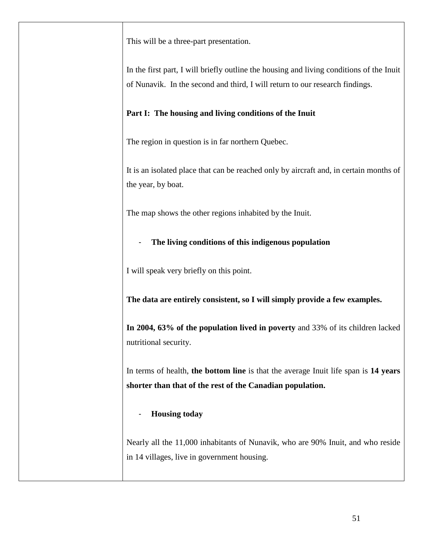This will be a three-part presentation.

In the first part, I will briefly outline the housing and living conditions of the Inuit of Nunavik. In the second and third, I will return to our research findings.

## **Part I: The housing and living conditions of the Inuit**

The region in question is in far northern Quebec.

It is an isolated place that can be reached only by aircraft and, in certain months of the year, by boat.

The map shows the other regions inhabited by the Inuit.

# - **The living conditions of this indigenous population**

I will speak very briefly on this point.

**The data are entirely consistent, so I will simply provide a few examples.**

**In 2004, 63% of the population lived in poverty** and 33% of its children lacked nutritional security.

In terms of health, **the bottom line** is that the average Inuit life span is **14 years shorter than that of the rest of the Canadian population.**

# - **Housing today**

Nearly all the 11,000 inhabitants of Nunavik, who are 90% Inuit, and who reside in 14 villages, live in government housing.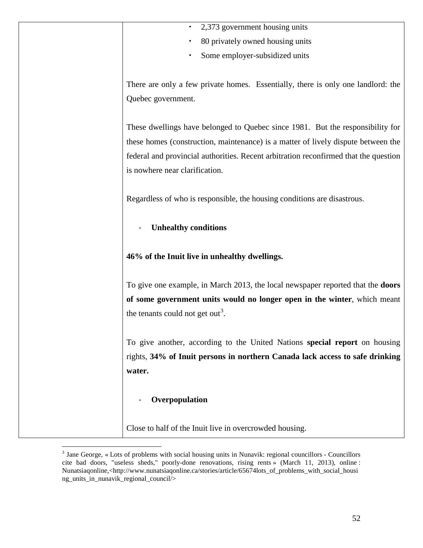|  |  | 2,373 government housing units |  |  |
|--|--|--------------------------------|--|--|
|--|--|--------------------------------|--|--|

- 80 privately owned housing units
- Some employer-subsidized units

There are only a few private homes. Essentially, there is only one landlord: the Quebec government.

These dwellings have belonged to Quebec since 1981. But the responsibility for these homes (construction, maintenance) is a matter of lively dispute between the federal and provincial authorities. Recent arbitration reconfirmed that the question is nowhere near clarification.

Regardless of who is responsible, the housing conditions are disastrous.

- **Unhealthy conditions**

**46% of the Inuit live in unhealthy dwellings.**

To give one example, in March 2013, the local newspaper reported that the **doors of some government units would no longer open in the winter**, which meant the tenants could not get out<sup>[3](#page-51-0)</sup>.

To give another, according to the United Nations **special report** on housing rights, **34% of Inuit persons in northern Canada lack access to safe drinking water.**

#### - **Overpopulation**

Close to half of the Inuit live in overcrowded housing.

<span id="page-51-0"></span> <sup>3</sup> Jane George, « Lots of problems with social housing units in Nunavik: regional councillors - Councillors cite bad doors, "useless sheds," poorly-done renovations, rising rents » (March 11, 2013), online : Nunatsiagonline,<http://www.nunatsiagonline.ca/stories/article/65674lots of problems with social housi ng\_units\_in\_nunavik\_regional\_council/>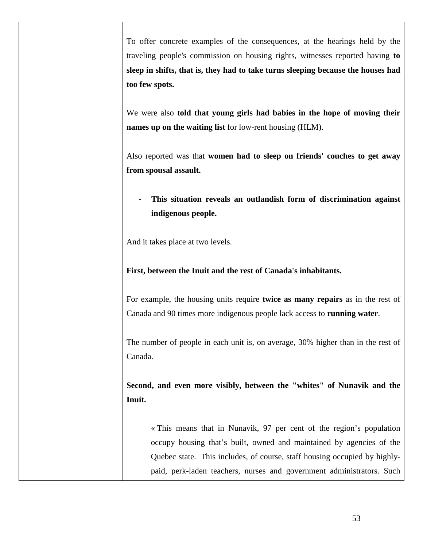To offer concrete examples of the consequences, at the hearings held by the traveling people's commission on housing rights, witnesses reported having **to sleep in shifts, that is, they had to take turns sleeping because the houses had too few spots.**

We were also **told that young girls had babies in the hope of moving their names up on the waiting list** for low-rent housing (HLM).

Also reported was that **women had to sleep on friends' couches to get away from spousal assault.**

- **This situation reveals an outlandish form of discrimination against indigenous people.**

And it takes place at two levels.

**First, between the Inuit and the rest of Canada's inhabitants.**

For example, the housing units require **twice as many repairs** as in the rest of Canada and 90 times more indigenous people lack access to **running water**.

The number of people in each unit is, on average, 30% higher than in the rest of Canada.

**Second, and even more visibly, between the "whites" of Nunavik and the Inuit.**

« This means that in Nunavik, 97 per cent of the region's population occupy housing that's built, owned and maintained by agencies of the Quebec state. This includes, of course, staff housing occupied by highlypaid, perk-laden teachers, nurses and government administrators. Such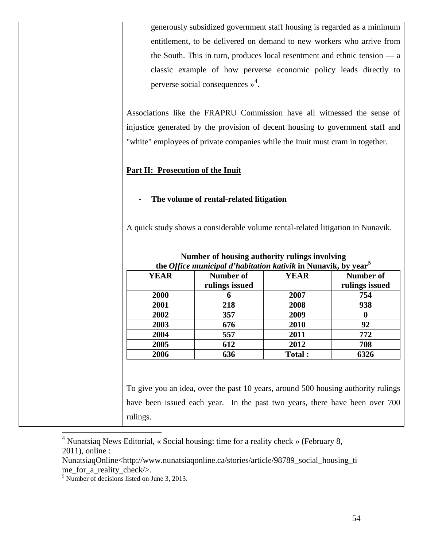| generously subsidized government staff housing is regarded as a minimum             |
|-------------------------------------------------------------------------------------|
| entitlement, to be delivered on demand to new workers who arrive from               |
| the South. This in turn, produces local resentment and ethnic tension $\frac{a}{x}$ |
| classic example of how perverse economic policy leads directly to                   |
| perverse social consequences $\frac{1}{2}$ .                                        |

Associations like the FRAPRU Commission have all witnessed the sense of injustice generated by the provision of decent housing to government staff and "white" employees of private companies while the Inuit must cram in together.

#### **Part II: Prosecution of the Inuit**

#### - **The volume of rental-related litigation**

A quick study shows a considerable volume rental-related litigation in Nunavik.

| <b>YEAR</b> | Number of<br>rulings issued | <b>YEAR</b> | <b>Number of</b><br>rulings issued |
|-------------|-----------------------------|-------------|------------------------------------|
| 2000        | n                           | 2007        | 754                                |
| 2001        | 218                         | 2008        | 938                                |
| 2002        | 357                         | 2009        |                                    |
| 2003        | 676                         | 2010        | 92                                 |
| 2004        | 557                         | 2011        | 772                                |
| 2005        | 612                         | 2012        | 708                                |
| 2006        | 636                         | Total:      | 6326                               |

#### **Number of housing authority rulings involving the** *Office municipal d'habitation kativik* **in Nunavik, by year[5](#page-53-1)**

To give you an idea, over the past 10 years, around 500 housing authority rulings have been issued each year. In the past two years, there have been over 700 rulings.

<span id="page-53-0"></span> 4 Nunatsiaq News Editorial, « Social housing: time for a reality check » (February 8, 2011), online :

NunatsiaqOnline<http://www.nunatsiaqonline.ca/stories/article/98789\_social\_housing\_ti me\_for\_a\_reality\_check/>.

<span id="page-53-1"></span><sup>5</sup> Number of decisions listed on June 3, 2013.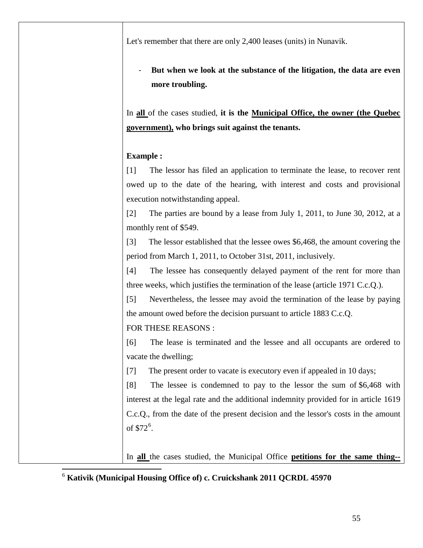Let's remember that there are only 2,400 leases (units) in Nunavik.

But when we look at the substance of the litigation, the data are even **more troubling.**

In **all** of the cases studied, **it is the Municipal Office, the owner (the Quebec government), who brings suit against the tenants.**

# **Example :**

[1] The lessor has filed an application to terminate the lease, to recover rent owed up to the date of the hearing, with interest and costs and provisional execution notwithstanding appeal.

[2] The parties are bound by a lease from July 1, 2011, to June 30, 2012, at a monthly rent of \$549.

[3] The lessor established that the lessee owes \$6,468, the amount covering the period from March 1, 2011, to October 31st, 2011, inclusively.

[4] The lessee has consequently delayed payment of the rent for more than three weeks, which justifies the termination of the lease (article 1971 C.c.Q.).

[5] Nevertheless, the lessee may avoid the termination of the lease by paying the amount owed before the decision pursuant to article 1883 C.c.Q.

# FOR THESE REASONS :

[6] The lease is terminated and the lessee and all occupants are ordered to vacate the dwelling;

[7] The present order to vacate is executory even if appealed in 10 days;

[8] The lessee is condemned to pay to the lessor the sum of \$6,468 with interest at the legal rate and the additional indemnity provided for in article 1619 C.c.Q., from the date of the present decision and the lessor's costs in the amount of  $$72^6$  $$72^6$ .

In **all** the cases studied, the Municipal Office **petitions for the same thing--**

### <span id="page-54-0"></span>6 **Kativik (Municipal Housing Office of) c. Cruickshank 2011 QCRDL 45970**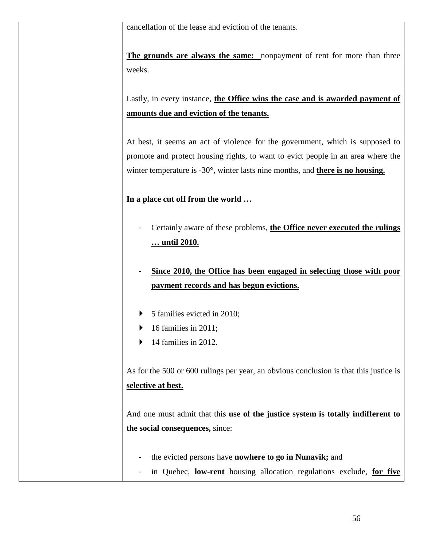cancellation of the lease and eviction of the tenants.

**The grounds are always the same:** nonpayment of rent for more than three weeks.

Lastly, in every instance, **the Office wins the case and is awarded payment of amounts due and eviction of the tenants.**

At best, it seems an act of violence for the government, which is supposed to promote and protect housing rights, to want to evict people in an area where the winter temperature is -30°, winter lasts nine months, and **there is no housing.**

**In a place cut off from the world …**

- Certainly aware of these problems, **the Office never executed the rulings … until 2010.**
- **Since 2010, the Office has been engaged in selecting those with poor payment records and has begun evictions.**
- $\triangleright$  5 families evicted in 2010;
- $\blacktriangleright$  16 families in 2011;
- $\blacktriangleright$  14 families in 2012.

As for the 500 or 600 rulings per year, an obvious conclusion is that this justice is **selective at best.** 

And one must admit that this **use of the justice system is totally indifferent to the social consequences,** since:

- the evicted persons have **nowhere to go in Nunavik;** and
- in Quebec, **low-rent** housing allocation regulations exclude, **for five**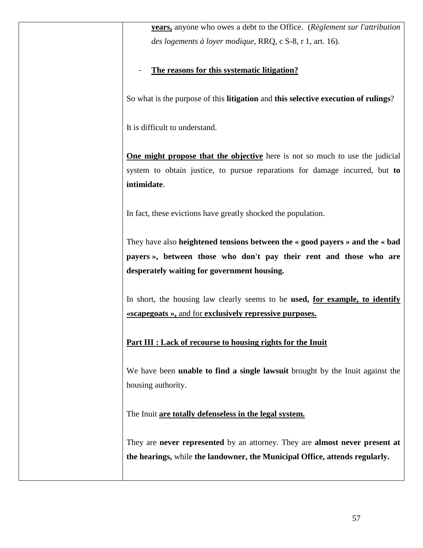| <b>years,</b> anyone who owes a debt to the Office. (Règlement sur l'attribution                                                                                   |
|--------------------------------------------------------------------------------------------------------------------------------------------------------------------|
| des logements à loyer modique, RRQ, c S-8, r 1, art. 16).                                                                                                          |
| The reasons for this systematic litigation?                                                                                                                        |
| So what is the purpose of this litigation and this selective execution of rulings?                                                                                 |
| It is difficult to understand.                                                                                                                                     |
| <b>One might propose that the objective</b> here is not so much to use the judicial<br>system to obtain justice, to pursue reparations for damage incurred, but to |
| intimidate.                                                                                                                                                        |
| In fact, these evictions have greatly shocked the population.                                                                                                      |
| They have also heightened tensions between the « good payers » and the « bad                                                                                       |
| payers », between those who don't pay their rent and those who are                                                                                                 |
| desperately waiting for government housing.                                                                                                                        |
| In short, the housing law clearly seems to be used, for example, to identify<br>«scapegoats », and for exclusively repressive purposes.                            |
| Part III : Lack of recourse to housing rights for the Inuit                                                                                                        |
| We have been <b>unable to find a single lawsuit</b> brought by the Inuit against the<br>housing authority.                                                         |
| The Inuit are totally defenseless in the legal system.                                                                                                             |
| They are never represented by an attorney. They are almost never present at<br>the hearings, while the landowner, the Municipal Office, attends regularly.         |
|                                                                                                                                                                    |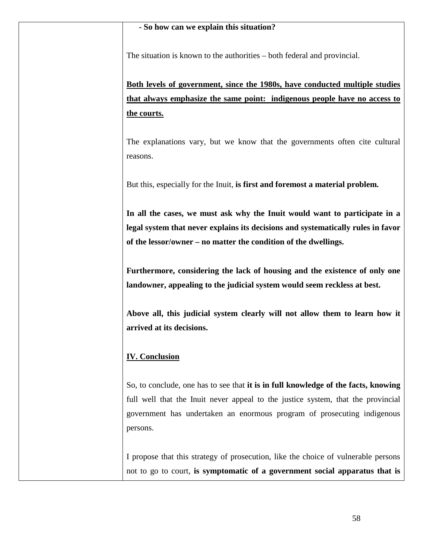The situation is known to the authorities – both federal and provincial.

**Both levels of government, since the 1980s, have conducted multiple studies that always emphasize the same point: indigenous people have no access to the courts.**

The explanations vary, but we know that the governments often cite cultural reasons.

But this, especially for the Inuit, **is first and foremost a material problem.**

**In all the cases, we must ask why the Inuit would want to participate in a legal system that never explains its decisions and systematically rules in favor of the lessor/owner – no matter the condition of the dwellings.** 

**Furthermore, considering the lack of housing and the existence of only one landowner, appealing to the judicial system would seem reckless at best.** 

**Above all, this judicial system clearly will not allow them to learn how it arrived at its decisions.**

### **IV. Conclusion**

So, to conclude, one has to see that **it is in full knowledge of the facts, knowing**  full well that the Inuit never appeal to the justice system, that the provincial government has undertaken an enormous program of prosecuting indigenous persons.

I propose that this strategy of prosecution, like the choice of vulnerable persons not to go to court, **is symptomatic of a government social apparatus that is**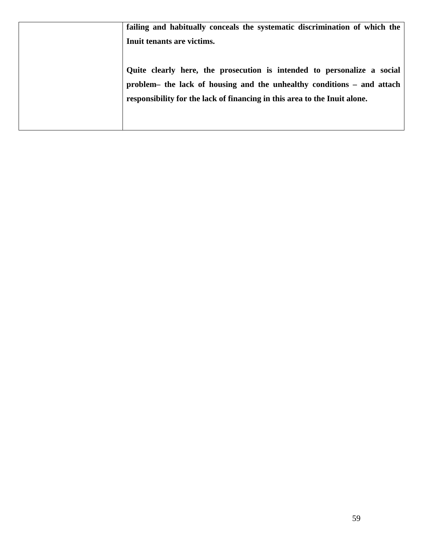| failing and habitually conceals the systematic discrimination of which the |
|----------------------------------------------------------------------------|
| Inuit tenants are victims.                                                 |
|                                                                            |
| Quite clearly here, the prosecution is intended to personalize a social    |
| problem- the lack of housing and the unhealthy conditions - and attach     |
| responsibility for the lack of financing in this area to the Inuit alone.  |
|                                                                            |
|                                                                            |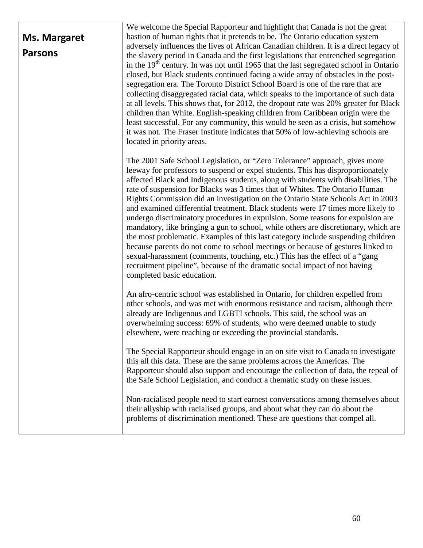|                | We welcome the Special Rapporteur and highlight that Canada is not the great                                                                                                                                                                                                                                                                                                                                                                                                                                                                                                                                                                                                                                                                                                                                                                                                                                                                                                                                                                         |
|----------------|------------------------------------------------------------------------------------------------------------------------------------------------------------------------------------------------------------------------------------------------------------------------------------------------------------------------------------------------------------------------------------------------------------------------------------------------------------------------------------------------------------------------------------------------------------------------------------------------------------------------------------------------------------------------------------------------------------------------------------------------------------------------------------------------------------------------------------------------------------------------------------------------------------------------------------------------------------------------------------------------------------------------------------------------------|
| Ms. Margaret   | bastion of human rights that it pretends to be. The Ontario education system                                                                                                                                                                                                                                                                                                                                                                                                                                                                                                                                                                                                                                                                                                                                                                                                                                                                                                                                                                         |
| <b>Parsons</b> | adversely influences the lives of African Canadian children. It is a direct legacy of<br>the slavery period in Canada and the first legislations that entrenched segregation<br>in the 19 <sup>th</sup> century. In was not until 1965 that the last segregated school in Ontario<br>closed, but Black students continued facing a wide array of obstacles in the post-<br>segregation era. The Toronto District School Board is one of the rare that are<br>collecting disaggregated racial data, which speaks to the importance of such data<br>at all levels. This shows that, for 2012, the dropout rate was 20% greater for Black<br>children than White. English-speaking children from Caribbean origin were the<br>least successful. For any community, this would be seen as a crisis, but somehow<br>it was not. The Fraser Institute indicates that 50% of low-achieving schools are<br>located in priority areas.                                                                                                                        |
|                | The 2001 Safe School Legislation, or "Zero Tolerance" approach, gives more<br>leeway for professors to suspend or expel students. This has disproportionately<br>affected Black and Indigenous students, along with students with disabilities. The<br>rate of suspension for Blacks was 3 times that of Whites. The Ontario Human<br>Rights Commission did an investigation on the Ontario State Schools Act in 2003<br>and examined differential treatment. Black students were 17 times more likely to<br>undergo discriminatory procedures in expulsion. Some reasons for expulsion are<br>mandatory, like bringing a gun to school, while others are discretionary, which are<br>the most problematic. Examples of this last category include suspending children<br>because parents do not come to school meetings or because of gestures linked to<br>sexual-harassment (comments, touching, etc.) This has the effect of a "gang<br>recruitment pipeline", because of the dramatic social impact of not having<br>completed basic education. |
|                | An afro-centric school was established in Ontario, for children expelled from<br>other schools, and was met with enormous resistance and racism, although there<br>already are Indigenous and LGBTI schools. This said, the school was an<br>overwhelming success: 69% of students, who were deemed unable to study<br>elsewhere, were reaching or exceeding the provincial standards.                                                                                                                                                                                                                                                                                                                                                                                                                                                                                                                                                                                                                                                               |
|                | The Special Rapporteur should engage in an on site visit to Canada to investigate<br>this all this data. These are the same problems across the Americas. The<br>Rapporteur should also support and encourage the collection of data, the repeal of<br>the Safe School Legislation, and conduct a thematic study on these issues.                                                                                                                                                                                                                                                                                                                                                                                                                                                                                                                                                                                                                                                                                                                    |
|                | Non-racialised people need to start earnest conversations among themselves about<br>their allyship with racialised groups, and about what they can do about the<br>problems of discrimination mentioned. These are questions that compel all.                                                                                                                                                                                                                                                                                                                                                                                                                                                                                                                                                                                                                                                                                                                                                                                                        |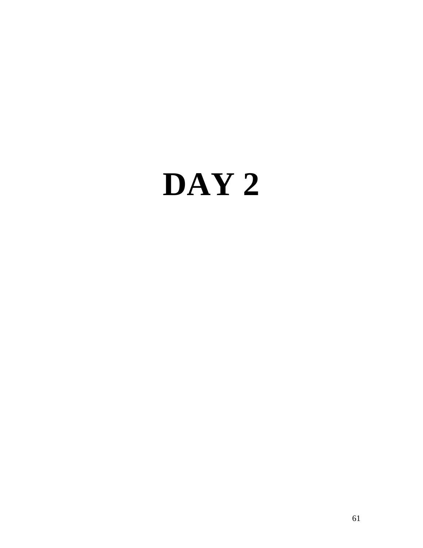# **DAY 2**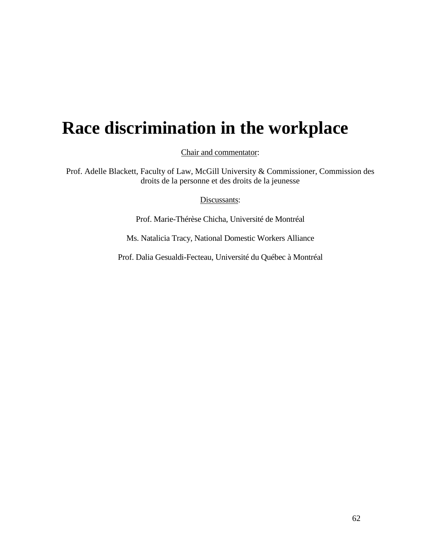# **Race discrimination in the workplace**

Chair and commentator:

Prof. Adelle Blackett, Faculty of Law, McGill University & Commissioner, Commission des droits de la personne et des droits de la jeunesse

Discussants:

Prof. Marie-Thérèse Chicha, Université de Montréal

Ms. Natalicia Tracy, National Domestic Workers Alliance

Prof. Dalia Gesualdi-Fecteau, Université du Québec à Montréal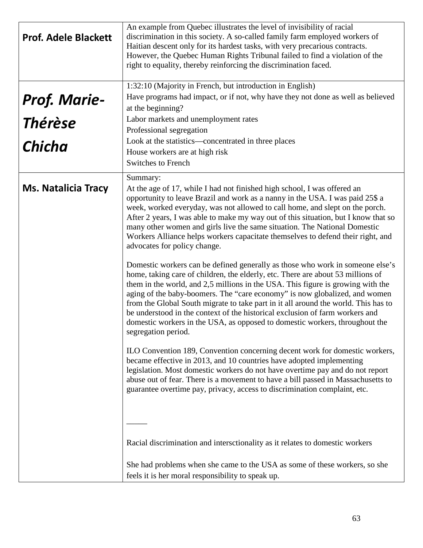| <b>Prof. Adele Blackett</b>     | An example from Quebec illustrates the level of invisibility of racial<br>discrimination in this society. A so-called family farm employed workers of<br>Haitian descent only for its hardest tasks, with very precarious contracts.<br>However, the Quebec Human Rights Tribunal failed to find a violation of the<br>right to equality, thereby reinforcing the discrimination faced.<br>1:32:10 (Majority in French, but introduction in English)                                                                                                                                                                                                                                                                                                                                                                                                                                                                                                                                                                                                                                                                                                                                                                                                                                                                                                                                                                                                                                                                                                                                                                                                                                                                                                                                     |
|---------------------------------|------------------------------------------------------------------------------------------------------------------------------------------------------------------------------------------------------------------------------------------------------------------------------------------------------------------------------------------------------------------------------------------------------------------------------------------------------------------------------------------------------------------------------------------------------------------------------------------------------------------------------------------------------------------------------------------------------------------------------------------------------------------------------------------------------------------------------------------------------------------------------------------------------------------------------------------------------------------------------------------------------------------------------------------------------------------------------------------------------------------------------------------------------------------------------------------------------------------------------------------------------------------------------------------------------------------------------------------------------------------------------------------------------------------------------------------------------------------------------------------------------------------------------------------------------------------------------------------------------------------------------------------------------------------------------------------------------------------------------------------------------------------------------------------|
| <b>Prof. Marie-<br/>Thérèse</b> | Have programs had impact, or if not, why have they not done as well as believed<br>at the beginning?                                                                                                                                                                                                                                                                                                                                                                                                                                                                                                                                                                                                                                                                                                                                                                                                                                                                                                                                                                                                                                                                                                                                                                                                                                                                                                                                                                                                                                                                                                                                                                                                                                                                                     |
|                                 | Labor markets and unemployment rates<br>Professional segregation                                                                                                                                                                                                                                                                                                                                                                                                                                                                                                                                                                                                                                                                                                                                                                                                                                                                                                                                                                                                                                                                                                                                                                                                                                                                                                                                                                                                                                                                                                                                                                                                                                                                                                                         |
| <b>Chicha</b>                   | Look at the statistics—concentrated in three places<br>House workers are at high risk<br><b>Switches to French</b>                                                                                                                                                                                                                                                                                                                                                                                                                                                                                                                                                                                                                                                                                                                                                                                                                                                                                                                                                                                                                                                                                                                                                                                                                                                                                                                                                                                                                                                                                                                                                                                                                                                                       |
| <b>Ms. Natalicia Tracy</b>      | Summary:<br>At the age of 17, while I had not finished high school, I was offered an<br>opportunity to leave Brazil and work as a nanny in the USA. I was paid 25\$ a<br>week, worked everyday, was not allowed to call home, and slept on the porch.<br>After 2 years, I was able to make my way out of this situation, but I know that so<br>many other women and girls live the same situation. The National Domestic<br>Workers Alliance helps workers capacitate themselves to defend their right, and<br>advocates for policy change.<br>Domestic workers can be defined generally as those who work in someone else's<br>home, taking care of children, the elderly, etc. There are about 53 millions of<br>them in the world, and 2,5 millions in the USA. This figure is growing with the<br>aging of the baby-boomers. The "care economy" is now globalized, and women<br>from the Global South migrate to take part in it all around the world. This has to<br>be understood in the context of the historical exclusion of farm workers and<br>domestic workers in the USA, as opposed to domestic workers, throughout the<br>segregation period.<br>ILO Convention 189, Convention concerning decent work for domestic workers,<br>became effective in 2013, and 10 countries have adopted implementing<br>legislation. Most domestic workers do not have overtime pay and do not report<br>abuse out of fear. There is a movement to have a bill passed in Massachusetts to<br>guarantee overtime pay, privacy, access to discrimination complaint, etc.<br>Racial discrimination and intersctionality as it relates to domestic workers<br>She had problems when she came to the USA as some of these workers, so she<br>feels it is her moral responsibility to speak up. |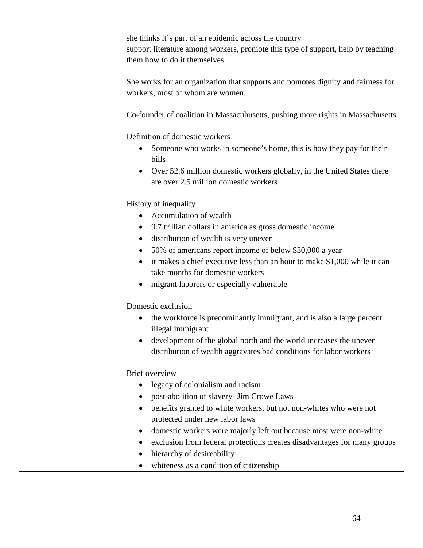| she thinks it's part of an epidemic across the country<br>support literature among workers, promote this type of support, help by teaching<br>them how to do it themselves<br>She works for an organization that supports and pomotes dignity and fairness for<br>workers, most of whom are women.                                                                                                                                        |
|-------------------------------------------------------------------------------------------------------------------------------------------------------------------------------------------------------------------------------------------------------------------------------------------------------------------------------------------------------------------------------------------------------------------------------------------|
| Co-founder of coalition in Massacuhusetts, pushing more rights in Massachusetts.                                                                                                                                                                                                                                                                                                                                                          |
| Definition of domestic workers<br>Someone who works in someone's home, this is how they pay for their<br>bills<br>Over 52.6 million domestic workers globally, in the United States there<br>are over 2.5 million domestic workers                                                                                                                                                                                                        |
| History of inequality<br>Accumulation of wealth<br>9.7 trillian dollars in america as gross domestic income<br>distribution of wealth is very uneven<br>50% of americans report income of below \$30,000 a year<br>it makes a chief executive less than an hour to make \$1,000 while it can<br>take months for domestic workers<br>migrant laborers or especially vulnerable                                                             |
| Domestic exclusion<br>the workforce is predominantly immigrant, and is also a large percent<br>illegal immigrant<br>development of the global north and the world increases the uneven<br>distribution of wealth aggravates bad conditions for labor workers                                                                                                                                                                              |
| <b>Brief</b> overview<br>legacy of colonialism and racism<br>post-abolition of slavery- Jim Crowe Laws<br>benefits granted to white workers, but not non-whites who were not<br>protected under new labor laws<br>domestic workers were majorly left out because most were non-white<br>exclusion from federal protections creates disadvantages for many groups<br>hierarchy of desireability<br>whiteness as a condition of citizenship |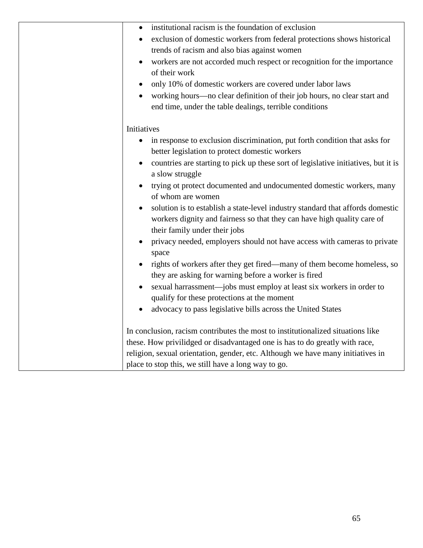| institutional racism is the foundation of exclusion<br>$\bullet$                                |
|-------------------------------------------------------------------------------------------------|
| exclusion of domestic workers from federal protections shows historical<br>$\bullet$            |
| trends of racism and also bias against women                                                    |
| workers are not accorded much respect or recognition for the importance<br>$\bullet$            |
| of their work                                                                                   |
| only 10% of domestic workers are covered under labor laws<br>$\bullet$                          |
| working hours—no clear definition of their job hours, no clear start and                        |
| end time, under the table dealings, terrible conditions                                         |
| Initiatives                                                                                     |
| in response to exclusion discrimination, put forth condition that asks for<br>$\bullet$         |
| better legislation to protect domestic workers                                                  |
| countries are starting to pick up these sort of legislative initiatives, but it is<br>$\bullet$ |
| a slow struggle                                                                                 |
| trying ot protect documented and undocumented domestic workers, many<br>$\bullet$               |
| of whom are women                                                                               |
| solution is to establish a state-level industry standard that affords domestic<br>$\bullet$     |
| workers dignity and fairness so that they can have high quality care of                         |
| their family under their jobs                                                                   |
| privacy needed, employers should not have access with cameras to private<br>$\bullet$           |
| space                                                                                           |
| rights of workers after they get fired—many of them become homeless, so                         |
| they are asking for warning before a worker is fired                                            |
| sexual harrassment-jobs must employ at least six workers in order to<br>$\bullet$               |
| qualify for these protections at the moment                                                     |
| advocacy to pass legislative bills across the United States                                     |
| In conclusion, racism contributes the most to institutionalized situations like                 |
| these. How privilidged or disadvantaged one is has to do greatly with race,                     |
| religion, sexual orientation, gender, etc. Although we have many initiatives in                 |
| place to stop this, we still have a long way to go.                                             |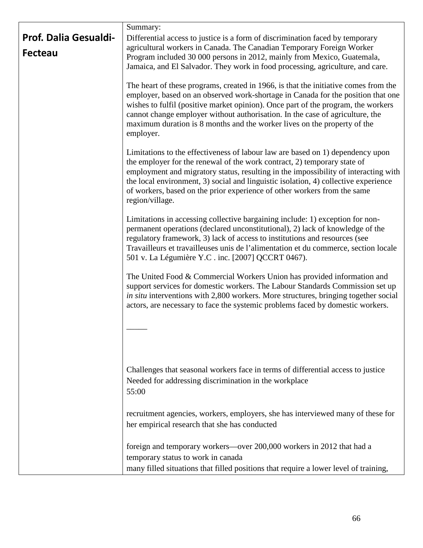|                                                | Summary:                                                                                                                                                                                                                                                                                                                                                                                                                                |
|------------------------------------------------|-----------------------------------------------------------------------------------------------------------------------------------------------------------------------------------------------------------------------------------------------------------------------------------------------------------------------------------------------------------------------------------------------------------------------------------------|
| <b>Prof. Dalia Gesualdi-</b><br><b>Fecteau</b> | Differential access to justice is a form of discrimination faced by temporary<br>agricultural workers in Canada. The Canadian Temporary Foreign Worker<br>Program included 30 000 persons in 2012, mainly from Mexico, Guatemala,<br>Jamaica, and El Salvador. They work in food processing, agriculture, and care.                                                                                                                     |
|                                                | The heart of these programs, created in 1966, is that the initiative comes from the<br>employer, based on an observed work-shortage in Canada for the position that one<br>wishes to fulfil (positive market opinion). Once part of the program, the workers<br>cannot change employer without authorisation. In the case of agriculture, the<br>maximum duration is 8 months and the worker lives on the property of the<br>employer.  |
|                                                | Limitations to the effectiveness of labour law are based on 1) dependency upon<br>the employer for the renewal of the work contract, 2) temporary state of<br>employment and migratory status, resulting in the impossibility of interacting with<br>the local environment, 3) social and linguistic isolation, 4) collective experience<br>of workers, based on the prior experience of other workers from the same<br>region/village. |
|                                                | Limitations in accessing collective bargaining include: 1) exception for non-<br>permanent operations (declared unconstitutional), 2) lack of knowledge of the<br>regulatory framework, 3) lack of access to institutions and resources (see<br>Travailleurs et travailleuses unis de l'alimentation et du commerce, section locale<br>501 v. La Légumière Y.C. inc. [2007] QCCRT 0467).                                                |
|                                                | The United Food & Commercial Workers Union has provided information and<br>support services for domestic workers. The Labour Standards Commission set up<br>in situ interventions with 2,800 workers. More structures, bringing together social<br>actors, are necessary to face the systemic problems faced by domestic workers.                                                                                                       |
|                                                |                                                                                                                                                                                                                                                                                                                                                                                                                                         |
|                                                | Challenges that seasonal workers face in terms of differential access to justice<br>Needed for addressing discrimination in the workplace<br>55:00                                                                                                                                                                                                                                                                                      |
|                                                | recruitment agencies, workers, employers, she has interviewed many of these for<br>her empirical research that she has conducted                                                                                                                                                                                                                                                                                                        |
|                                                | foreign and temporary workers—over 200,000 workers in 2012 that had a<br>temporary status to work in canada<br>many filled situations that filled positions that require a lower level of training,                                                                                                                                                                                                                                     |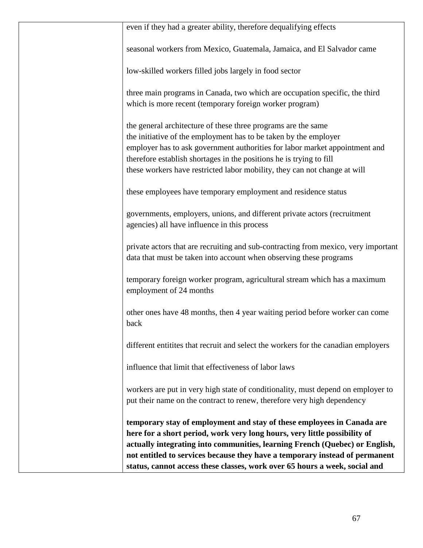| even if they had a greater ability, therefore dequalifying effects                                                                                       |
|----------------------------------------------------------------------------------------------------------------------------------------------------------|
| seasonal workers from Mexico, Guatemala, Jamaica, and El Salvador came                                                                                   |
| low-skilled workers filled jobs largely in food sector                                                                                                   |
| three main programs in Canada, two which are occupation specific, the third                                                                              |
| which is more recent (temporary foreign worker program)                                                                                                  |
| the general architecture of these three programs are the same                                                                                            |
| the initiative of the employment has to be taken by the employer                                                                                         |
| employer has to ask government authorities for labor market appointment and                                                                              |
| therefore establish shortages in the positions he is trying to fill                                                                                      |
| these workers have restricted labor mobility, they can not change at will                                                                                |
| these employees have temporary employment and residence status                                                                                           |
| governments, employers, unions, and different private actors (recruitment<br>agencies) all have influence in this process                                |
| private actors that are recruiting and sub-contracting from mexico, very important<br>data that must be taken into account when observing these programs |
| temporary foreign worker program, agricultural stream which has a maximum<br>employment of 24 months                                                     |
| other ones have 48 months, then 4 year waiting period before worker can come<br>back                                                                     |
| different entitities that recruit and select the workers for the canadian employers                                                                      |
| influence that limit that effectiveness of labor laws                                                                                                    |
| workers are put in very high state of conditionality, must depend on employer to                                                                         |
| put their name on the contract to renew, therefore very high dependency                                                                                  |
| temporary stay of employment and stay of these employees in Canada are                                                                                   |
| here for a short period, work very long hours, very little possibility of                                                                                |
| actually integrating into communities, learning French (Quebec) or English,                                                                              |
| not entitled to services because they have a temporary instead of permanent                                                                              |
| status, cannot access these classes, work over 65 hours a week, social and                                                                               |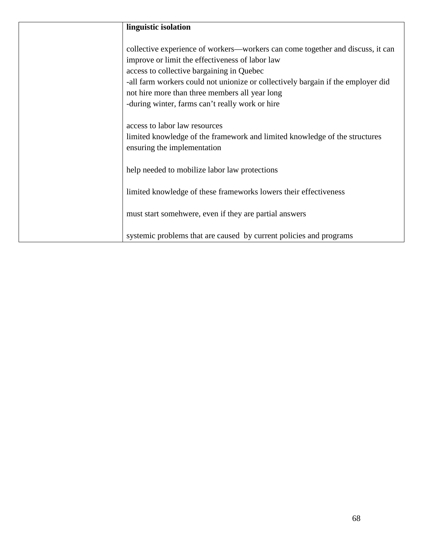| linguistic isolation                                                             |
|----------------------------------------------------------------------------------|
|                                                                                  |
| collective experience of workers—workers can come together and discuss, it can   |
| improve or limit the effectiveness of labor law                                  |
| access to collective bargaining in Quebec                                        |
| -all farm workers could not unionize or collectively bargain if the employer did |
| not hire more than three members all year long                                   |
| -during winter, farms can't really work or hire                                  |
|                                                                                  |
| access to labor law resources                                                    |
| limited knowledge of the framework and limited knowledge of the structures       |
| ensuring the implementation                                                      |
|                                                                                  |
| help needed to mobilize labor law protections                                    |
|                                                                                  |
| limited knowledge of these frameworks lowers their effectiveness                 |
|                                                                                  |
| must start somehwere, even if they are partial answers                           |
|                                                                                  |
| systemic problems that are caused by current policies and programs               |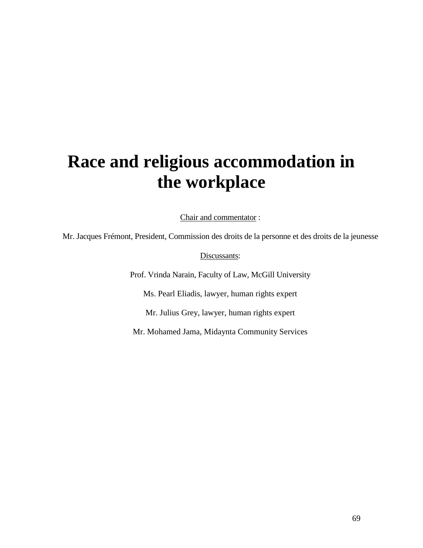# **Race and religious accommodation in the workplace**

Chair and commentator :

Mr. Jacques Frémont, President, Commission des droits de la personne et des droits de la jeunesse

Discussants:

Prof. Vrinda Narain, Faculty of Law, McGill University

Ms. Pearl Eliadis, lawyer, human rights expert

Mr. Julius Grey, lawyer, human rights expert

Mr. Mohamed Jama, Midaynta Community Services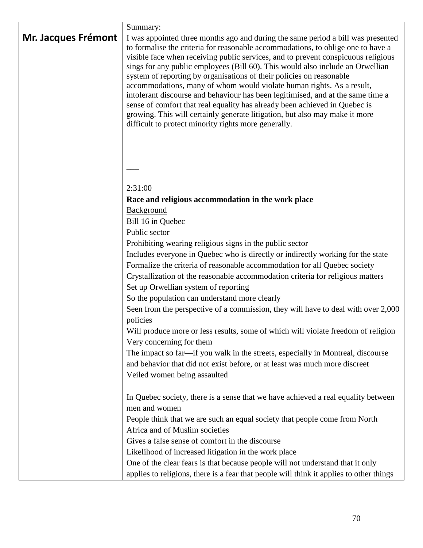| Mr. Jacques Frémont | Summary:<br>I was appointed three months ago and during the same period a bill was presented<br>to formalise the criteria for reasonable accommodations, to oblige one to have a<br>visible face when receiving public services, and to prevent conspicuous religious<br>sings for any public employees (Bill 60). This would also include an Orwellian<br>system of reporting by organisations of their policies on reasonable<br>accommodations, many of whom would violate human rights. As a result,<br>intolerant discourse and behaviour has been legitimised, and at the same time a<br>sense of comfort that real equality has already been achieved in Quebec is<br>growing. This will certainly generate litigation, but also may make it more<br>difficult to protect minority rights more generally. |
|---------------------|------------------------------------------------------------------------------------------------------------------------------------------------------------------------------------------------------------------------------------------------------------------------------------------------------------------------------------------------------------------------------------------------------------------------------------------------------------------------------------------------------------------------------------------------------------------------------------------------------------------------------------------------------------------------------------------------------------------------------------------------------------------------------------------------------------------|
|                     |                                                                                                                                                                                                                                                                                                                                                                                                                                                                                                                                                                                                                                                                                                                                                                                                                  |
|                     |                                                                                                                                                                                                                                                                                                                                                                                                                                                                                                                                                                                                                                                                                                                                                                                                                  |
|                     | 2:31:00                                                                                                                                                                                                                                                                                                                                                                                                                                                                                                                                                                                                                                                                                                                                                                                                          |
|                     | Race and religious accommodation in the work place                                                                                                                                                                                                                                                                                                                                                                                                                                                                                                                                                                                                                                                                                                                                                               |
|                     | Background                                                                                                                                                                                                                                                                                                                                                                                                                                                                                                                                                                                                                                                                                                                                                                                                       |
|                     | Bill 16 in Quebec                                                                                                                                                                                                                                                                                                                                                                                                                                                                                                                                                                                                                                                                                                                                                                                                |
|                     | Public sector                                                                                                                                                                                                                                                                                                                                                                                                                                                                                                                                                                                                                                                                                                                                                                                                    |
|                     | Prohibiting wearing religious signs in the public sector                                                                                                                                                                                                                                                                                                                                                                                                                                                                                                                                                                                                                                                                                                                                                         |
|                     | Includes everyone in Quebec who is directly or indirectly working for the state                                                                                                                                                                                                                                                                                                                                                                                                                                                                                                                                                                                                                                                                                                                                  |
|                     | Formalize the criteria of reasonable accommodation for all Quebec society<br>Crystallization of the reasonable accommodation criteria for religious matters                                                                                                                                                                                                                                                                                                                                                                                                                                                                                                                                                                                                                                                      |
|                     | Set up Orwellian system of reporting                                                                                                                                                                                                                                                                                                                                                                                                                                                                                                                                                                                                                                                                                                                                                                             |
|                     | So the population can understand more clearly                                                                                                                                                                                                                                                                                                                                                                                                                                                                                                                                                                                                                                                                                                                                                                    |
|                     | Seen from the perspective of a commission, they will have to deal with over 2,000                                                                                                                                                                                                                                                                                                                                                                                                                                                                                                                                                                                                                                                                                                                                |
|                     | policies                                                                                                                                                                                                                                                                                                                                                                                                                                                                                                                                                                                                                                                                                                                                                                                                         |
|                     | Will produce more or less results, some of which will violate freedom of religion                                                                                                                                                                                                                                                                                                                                                                                                                                                                                                                                                                                                                                                                                                                                |
|                     | Very concerning for them                                                                                                                                                                                                                                                                                                                                                                                                                                                                                                                                                                                                                                                                                                                                                                                         |
|                     | The impact so far—if you walk in the streets, especially in Montreal, discourse                                                                                                                                                                                                                                                                                                                                                                                                                                                                                                                                                                                                                                                                                                                                  |
|                     | and behavior that did not exist before, or at least was much more discreet                                                                                                                                                                                                                                                                                                                                                                                                                                                                                                                                                                                                                                                                                                                                       |
|                     | Veiled women being assaulted                                                                                                                                                                                                                                                                                                                                                                                                                                                                                                                                                                                                                                                                                                                                                                                     |
|                     | In Quebec society, there is a sense that we have achieved a real equality between                                                                                                                                                                                                                                                                                                                                                                                                                                                                                                                                                                                                                                                                                                                                |
|                     | men and women                                                                                                                                                                                                                                                                                                                                                                                                                                                                                                                                                                                                                                                                                                                                                                                                    |
|                     | People think that we are such an equal society that people come from North                                                                                                                                                                                                                                                                                                                                                                                                                                                                                                                                                                                                                                                                                                                                       |
|                     | Africa and of Muslim societies                                                                                                                                                                                                                                                                                                                                                                                                                                                                                                                                                                                                                                                                                                                                                                                   |
|                     | Gives a false sense of comfort in the discourse                                                                                                                                                                                                                                                                                                                                                                                                                                                                                                                                                                                                                                                                                                                                                                  |
|                     | Likelihood of increased litigation in the work place                                                                                                                                                                                                                                                                                                                                                                                                                                                                                                                                                                                                                                                                                                                                                             |
|                     | One of the clear fears is that because people will not understand that it only                                                                                                                                                                                                                                                                                                                                                                                                                                                                                                                                                                                                                                                                                                                                   |
|                     | applies to religions, there is a fear that people will think it applies to other things                                                                                                                                                                                                                                                                                                                                                                                                                                                                                                                                                                                                                                                                                                                          |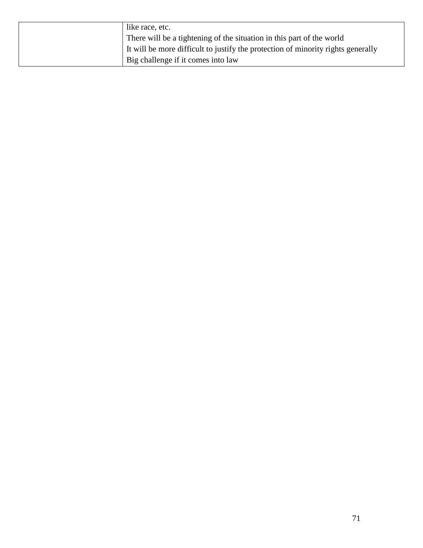| like race, etc.                                                                  |
|----------------------------------------------------------------------------------|
| There will be a tightening of the situation in this part of the world            |
| It will be more difficult to justify the protection of minority rights generally |
| Big challenge if it comes into law                                               |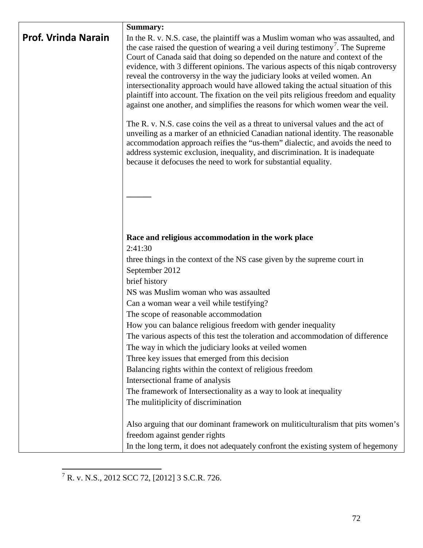|                            | Summary:                                                                                                                                                       |
|----------------------------|----------------------------------------------------------------------------------------------------------------------------------------------------------------|
| <b>Prof. Vrinda Narain</b> | In the R. v. N.S. case, the plaintiff was a Muslim woman who was assaulted, and                                                                                |
|                            | the case raised the question of wearing a veil during testimony <sup>7</sup> . The Supreme                                                                     |
|                            | Court of Canada said that doing so depended on the nature and context of the                                                                                   |
|                            | evidence, with 3 different opinions. The various aspects of this niqab controversy                                                                             |
|                            | reveal the controversy in the way the judiciary looks at veiled women. An<br>intersectionality approach would have allowed taking the actual situation of this |
|                            | plaintiff into account. The fixation on the veil pits religious freedom and equality                                                                           |
|                            | against one another, and simplifies the reasons for which women wear the veil.                                                                                 |
|                            | The R. v. N.S. case coins the veil as a threat to universal values and the act of                                                                              |
|                            | unveiling as a marker of an ethnicied Canadian national identity. The reasonable                                                                               |
|                            | accommodation approach reifies the "us-them" dialectic, and avoids the need to                                                                                 |
|                            | address systemic exclusion, inequality, and discrimination. It is inadequate<br>because it defocuses the need to work for substantial equality.                |
|                            |                                                                                                                                                                |
|                            |                                                                                                                                                                |
|                            |                                                                                                                                                                |
|                            |                                                                                                                                                                |
|                            |                                                                                                                                                                |
|                            |                                                                                                                                                                |
|                            | Race and religious accommodation in the work place<br>2:41:30                                                                                                  |
|                            | three things in the context of the NS case given by the supreme court in                                                                                       |
|                            | September 2012                                                                                                                                                 |
|                            | brief history                                                                                                                                                  |
|                            | NS was Muslim woman who was assaulted                                                                                                                          |
|                            | Can a woman wear a veil while testifying?                                                                                                                      |
|                            | The scope of reasonable accommodation                                                                                                                          |
|                            | How you can balance religious freedom with gender inequality                                                                                                   |
|                            | The various aspects of this test the toleration and accommodation of difference                                                                                |
|                            | The way in which the judiciary looks at veiled women                                                                                                           |
|                            | Three key issues that emerged from this decision                                                                                                               |
|                            | Balancing rights within the context of religious freedom                                                                                                       |
|                            | Intersectional frame of analysis                                                                                                                               |
|                            | The framework of Intersectionality as a way to look at inequality                                                                                              |
|                            | The mulitiplicity of discrimination                                                                                                                            |
|                            | Also arguing that our dominant framework on muliticulturalism that pits women's                                                                                |
|                            | freedom against gender rights                                                                                                                                  |
|                            | In the long term, it does not adequately confront the existing system of hegemony                                                                              |

<span id="page-71-0"></span> $\frac{7}{1}$  R. v. N.S., 2012 SCC 72, [2012] 3 S.C.R. 726.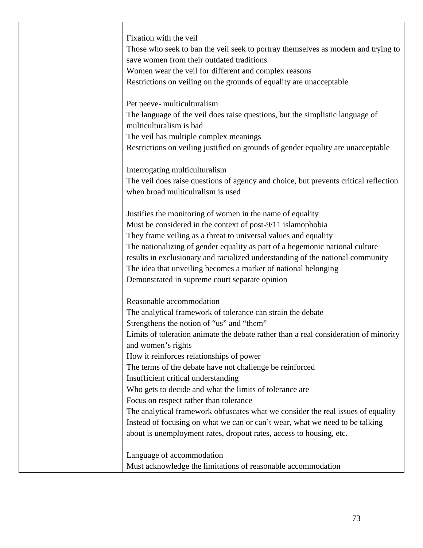| Fixation with the veil                                                               |
|--------------------------------------------------------------------------------------|
| Those who seek to ban the veil seek to portray themselves as modern and trying to    |
| save women from their outdated traditions                                            |
| Women wear the veil for different and complex reasons                                |
| Restrictions on veiling on the grounds of equality are unacceptable                  |
|                                                                                      |
| Pet peeve- multiculturalism                                                          |
| The language of the veil does raise questions, but the simplistic language of        |
| multiculturalism is bad                                                              |
| The veil has multiple complex meanings                                               |
| Restrictions on veiling justified on grounds of gender equality are unacceptable     |
| Interrogating multiculturalism                                                       |
| The veil does raise questions of agency and choice, but prevents critical reflection |
| when broad multiculralism is used                                                    |
| Justifies the monitoring of women in the name of equality                            |
| Must be considered in the context of post-9/11 islamophobia                          |
| They frame veiling as a threat to universal values and equality                      |
| The nationalizing of gender equality as part of a hegemonic national culture         |
| results in exclusionary and racialized understanding of the national community       |
| The idea that unveiling becomes a marker of national belonging                       |
| Demonstrated in supreme court separate opinion                                       |
|                                                                                      |
| Reasonable accommodation                                                             |
| The analytical framework of tolerance can strain the debate                          |
| Strengthens the notion of "us" and "them"                                            |
| Limits of toleration animate the debate rather than a real consideration of minority |
| and women's rights                                                                   |
| How it reinforces relationships of power                                             |
| The terms of the debate have not challenge be reinforced                             |
| Insufficient critical understanding                                                  |
| Who gets to decide and what the limits of tolerance are                              |
| Focus on respect rather than tolerance                                               |
| The analytical framework obfuscates what we consider the real issues of equality     |
| Instead of focusing on what we can or can't wear, what we need to be talking         |
| about is unemployment rates, dropout rates, access to housing, etc.                  |
| Language of accommodation                                                            |
| Must acknowledge the limitations of reasonable accommodation                         |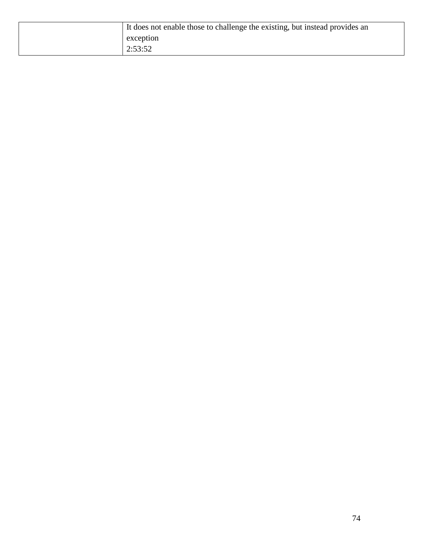| It does not enable those to challenge the existing, but instead provides an |
|-----------------------------------------------------------------------------|
| exception                                                                   |
| 2:53:52                                                                     |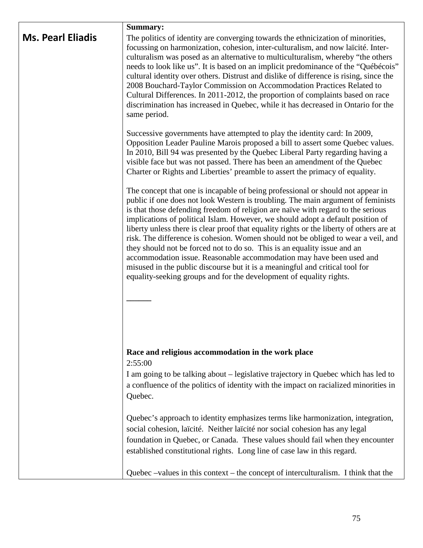|                          | Summary:                                                                                                                                                                                                                                                                                                                                                                                                                                                                                                                                                                                                                                                                                                                                                                                                                               |
|--------------------------|----------------------------------------------------------------------------------------------------------------------------------------------------------------------------------------------------------------------------------------------------------------------------------------------------------------------------------------------------------------------------------------------------------------------------------------------------------------------------------------------------------------------------------------------------------------------------------------------------------------------------------------------------------------------------------------------------------------------------------------------------------------------------------------------------------------------------------------|
| <b>Ms. Pearl Eliadis</b> | The politics of identity are converging towards the ethnicization of minorities,<br>focussing on harmonization, cohesion, inter-culturalism, and now laïcité. Inter-<br>culturalism was posed as an alternative to multiculturalism, whereby "the others<br>needs to look like us". It is based on an implicit predominance of the "Québécois"<br>cultural identity over others. Distrust and dislike of difference is rising, since the<br>2008 Bouchard-Taylor Commission on Accommodation Practices Related to<br>Cultural Differences. In 2011-2012, the proportion of complaints based on race<br>discrimination has increased in Quebec, while it has decreased in Ontario for the<br>same period.                                                                                                                               |
|                          | Successive governments have attempted to play the identity card: In 2009,<br>Opposition Leader Pauline Marois proposed a bill to assert some Quebec values.<br>In 2010, Bill 94 was presented by the Quebec Liberal Party regarding having a<br>visible face but was not passed. There has been an amendment of the Quebec<br>Charter or Rights and Liberties' preamble to assert the primacy of equality.                                                                                                                                                                                                                                                                                                                                                                                                                             |
|                          | The concept that one is incapable of being professional or should not appear in<br>public if one does not look Western is troubling. The main argument of feminists<br>is that those defending freedom of religion are naïve with regard to the serious<br>implications of political Islam. However, we should adopt a default position of<br>liberty unless there is clear proof that equality rights or the liberty of others are at<br>risk. The difference is cohesion. Women should not be obliged to wear a veil, and<br>they should not be forced not to do so. This is an equality issue and an<br>accommodation issue. Reasonable accommodation may have been used and<br>misused in the public discourse but it is a meaningful and critical tool for<br>equality-seeking groups and for the development of equality rights. |
|                          | Race and religious accommodation in the work place<br>2:55:00                                                                                                                                                                                                                                                                                                                                                                                                                                                                                                                                                                                                                                                                                                                                                                          |
|                          | I am going to be talking about – legislative trajectory in Quebec which has led to<br>a confluence of the politics of identity with the impact on racialized minorities in<br>Quebec.                                                                                                                                                                                                                                                                                                                                                                                                                                                                                                                                                                                                                                                  |
|                          | Quebec's approach to identity emphasizes terms like harmonization, integration,<br>social cohesion, laïcité. Neither laïcité nor social cohesion has any legal<br>foundation in Quebec, or Canada. These values should fail when they encounter<br>established constitutional rights. Long line of case law in this regard.                                                                                                                                                                                                                                                                                                                                                                                                                                                                                                            |
|                          | Quebec –values in this context – the concept of interculturalism. I think that the                                                                                                                                                                                                                                                                                                                                                                                                                                                                                                                                                                                                                                                                                                                                                     |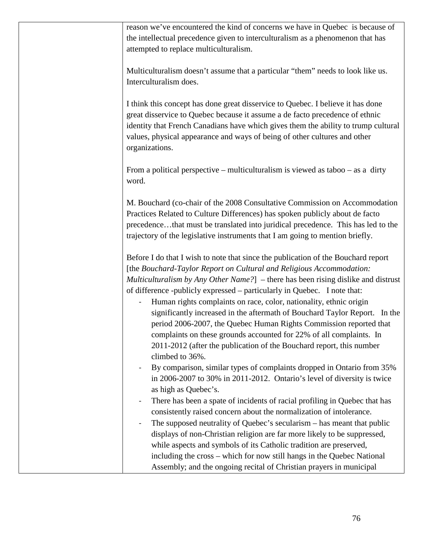| reason we've encountered the kind of concerns we have in Quebec is because of                              |
|------------------------------------------------------------------------------------------------------------|
| the intellectual precedence given to interculturalism as a phenomenon that has                             |
| attempted to replace multiculturalism.                                                                     |
|                                                                                                            |
| Multiculturalism doesn't assume that a particular "them" needs to look like us.                            |
| Interculturalism does.                                                                                     |
|                                                                                                            |
| I think this concept has done great disservice to Quebec. I believe it has done                            |
| great disservice to Quebec because it assume a de facto precedence of ethnic                               |
|                                                                                                            |
| identity that French Canadians have which gives them the ability to trump cultural                         |
| values, physical appearance and ways of being of other cultures and other                                  |
| organizations.                                                                                             |
|                                                                                                            |
| From a political perspective – multiculturalism is viewed as taboo – as a dirty                            |
| word.                                                                                                      |
|                                                                                                            |
| M. Bouchard (co-chair of the 2008 Consultative Commission on Accommodation                                 |
| Practices Related to Culture Differences) has spoken publicly about de facto                               |
| precedencethat must be translated into juridical precedence. This has led to the                           |
| trajectory of the legislative instruments that I am going to mention briefly.                              |
|                                                                                                            |
| Before I do that I wish to note that since the publication of the Bouchard report                          |
| [the Bouchard-Taylor Report on Cultural and Religious Accommodation:                                       |
| Multiculturalism by Any Other Name?] – there has been rising dislike and distrust                          |
| of difference -publicly expressed – particularly in Quebec. I note that:                                   |
| Human rights complaints on race, color, nationality, ethnic origin                                         |
| significantly increased in the aftermath of Bouchard Taylor Report. In the                                 |
| period 2006-2007, the Quebec Human Rights Commission reported that                                         |
| complaints on these grounds accounted for 22% of all complaints. In                                        |
|                                                                                                            |
| 2011-2012 (after the publication of the Bouchard report, this number                                       |
| climbed to 36%.                                                                                            |
| By comparison, similar types of complaints dropped in Ontario from 35%                                     |
| in 2006-2007 to 30% in 2011-2012. Ontario's level of diversity is twice                                    |
| as high as Quebec's.                                                                                       |
| There has been a spate of incidents of racial profiling in Quebec that has<br>$\qquad \qquad \blacksquare$ |
| consistently raised concern about the normalization of intolerance.                                        |
| The supposed neutrality of Quebec's secularism – has meant that public                                     |
| displays of non-Christian religion are far more likely to be suppressed,                                   |
| while aspects and symbols of its Catholic tradition are preserved,                                         |
| including the cross - which for now still hangs in the Quebec National                                     |
| Assembly; and the ongoing recital of Christian prayers in municipal                                        |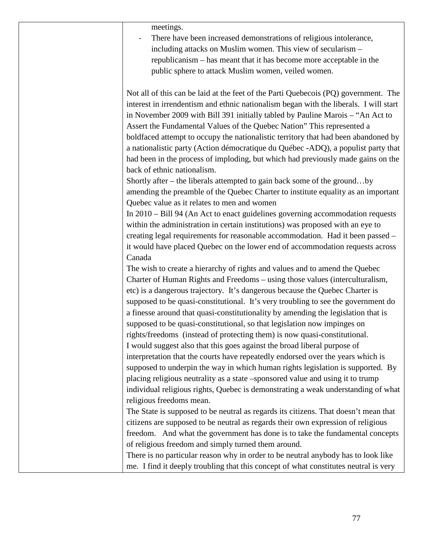| meetings.<br>There have been increased demonstrations of religious intolerance,<br>including attacks on Muslim women. This view of secularism -<br>republicanism – has meant that it has become more acceptable in the<br>public sphere to attack Muslim women, veiled women.                                                                                                                                                                                                                                                                                                                                                                                                                                                                                                                                                              |
|--------------------------------------------------------------------------------------------------------------------------------------------------------------------------------------------------------------------------------------------------------------------------------------------------------------------------------------------------------------------------------------------------------------------------------------------------------------------------------------------------------------------------------------------------------------------------------------------------------------------------------------------------------------------------------------------------------------------------------------------------------------------------------------------------------------------------------------------|
| Not all of this can be laid at the feet of the Parti Quebecois (PQ) government. The<br>interest in irrendentism and ethnic nationalism began with the liberals. I will start<br>in November 2009 with Bill 391 initially tabled by Pauline Marois - "An Act to<br>Assert the Fundamental Values of the Quebec Nation" This represented a<br>boldfaced attempt to occupy the nationalistic territory that had been abandoned by<br>a nationalistic party (Action démocratique du Québec -ADQ), a populist party that<br>had been in the process of imploding, but which had previously made gains on the<br>back of ethnic nationalism.                                                                                                                                                                                                     |
| Shortly after – the liberals attempted to gain back some of the groundby<br>amending the preamble of the Quebec Charter to institute equality as an important<br>Quebec value as it relates to men and women<br>In 2010 – Bill 94 (An Act to enact guidelines governing accommodation requests<br>within the administration in certain institutions) was proposed with an eye to<br>creating legal requirements for reasonable accommodation. Had it been passed -<br>it would have placed Quebec on the lower end of accommodation requests across                                                                                                                                                                                                                                                                                        |
| Canada<br>The wish to create a hierarchy of rights and values and to amend the Quebec<br>Charter of Human Rights and Freedoms - using those values (interculturalism,<br>etc) is a dangerous trajectory. It's dangerous because the Quebec Charter is<br>supposed to be quasi-constitutional. It's very troubling to see the government do<br>a finesse around that quasi-constitutionality by amending the legislation that is<br>supposed to be quasi-constitutional, so that legislation now impinges on<br>rights/freedoms (instead of protecting them) is now quasi-constitutional.<br>I would suggest also that this goes against the broad liberal purpose of<br>interpretation that the courts have repeatedly endorsed over the years which is<br>supposed to underpin the way in which human rights legislation is supported. By |
| placing religious neutrality as a state -sponsored value and using it to trump<br>individual religious rights, Quebec is demonstrating a weak understanding of what<br>religious freedoms mean.<br>The State is supposed to be neutral as regards its citizens. That doesn't mean that<br>citizens are supposed to be neutral as regards their own expression of religious<br>freedom. And what the government has done is to take the fundamental concepts<br>of religious freedom and simply turned them around.<br>There is no particular reason why in order to be neutral anybody has to look like<br>me. I find it deeply troubling that this concept of what constitutes neutral is very                                                                                                                                            |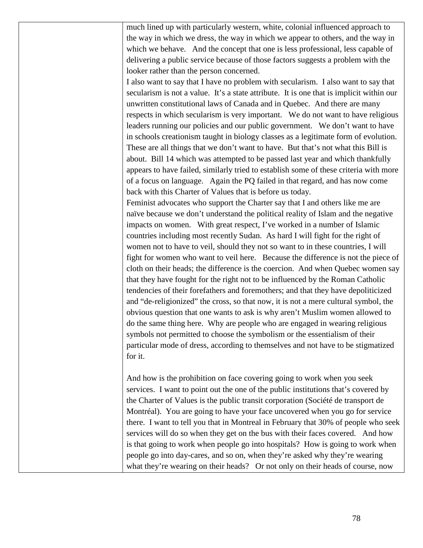much lined up with particularly western, white, colonial influenced approach to the way in which we dress, the way in which we appear to others, and the way in which we behave. And the concept that one is less professional, less capable of delivering a public service because of those factors suggests a problem with the looker rather than the person concerned.

I also want to say that I have no problem with secularism. I also want to say that secularism is not a value. It's a state attribute. It is one that is implicit within our unwritten constitutional laws of Canada and in Quebec. And there are many respects in which secularism is very important. We do not want to have religious leaders running our policies and our public government. We don't want to have in schools creationism taught in biology classes as a legitimate form of evolution. These are all things that we don't want to have. But that's not what this Bill is about. Bill 14 which was attempted to be passed last year and which thankfully appears to have failed, similarly tried to establish some of these criteria with more of a focus on language. Again the PQ failed in that regard, and has now come back with this Charter of Values that is before us today.

Feminist advocates who support the Charter say that I and others like me are naïve because we don't understand the political reality of Islam and the negative impacts on women. With great respect, I've worked in a number of Islamic countries including most recently Sudan. As hard I will fight for the right of women not to have to veil, should they not so want to in these countries, I will fight for women who want to veil here. Because the difference is not the piece of cloth on their heads; the difference is the coercion. And when Quebec women say that they have fought for the right not to be influenced by the Roman Catholic tendencies of their forefathers and foremothers; and that they have depoliticized and "de-religionized" the cross, so that now, it is not a mere cultural symbol, the obvious question that one wants to ask is why aren't Muslim women allowed to do the same thing here. Why are people who are engaged in wearing religious symbols not permitted to choose the symbolism or the essentialism of their particular mode of dress, according to themselves and not have to be stigmatized for it.

And how is the prohibition on face covering going to work when you seek services. I want to point out the one of the public institutions that's covered by the Charter of Values is the public transit corporation (Société de transport de Montréal). You are going to have your face uncovered when you go for service there. I want to tell you that in Montreal in February that 30% of people who seek services will do so when they get on the bus with their faces covered. And how is that going to work when people go into hospitals? How is going to work when people go into day-cares, and so on, when they're asked why they're wearing what they're wearing on their heads? Or not only on their heads of course, now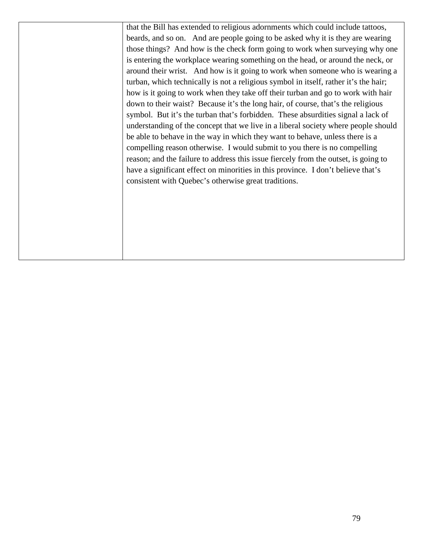that the Bill has extended to religious adornments which could include tattoos, beards, and so on. And are people going to be asked why it is they are wearing those things? And how is the check form going to work when surveying why one is entering the workplace wearing something on the head, or around the neck, or around their wrist. And how is it going to work when someone who is wearing a turban, which technically is not a religious symbol in itself, rather it's the hair; how is it going to work when they take off their turban and go to work with hair down to their waist? Because it's the long hair, of course, that's the religious symbol. But it's the turban that's forbidden. These absurdities signal a lack of understanding of the concept that we live in a liberal society where people should be able to behave in the way in which they want to behave, unless there is a compelling reason otherwise. I would submit to you there is no compelling reason; and the failure to address this issue fiercely from the outset, is going to have a significant effect on minorities in this province. I don't believe that's consistent with Quebec's otherwise great traditions.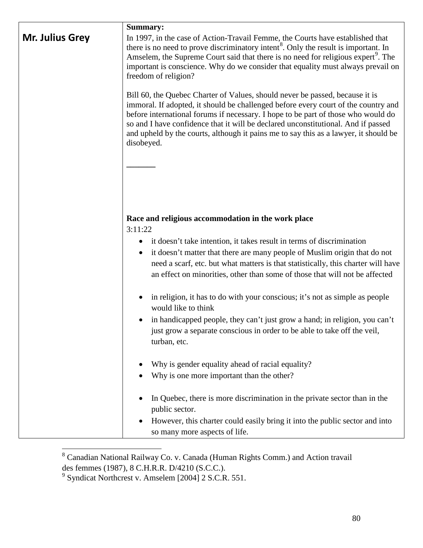| Mr. Julius Grey | Summary:<br>In 1997, in the case of Action-Travail Femme, the Courts have established that<br>there is no need to prove discriminatory intent <sup>8</sup> . Only the result is important. In<br>Amselem, the Supreme Court said that there is no need for religious expert <sup>9</sup> . The<br>important is conscience. Why do we consider that equality must always prevail on<br>freedom of religion?<br>Bill 60, the Quebec Charter of Values, should never be passed, because it is<br>immoral. If adopted, it should be challenged before every court of the country and<br>before international forums if necessary. I hope to be part of those who would do<br>so and I have confidence that it will be declared unconstitutional. And if passed<br>and upheld by the courts, although it pains me to say this as a lawyer, it should be<br>disobeyed. |
|-----------------|------------------------------------------------------------------------------------------------------------------------------------------------------------------------------------------------------------------------------------------------------------------------------------------------------------------------------------------------------------------------------------------------------------------------------------------------------------------------------------------------------------------------------------------------------------------------------------------------------------------------------------------------------------------------------------------------------------------------------------------------------------------------------------------------------------------------------------------------------------------|
|                 | Race and religious accommodation in the work place<br>3:11:22<br>it doesn't take intention, it takes result in terms of discrimination<br>$\bullet$<br>it doesn't matter that there are many people of Muslim origin that do not<br>$\bullet$<br>need a scarf, etc. but what matters is that statistically, this charter will have<br>an effect on minorities, other than some of those that will not be affected<br>in religion, it has to do with your conscious; it's not as simple as people<br>would like to think<br>in handicapped people, they can't just grow a hand; in religion, you can't                                                                                                                                                                                                                                                            |
|                 | just grow a separate conscious in order to be able to take off the veil,<br>turban, etc.<br>Why is gender equality ahead of racial equality?<br>Why is one more important than the other?<br>In Quebec, there is more discrimination in the private sector than in the<br>public sector.<br>However, this charter could easily bring it into the public sector and into<br>so many more aspects of life.                                                                                                                                                                                                                                                                                                                                                                                                                                                         |

<span id="page-79-0"></span><sup>8&</sup>lt;br>8 Canadian National Railway Co. v. Canada (Human Rights Comm.) and Action travail des femmes (1987), 8 C.H.R.R. D/4210 (S.C.C.).

<span id="page-79-1"></span><sup>&</sup>lt;sup>9</sup> Syndicat Northcrest v. Amselem [2004] 2 S.C.R. 551.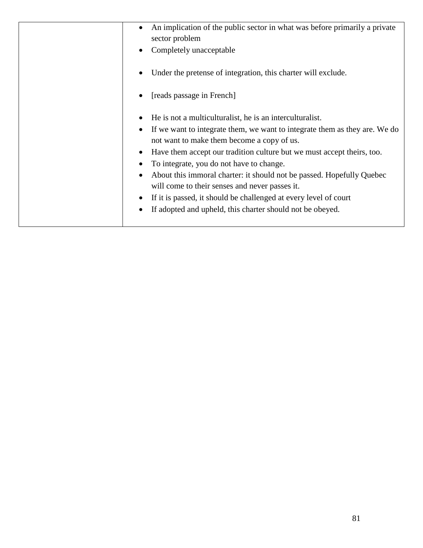| An implication of the public sector in what was before primarily a private<br>sector problem<br>Completely unacceptable                                                                                                                                                                                                                                                                                                                                                                                                                                                |
|------------------------------------------------------------------------------------------------------------------------------------------------------------------------------------------------------------------------------------------------------------------------------------------------------------------------------------------------------------------------------------------------------------------------------------------------------------------------------------------------------------------------------------------------------------------------|
| Under the pretense of integration, this charter will exclude.                                                                                                                                                                                                                                                                                                                                                                                                                                                                                                          |
| [reads passage in French]                                                                                                                                                                                                                                                                                                                                                                                                                                                                                                                                              |
| He is not a multiculturalist, he is an interculturalist.<br>If we want to integrate them, we want to integrate them as they are. We do<br>not want to make them become a copy of us.<br>Have them accept our tradition culture but we must accept theirs, too.<br>To integrate, you do not have to change.<br>About this immoral charter: it should not be passed. Hopefully Quebec<br>will come to their senses and never passes it.<br>If it is passed, it should be challenged at every level of court<br>If adopted and upheld, this charter should not be obeyed. |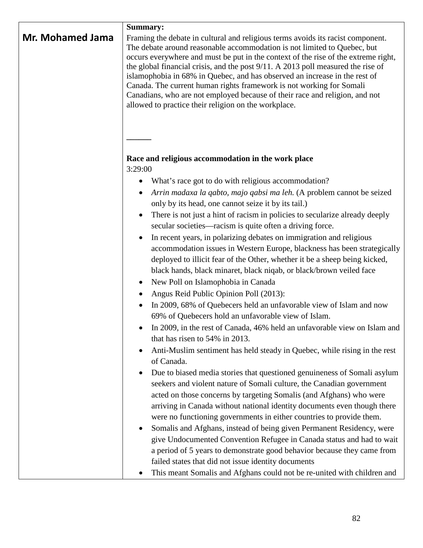| Mr. Mohamed Jama | <b>Summary:</b><br>Framing the debate in cultural and religious terms avoids its racist component.<br>The debate around reasonable accommodation is not limited to Quebec, but<br>occurs everywhere and must be put in the context of the rise of the extreme right,<br>the global financial crisis, and the post 9/11. A 2013 poll measured the rise of<br>islamophobia in 68% in Quebec, and has observed an increase in the rest of<br>Canada. The current human rights framework is not working for Somali<br>Canadians, who are not employed because of their race and religion, and not<br>allowed to practice their religion on the workplace. |
|------------------|-------------------------------------------------------------------------------------------------------------------------------------------------------------------------------------------------------------------------------------------------------------------------------------------------------------------------------------------------------------------------------------------------------------------------------------------------------------------------------------------------------------------------------------------------------------------------------------------------------------------------------------------------------|
|                  | Race and religious accommodation in the work place                                                                                                                                                                                                                                                                                                                                                                                                                                                                                                                                                                                                    |
|                  | 3:29:00                                                                                                                                                                                                                                                                                                                                                                                                                                                                                                                                                                                                                                               |
|                  | What's race got to do with religious accommodation?<br>$\bullet$                                                                                                                                                                                                                                                                                                                                                                                                                                                                                                                                                                                      |
|                  | Arrin madaxa la qabto, majo qabsi ma leh. (A problem cannot be seized<br>only by its head, one cannot seize it by its tail.)                                                                                                                                                                                                                                                                                                                                                                                                                                                                                                                          |
|                  | There is not just a hint of racism in policies to secularize already deeply<br>secular societies—racism is quite often a driving force.                                                                                                                                                                                                                                                                                                                                                                                                                                                                                                               |
|                  | In recent years, in polarizing debates on immigration and religious<br>accommodation issues in Western Europe, blackness has been strategically<br>deployed to illicit fear of the Other, whether it be a sheep being kicked,<br>black hands, black minaret, black niqab, or black/brown veiled face<br>New Poll on Islamophobia in Canada                                                                                                                                                                                                                                                                                                            |
|                  | Angus Reid Public Opinion Poll (2013):                                                                                                                                                                                                                                                                                                                                                                                                                                                                                                                                                                                                                |
|                  | In 2009, 68% of Quebecers held an unfavorable view of Islam and now<br>69% of Quebecers hold an unfavorable view of Islam.                                                                                                                                                                                                                                                                                                                                                                                                                                                                                                                            |
|                  | In 2009, in the rest of Canada, 46% held an unfavorable view on Islam and<br>that has risen to 54% in 2013.                                                                                                                                                                                                                                                                                                                                                                                                                                                                                                                                           |
|                  | Anti-Muslim sentiment has held steady in Quebec, while rising in the rest<br>of Canada.                                                                                                                                                                                                                                                                                                                                                                                                                                                                                                                                                               |
|                  | Due to biased media stories that questioned genuineness of Somali asylum<br>seekers and violent nature of Somali culture, the Canadian government<br>acted on those concerns by targeting Somalis (and Afghans) who were                                                                                                                                                                                                                                                                                                                                                                                                                              |
|                  | arriving in Canada without national identity documents even though there<br>were no functioning governments in either countries to provide them.<br>Somalis and Afghans, instead of being given Permanent Residency, were                                                                                                                                                                                                                                                                                                                                                                                                                             |
|                  | give Undocumented Convention Refugee in Canada status and had to wait<br>a period of 5 years to demonstrate good behavior because they came from                                                                                                                                                                                                                                                                                                                                                                                                                                                                                                      |
|                  | failed states that did not issue identity documents                                                                                                                                                                                                                                                                                                                                                                                                                                                                                                                                                                                                   |
|                  | This meant Somalis and Afghans could not be re-united with children and                                                                                                                                                                                                                                                                                                                                                                                                                                                                                                                                                                               |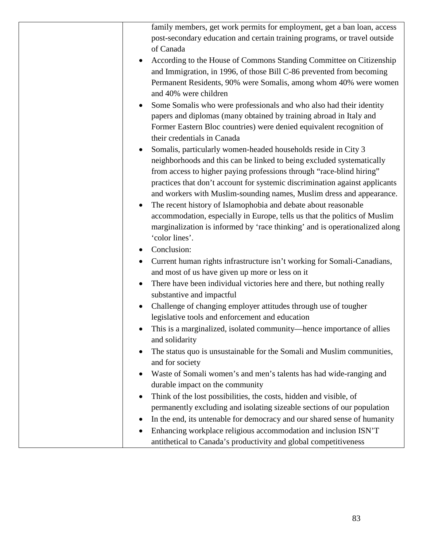| family members, get work permits for employment, get a ban loan, access<br>post-secondary education and certain training programs, or travel outside<br>of Canada                                                                                                                                                                                                      |
|------------------------------------------------------------------------------------------------------------------------------------------------------------------------------------------------------------------------------------------------------------------------------------------------------------------------------------------------------------------------|
| According to the House of Commons Standing Committee on Citizenship<br>and Immigration, in 1996, of those Bill C-86 prevented from becoming<br>Permanent Residents, 90% were Somalis, among whom 40% were women<br>and 40% were children                                                                                                                               |
| Some Somalis who were professionals and who also had their identity<br>$\bullet$<br>papers and diplomas (many obtained by training abroad in Italy and<br>Former Eastern Bloc countries) were denied equivalent recognition of<br>their credentials in Canada                                                                                                          |
| Somalis, particularly women-headed households reside in City 3<br>neighborhoods and this can be linked to being excluded systematically<br>from access to higher paying professions through "race-blind hiring"<br>practices that don't account for systemic discrimination against applicants<br>and workers with Muslim-sounding names, Muslim dress and appearance. |
| The recent history of Islamophobia and debate about reasonable<br>accommodation, especially in Europe, tells us that the politics of Muslim<br>marginalization is informed by 'race thinking' and is operationalized along<br>'color lines'.                                                                                                                           |
| Conclusion:                                                                                                                                                                                                                                                                                                                                                            |
| Current human rights infrastructure isn't working for Somali-Canadians,<br>and most of us have given up more or less on it                                                                                                                                                                                                                                             |
| There have been individual victories here and there, but nothing really<br>substantive and impactful                                                                                                                                                                                                                                                                   |
| Challenge of changing employer attitudes through use of tougher<br>legislative tools and enforcement and education                                                                                                                                                                                                                                                     |
| This is a marginalized, isolated community—hence importance of allies<br>and solidarity                                                                                                                                                                                                                                                                                |
| The status quo is unsustainable for the Somali and Muslim communities,<br>and for society                                                                                                                                                                                                                                                                              |
| Waste of Somali women's and men's talents has had wide-ranging and<br>durable impact on the community                                                                                                                                                                                                                                                                  |
| Think of the lost possibilities, the costs, hidden and visible, of                                                                                                                                                                                                                                                                                                     |
| permanently excluding and isolating sizeable sections of our population                                                                                                                                                                                                                                                                                                |
| In the end, its untenable for democracy and our shared sense of humanity                                                                                                                                                                                                                                                                                               |
| Enhancing workplace religious accommodation and inclusion ISN'T                                                                                                                                                                                                                                                                                                        |
| antithetical to Canada's productivity and global competitiveness                                                                                                                                                                                                                                                                                                       |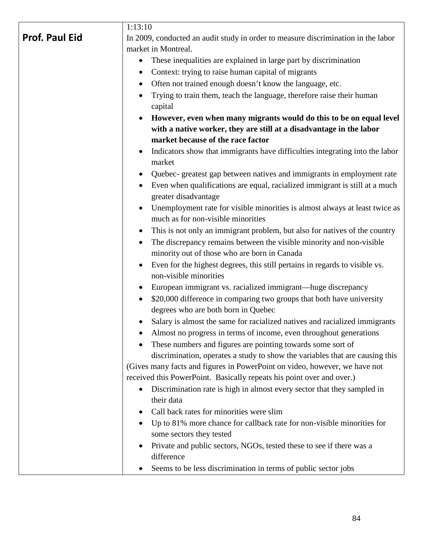|                       | 1:13:10                                                                                             |
|-----------------------|-----------------------------------------------------------------------------------------------------|
| <b>Prof. Paul Eid</b> | In 2009, conducted an audit study in order to measure discrimination in the labor                   |
|                       | market in Montreal.                                                                                 |
|                       | These inequalities are explained in large part by discrimination                                    |
|                       | Context: trying to raise human capital of migrants                                                  |
|                       | Often not trained enough doesn't know the language, etc.<br>$\bullet$                               |
|                       | Trying to train them, teach the language, therefore raise their human                               |
|                       | capital                                                                                             |
|                       | However, even when many migrants would do this to be on equal level                                 |
|                       | with a native worker, they are still at a disadvantage in the labor                                 |
|                       | market because of the race factor                                                                   |
|                       | Indicators show that immigrants have difficulties integrating into the labor<br>market              |
|                       | Quebec- greatest gap between natives and immigrants in employment rate                              |
|                       | Even when qualifications are equal, racialized immigrant is still at a much<br>greater disadvantage |
|                       | Unemployment rate for visible minorities is almost always at least twice as                         |
|                       | much as for non-visible minorities                                                                  |
|                       | This is not only an immigrant problem, but also for natives of the country                          |
|                       | The discrepancy remains between the visible minority and non-visible                                |
|                       | minority out of those who are born in Canada                                                        |
|                       | Even for the highest degrees, this still pertains in regards to visible vs.                         |
|                       | non-visible minorities                                                                              |
|                       | European immigrant vs. racialized immigrant—huge discrepancy                                        |
|                       | \$20,000 difference in comparing two groups that both have university                               |
|                       | degrees who are both born in Quebec                                                                 |
|                       | Salary is almost the same for racialized natives and racialized immigrants                          |
|                       | Almost no progress in terms of income, even throughout generations                                  |
|                       | These numbers and figures are pointing towards some sort of                                         |
|                       | discrimination, operates a study to show the variables that are causing this                        |
|                       | (Gives many facts and figures in PowerPoint on video, however, we have not                          |
|                       | received this PowerPoint. Basically repeats his point over and over.)                               |
|                       | Discrimination rate is high in almost every sector that they sampled in                             |
|                       | their data                                                                                          |
|                       | Call back rates for minorities were slim                                                            |
|                       | Up to 81% more chance for callback rate for non-visible minorities for                              |
|                       | some sectors they tested                                                                            |
|                       | Private and public sectors, NGOs, tested these to see if there was a                                |
|                       | difference                                                                                          |
|                       | Seems to be less discrimination in terms of public sector jobs                                      |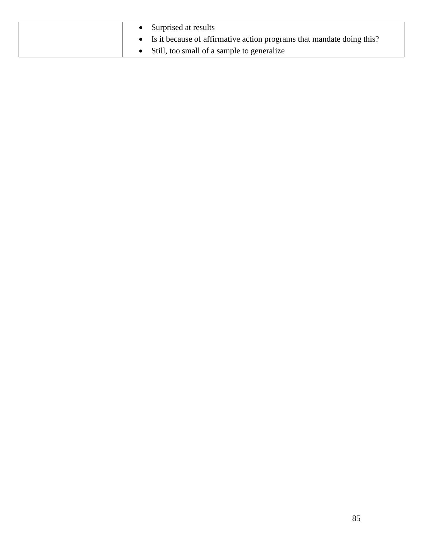|  | Surprised at results                                                  |
|--|-----------------------------------------------------------------------|
|  | Is it because of affirmative action programs that mandate doing this? |
|  | Still, too small of a sample to generalize                            |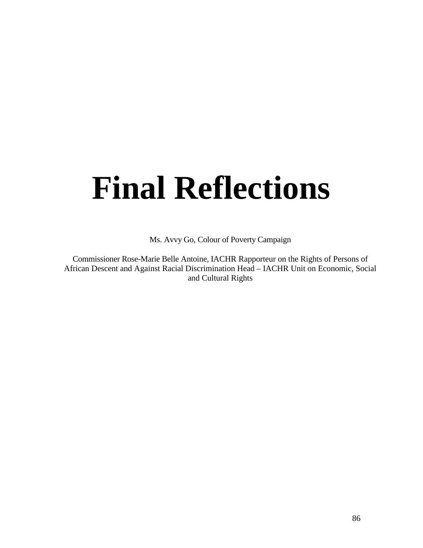## **Final Reflections**

Ms. Avvy Go, Colour of Poverty Campaign

Commissioner Rose-Marie Belle Antoine, IACHR Rapporteur on the Rights of Persons of African Descent and Against Racial Discrimination Head – IACHR Unit on Economic, Social and Cultural Rights